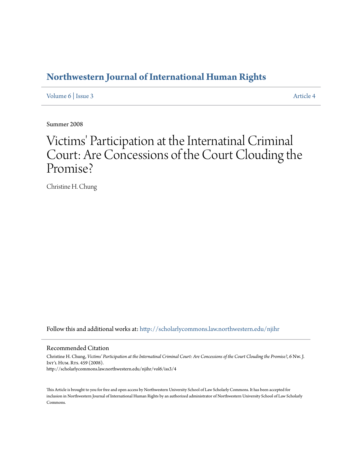## **[Northwestern Journal of International Human Rights](http://scholarlycommons.law.northwestern.edu/njihr?utm_source=scholarlycommons.law.northwestern.edu%2Fnjihr%2Fvol6%2Fiss3%2F4&utm_medium=PDF&utm_campaign=PDFCoverPages)**

[Volume 6](http://scholarlycommons.law.northwestern.edu/njihr/vol6?utm_source=scholarlycommons.law.northwestern.edu%2Fnjihr%2Fvol6%2Fiss3%2F4&utm_medium=PDF&utm_campaign=PDFCoverPages) | [Issue 3](http://scholarlycommons.law.northwestern.edu/njihr/vol6/iss3?utm_source=scholarlycommons.law.northwestern.edu%2Fnjihr%2Fvol6%2Fiss3%2F4&utm_medium=PDF&utm_campaign=PDFCoverPages) [Article 4](http://scholarlycommons.law.northwestern.edu/njihr/vol6/iss3/4?utm_source=scholarlycommons.law.northwestern.edu%2Fnjihr%2Fvol6%2Fiss3%2F4&utm_medium=PDF&utm_campaign=PDFCoverPages)

Summer 2008

# Victims' Participation at the Internatinal Criminal Court: Are Concessions of the Court Clouding the Promise?

Christine H. Chung

Follow this and additional works at: [http://scholarlycommons.law.northwestern.edu/njihr](http://scholarlycommons.law.northwestern.edu/njihr?utm_source=scholarlycommons.law.northwestern.edu%2Fnjihr%2Fvol6%2Fiss3%2F4&utm_medium=PDF&utm_campaign=PDFCoverPages)

#### Recommended Citation

Christine H. Chung, *Victims' Participation at the Internatinal Criminal Court: Are Concessions of the Court Clouding the Promise?*, 6 Nw. J. INT'L HUM. RTS. 459 (2008). http://scholarlycommons.law.northwestern.edu/njihr/vol6/iss3/4

This Article is brought to you for free and open access by Northwestern University School of Law Scholarly Commons. It has been accepted for inclusion in Northwestern Journal of International Human Rights by an authorized administrator of Northwestern University School of Law Scholarly Commons.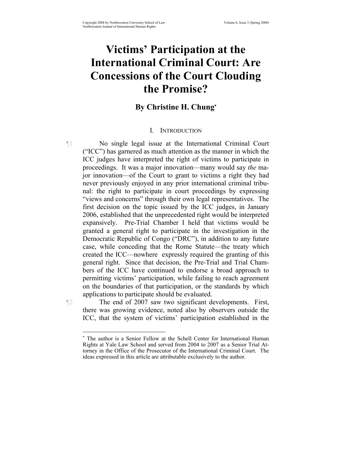## **Victims' Participation at the International Criminal Court: Are Concessions of the Court Clouding the Promise?**

## **By Christine H. Chung**<sup>∗</sup>

## I. INTRODUCTION

¶1 No single legal issue at the International Criminal Court ("ICC") has garnered as much attention as the manner in which the ICC judges have interpreted the right of victims to participate in proceedings. It was a major innovation—many would say *the* major innovation—of the Court to grant to victims a right they had never previously enjoyed in any prior international criminal tribunal: the right to participate in court proceedings by expressing "views and concerns" through their own legal representatives. The first decision on the topic issued by the ICC judges, in January 2006, established that the unprecedented right would be interpreted expansively. Pre-Trial Chamber I held that victims would be granted a general right to participate in the investigation in the Democratic Republic of Congo ("DRC"), in addition to any future case, while conceding that the Rome Statute—the treaty which created the ICC—nowhere expressly required the granting of this general right. Since that decision, the Pre-Trial and Trial Chambers of the ICC have continued to endorse a broad approach to permitting victims' participation, while failing to reach agreement on the boundaries of that participation, or the standards by which applications to participate should be evaluated.

¶2 The end of 2007 saw two significant developments. First, there was growing evidence, noted also by observers outside the ICC, that the system of victims' participation established in the

<sup>∗</sup> The author is a Senior Fellow at the Schell Center for International Human Rights at Yale Law School and served from 2004 to 2007 as a Senior Trial Attorney in the Office of the Prosecutor of the International Criminal Court. The ideas expressed in this article are attributable exclusively to the author.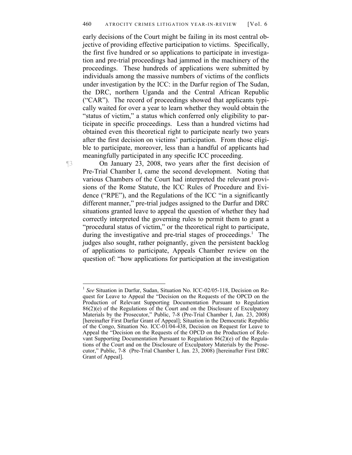early decisions of the Court might be failing in its most central objective of providing effective participation to victims. Specifically, the first five hundred or so applications to participate in investigation and pre-trial proceedings had jammed in the machinery of the proceedings. These hundreds of applications were submitted by individuals among the massive numbers of victims of the conflicts under investigation by the ICC: in the Darfur region of The Sudan, the DRC, northern Uganda and the Central African Republic ("CAR"). The record of proceedings showed that applicants typically waited for over a year to learn whether they would obtain the "status of victim," a status which conferred only eligibility to participate in specific proceedings. Less than a hundred victims had obtained even this theoretical right to participate nearly two years after the first decision on victims' participation. From those eligible to participate, moreover, less than a handful of applicants had meaningfully participated in any specific ICC proceeding.

¶3 On January 23, 2008, two years after the first decision of Pre-Trial Chamber I, came the second development. Noting that various Chambers of the Court had interpreted the relevant provisions of the Rome Statute, the ICC Rules of Procedure and Evidence ("RPE"), and the Regulations of the ICC "in a significantly different manner," pre-trial judges assigned to the Darfur and DRC situations granted leave to appeal the question of whether they had correctly interpreted the governing rules to permit them to grant a "procedural status of victim," or the theoretical right to participate, during the investigative and pre-trial stages of proceedings.<sup>1</sup> The judges also sought, rather poignantly, given the persistent backlog of applications to participate, Appeals Chamber review on the question of: "how applications for participation at the investigation

1

<sup>1</sup> *See* Situation in Darfur, Sudan, Situation No. ICC-02/05-118, Decision on Request for Leave to Appeal the "Decision on the Requests of the OPCD on the Production of Relevant Supporting Documentation Pursuant to Regulation 86(2)(e) of the Regulations of the Court and on the Disclosure of Exculpatory Materials by the Prosecutor," Public, 7-8 (Pre-Trial Chamber I, Jan. 23, 2008) [hereinafter First Darfur Grant of Appeal]; Situation in the Democratic Republic of the Congo, Situation No. ICC-01/04-438, Decision on Request for Leave to Appeal the "Decision on the Requests of the OPCD on the Production of Relevant Supporting Documentation Pursuant to Regulation 86(2)(e) of the Regulations of the Court and on the Disclosure of Exculpatory Materials by the Prosecutor," Public, 7-8 (Pre-Trial Chamber I, Jan. 23, 2008) [hereinafter First DRC Grant of Appeal].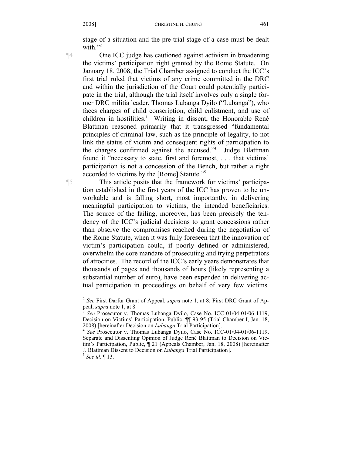stage of a situation and the pre-trial stage of a case must be dealt with $"''$ 

¶4 One ICC judge has cautioned against activism in broadening the victims' participation right granted by the Rome Statute. On January 18, 2008, the Trial Chamber assigned to conduct the ICC's first trial ruled that victims of any crime committed in the DRC and within the jurisdiction of the Court could potentially participate in the trial, although the trial itself involves only a single former DRC militia leader, Thomas Lubanga Dyilo ("Lubanga"), who faces charges of child conscription, child enlistment, and use of children in hostilities.<sup>3</sup> Writing in dissent, the Honorable René Blattman reasoned primarily that it transgressed "fundamental principles of criminal law, such as the principle of legality, to not

participation is not a concession of the Bench, but rather a right accorded to victims by the [Rome] Statute."5 ¶5 This article posits that the framework for victims' participation established in the first years of the ICC has proven to be unworkable and is falling short, most importantly, in delivering meaningful participation to victims, the intended beneficiaries. The source of the failing, moreover, has been precisely the tendency of the ICC's judicial decisions to grant concessions rather than observe the compromises reached during the negotiation of the Rome Statute, when it was fully foreseen that the innovation of victim's participation could, if poorly defined or administered, overwhelm the core mandate of prosecuting and trying perpetrators of atrocities. The record of the ICC's early years demonstrates that thousands of pages and thousands of hours (likely representing a substantial number of euro), have been expended in delivering actual participation in proceedings on behalf of very few victims.

link the status of victim and consequent rights of participation to the charges confirmed against the accused."4 Judge Blattman found it "necessary to state, first and foremost, . . . that victims'

<sup>2</sup> *See* First Darfur Grant of Appeal, *supra* note 1, at 8; First DRC Grant of Ap-

See Prosecutor v. Thomas Lubanga Dyilo, Case No. ICC-01/04-01/06-1119, Decision on Victims' Participation, Public, ¶¶ 93-95 (Trial Chamber I, Jan. 18, 2008) [hereinafter Decision on *Lubanga* Trial Participation]. 4 *See* Prosecutor v. Thomas Lubanga Dyilo, Case No. ICC-01/04-01/06-1119,

Separate and Dissenting Opinion of Judge René Blattman to Decision on Victim's Participation, Public, ¶ 21 (Appeals Chamber, Jan. 18, 2008) [hereinafter J. Blattman Dissent to Decision on *Lubanga* Trial Participation]. 5 *See id.* ¶ 13.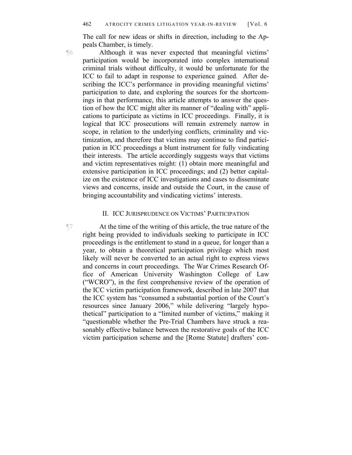The call for new ideas or shifts in direction, including to the Appeals Chamber, is timely.

¶6 Although it was never expected that meaningful victims' participation would be incorporated into complex international criminal trials without difficulty, it would be unfortunate for the ICC to fail to adapt in response to experience gained. After describing the ICC's performance in providing meaningful victims' participation to date, and exploring the sources for the shortcomings in that performance, this article attempts to answer the question of how the ICC might alter its manner of "dealing with" applications to participate as victims in ICC proceedings. Finally, it is logical that ICC prosecutions will remain extremely narrow in scope, in relation to the underlying conflicts, criminality and victimization, and therefore that victims may continue to find participation in ICC proceedings a blunt instrument for fully vindicating their interests. The article accordingly suggests ways that victims and victim representatives might: (1) obtain more meaningful and extensive participation in ICC proceedings; and (2) better capitalize on the existence of ICC investigations and cases to disseminate views and concerns, inside and outside the Court, in the cause of bringing accountability and vindicating victims' interests.

#### II. ICC JURISPRUDENCE ON VICTIMS' PARTICIPATION

¶7 At the time of the writing of this article, the true nature of the right being provided to individuals seeking to participate in ICC proceedings is the entitlement to stand in a queue, for longer than a year, to obtain a theoretical participation privilege which most likely will never be converted to an actual right to express views and concerns in court proceedings. The War Crimes Research Office of American University Washington College of Law ("WCRO"), in the first comprehensive review of the operation of the ICC victim participation framework, described in late 2007 that the ICC system has "consumed a substantial portion of the Court's resources since January 2006," while delivering "largely hypothetical" participation to a "limited number of victims," making it "questionable whether the Pre-Trial Chambers have struck a reasonably effective balance between the restorative goals of the ICC victim participation scheme and the [Rome Statute] drafters' con-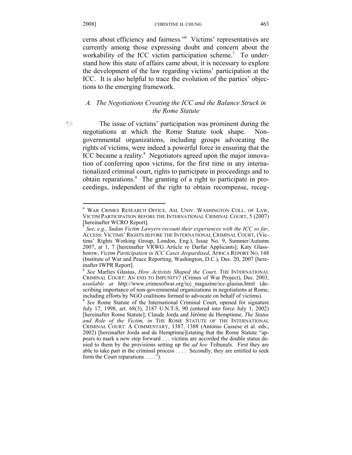1

cerns about efficiency and fairness."6 Victims' representatives are currently among those expressing doubt and concern about the workability of the ICC victim participation scheme.<sup>7</sup> To understand how this state of affairs came about, it is necessary to explore the development of the law regarding victims' participation at the ICC. It is also helpful to trace the evolution of the parties' objections to the emerging framework.

## *A. The Negotiations Creating the ICC and the Balance Struck in the Rome Statute*

¶8 The issue of victims' participation was prominent during the negotiations at which the Rome Statute took shape. Nongovernmental organizations, including groups advocating the rights of victims, were indeed a powerful force in ensuring that the ICC became a reality.<sup>8</sup> Negotiators agreed upon the major innovation of conferring upon victims, for the first time in any internationalized criminal court, rights to participate in proceedings and to obtain reparations.<sup>9</sup> The granting of a right to participate in proceedings, independent of the right to obtain recompense, recog-

<sup>6</sup> WAR CRIMES RESEARCH OFFICE, AM. UNIV. WASHINGTON COLL. OF LAW, VICTIM PARTICIPATION BEFORE THE INTERNATIONAL CRIMINAL COURT, 5 (2007) [hereinafter WCRO Report].

<sup>7</sup> *See, e.g., Sudan Victim Lawyers recount their experiences with the ICC so far*, ACCESS: VICTIMS' RIGHTS BEFORE THE INTERNATIONAL CRIMINAL COURT, (Victims' Rights Working Group, London, Eng.), Issue No. 9, Summer/Autumn 2007, at 1, 7 [hereinafter VRWG Article re Darfur Applicants]; Katy Glassborow, *Victim Participation in ICC Cases Jeopardised*, AFRICA REPORT NO. 148 (Institute of War and Peace Reporting, Washington, D.C.), Dec. 20, 2007 [hereinafter IWPR Report].

<sup>8</sup> *See* Marlies Glasius, *How Activists Shaped the Court,* THE INTERNATIONAL CRIMINAL COURT: AN END TO IMPUNITY? (Crimes of War Project), Dec. 2003, *available at* http://www.crimesofwar.org/icc\_magazine/icc-glasius.html (describing importance of non-governmental organizations in negotiations at Rome, including efforts by NGO coalitions formed to advocate on behalf of victims).

<sup>9</sup> *See* Rome Statute of the International Criminal Court, opened for signature July 17, 1998, art. 68(3), 2187 U.N.T.S. 90 (entered into force July 1, 2002) [hereinafter Rome Statute]; Claude Jorda and Jérôme de Hemptinne, *The Status and Role of the Victim, in* THE ROME STATUTE OF THE INTERNATIONAL CRIMINAL COURT: A COMMENTARY, 1387, 1388 (Antonio Cassese et al. eds., 2002) [hereinafter Jorda and de Hemptinne](stating that the Rome Statute "appears to mark a new step forward . . . victims are accorded the double status denied to them by the provisions setting up the *ad hoc* Tribunals. First they are able to take part in the criminal process . . . . Secondly, they are entitled to seek form the Court reparations . . . .").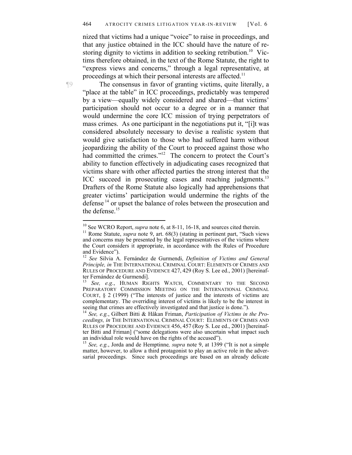nized that victims had a unique "voice" to raise in proceedings, and that any justice obtained in the ICC should have the nature of restoring dignity to victims in addition to seeking retribution.<sup>10</sup> Victims therefore obtained, in the text of the Rome Statute, the right to "express views and concerns," through a legal representative, at proceedings at which their personal interests are affected.<sup>11</sup>

¶9 The consensus in favor of granting victims, quite literally, a "place at the table" in ICC proceedings, predictably was tempered by a view—equally widely considered and shared—that victims' participation should not occur to a degree or in a manner that would undermine the core ICC mission of trying perpetrators of mass crimes. As one participant in the negotiations put it, "[i]t was considered absolutely necessary to devise a realistic system that would give satisfaction to those who had suffered harm without jeopardizing the ability of the Court to proceed against those who had committed the crimes."<sup>12</sup> The concern to protect the Court's ability to function effectively in adjudicating cases recognized that victims share with other affected parties the strong interest that the ICC succeed in prosecuting cases and reaching judgments.<sup>13</sup> Drafters of the Rome Statute also logically had apprehensions that greater victims' participation would undermine the rights of the defense<sup>14</sup> or upset the balance of roles between the prosecution and the defense.<sup>15</sup>

<sup>&</sup>lt;sup>10</sup> See WCRO Report, *supra* note 6, at 8-11, 16-18, and sources cited therein.<br><sup>11</sup> Rome Statute, *supra* note 9, art. 68(3) (stating in pertinent part, "Such views and concerns may be presented by the legal representatives of the victims where the Court considers it appropriate, in accordance with the Rules of Procedure and Evidence").

<sup>&</sup>lt;sup>12</sup> *See* Silvia A. Fernández de Gurmendi, *Definition of Victims and General Principle, in* THE INTERNATIONAL CRIMINAL COURT: ELEMENTS OF CRIMES AND RULES OF PROCEDURE AND EVIDENCE 427, 429 (Roy S. Lee ed., 2001) [hereinafter Fernández de Gurmendi].<br><sup>13</sup> See e g HUMAN RIG

See, e.g., HUMAN RIGHTS WATCH, COMMENTARY TO THE SECOND PREPARATORY COMMISSION MEETING ON THE INTERNATIONAL CRIMINAL COURT, § 2 (1999) ("The interests of justice and the interests of victims are complementary. The overriding interest of victims is likely to be the interest in seeing that crimes are effectively investigated and that justice is done."). 14 *See, e.g.*, Gilbert Bitti & Håkan Friman, *Participation of Victims in the Pro-*

*ceedings, in* THE INTERNATIONAL CRIMINAL COURT: ELEMENTS OF CRIMES AND RULES OF PROCEDURE AND EVIDENCE 456, 457 (Roy S. Lee ed., 2001) [hereinafter Bitti and Friman] ("some delegations were also uncertain what impact such an individual role would have on the rights of the accused").

<sup>&</sup>lt;sup>15</sup> See, e.g., Jorda and de Hemptinne, *supra* note 9, at 1399 ("It is not a simple matter, however, to allow a third protagonist to play an active role in the adversarial proceedings. Since such proceedings are based on an already delicate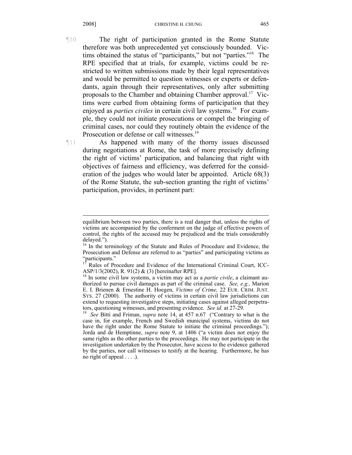¶10 The right of participation granted in the Rome Statute therefore was both unprecedented yet consciously bounded. Victims obtained the status of "participants," but not "parties."16 The RPE specified that at trials, for example, victims could be restricted to written submissions made by their legal representatives and would be permitted to question witnesses or experts or defendants, again through their representatives, only after submitting proposals to the Chamber and obtaining Chamber approval.17 Victims were curbed from obtaining forms of participation that they enjoyed as *parties civiles* in certain civil law systems.<sup>18</sup> For example, they could not initiate prosecutions or compel the bringing of criminal cases, nor could they routinely obtain the evidence of the Prosecution or defense or call witnesses.<sup>19</sup>

¶11 As happened with many of the thorny issues discussed during negotiations at Rome, the task of more precisely defining the right of victims' participation, and balancing that right with objectives of fairness and efficiency, was deferred for the consideration of the judges who would later be appointed. Article 68(3) of the Rome Statute, the sub-section granting the right of victims' participation, provides, in pertinent part:

equilibrium between two parties, there is a real danger that, unless the rights of victims are accompanied by the conferment on the judge of effective powers of control, the rights of the accused may be prejudiced and the trials considerably delayed.").

<sup>&</sup>lt;sup>16</sup> In the terminology of the Statute and Rules of Procedure and Evidence, the Prosecution and Defense are referred to as "parties" and participating victims as "participants."

Rules of Procedure and Evidence of the International Criminal Court, ICC-ASP/1/3(2002), R. 91(2) & (3) [hereinafter RPE].

<sup>&</sup>lt;sup>18</sup> In some civil law systems, a victim may act as a *partie civile*, a claimant authorized to pursue civil damages as part of the criminal case. *See, e.g.,* Marion E. I. Brienen & Ernestine H. Hoegen, *Victims of Crime,* 22 EUR. CRIM. JUST. SYS. 27 (2000). The authority of victims in certain civil law jurisdictions can extend to requesting investigative steps, initiating cases against alleged perpetrators, questioning witnesses, and presenting evidence. *See id*. at 27-29. 19 *See* Bitti and Friman, *supra* note 14, at 457 n.67 ("Contrary to what is the

case in, for example, French and Swedish municipal systems, victims do not have the right under the Rome Statute to initiate the criminal proceedings."); Jorda and de Hemptinne, *supra* note 9, at 1406 ("a victim does not enjoy the same rights as the other parties to the proceedings. He may not participate in the investigation undertaken by the Prosecutor, have access to the evidence gathered by the parties, nor call witnesses to testify at the hearing. Furthermore, he has no right of appeal . . . .).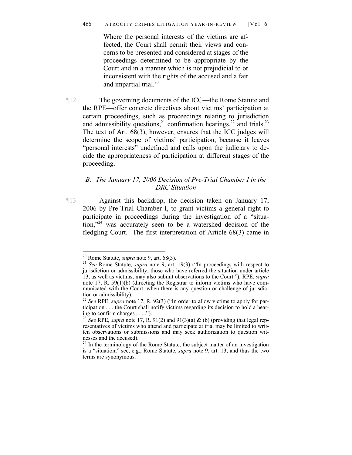Where the personal interests of the victims are affected, the Court shall permit their views and concerns to be presented and considered at stages of the proceedings determined to be appropriate by the Court and in a manner which is not prejudicial to or inconsistent with the rights of the accused and a fair and impartial trial.<sup>20</sup>

¶12 The governing documents of the ICC—the Rome Statute and the RPE—offer concrete directives about victims' participation at certain proceedings, such as proceedings relating to jurisdiction and admissibility questions,<sup>21</sup> confirmation hearings,<sup>22</sup> and trials.<sup>23</sup> The text of Art. 68(3), however, ensures that the ICC judges will determine the scope of victims' participation, because it leaves "personal interests" undefined and calls upon the judiciary to decide the appropriateness of participation at different stages of the proceeding.

### *B. The January 17, 2006 Decision of Pre-Trial Chamber I in the DRC Situation*

¶13 Against this backdrop, the decision taken on January 17, 2006 by Pre-Trial Chamber I, to grant victims a general right to participate in proceedings during the investigation of a "situation,"<sup>24</sup> was accurately seen to be a watershed decision of the fledgling Court. The first interpretation of Article 68(3) came in

<sup>20</sup> Rome Statute, *supra* note 9, art. 68(3). 21 *See* Rome Statute, *supra* note 9, art. 19(3) ("In proceedings with respect to jurisdiction or admissibility, those who have referred the situation under article 13, as well as victims, may also submit observations to the Court."); RPE, *supra*  note 17, R. 59(1)(b) (directing the Registrar to inform victims who have communicated with the Court, when there is any question or challenge of jurisdiction or admissibility).

<sup>22</sup> *See* RPE, *supra* note 17, R. 92(3) ("In order to allow victims to apply for participation . . . the Court shall notify victims regarding its decision to hold a hearing to confirm charges . . . .").

<sup>23</sup> *See* RPE, *supra* note 17, R. 91(2) and 91(3)(a) & (b) (providing that legal representatives of victims who attend and participate at trial may be limited to written observations or submissions and may seek authorization to question witnesses and the accused).

<sup>&</sup>lt;sup>24</sup> In the terminology of the Rome Statute, the subject matter of an investigation is a "situation," see, e.g., Rome Statute, *supra* note 9, art. 13, and thus the two terms are synonymous.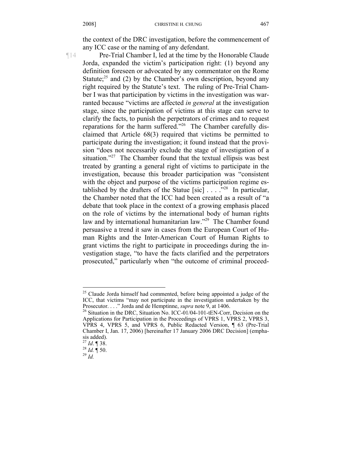the context of the DRC investigation, before the commencement of any ICC case or the naming of any defendant.

¶14 Pre-Trial Chamber I, led at the time by the Honorable Claude Jorda, expanded the victim's participation right: (1) beyond any definition foreseen or advocated by any commentator on the Rome Statute; $^{25}$  and (2) by the Chamber's own description, beyond any right required by the Statute's text. The ruling of Pre-Trial Chamber I was that participation by victims in the investigation was warranted because "victims are affected *in general* at the investigation stage, since the participation of victims at this stage can serve to clarify the facts, to punish the perpetrators of crimes and to request reparations for the harm suffered."26 The Chamber carefully disclaimed that Article 68(3) required that victims be permitted to participate during the investigation; it found instead that the provision "does not necessarily exclude the stage of investigation of a situation."<sup>27</sup> The Chamber found that the textual ellipsis was best treated by granting a general right of victims to participate in the investigation, because this broader participation was "consistent with the object and purpose of the victims participation regime established by the drafters of the Statue [sic]  $\ldots$  . . .<sup>528</sup> In particular, the Chamber noted that the ICC had been created as a result of "a debate that took place in the context of a growing emphasis placed on the role of victims by the international body of human rights law and by international humanitarian law."<sup>29</sup> The Chamber found persuasive a trend it saw in cases from the European Court of Human Rights and the Inter-American Court of Human Rights to grant victims the right to participate in proceedings during the investigation stage, "to have the facts clarified and the perpetrators prosecuted," particularly when "the outcome of criminal proceed-

 $25$  Claude Jorda himself had commented, before being appointed a judge of the ICC, that victims "may not participate in the investigation undertaken by the Prosecutor...." Jorda and de Hemptinne, *supra* note 9, at 1406.

<sup>&</sup>lt;sup>26</sup> Situation in the DRC, Situation No. ICC-01/04-101-tEN-Corr, Decision on the Applications for Participation in the Proceedings of VPRS 1, VPRS 2, VPRS 3, VPRS 4, VPRS 5, and VPRS 6, Public Redacted Version, ¶ 63 (Pre-Trial Chamber I, Jan. 17, 2006) [hereinafter 17 January 2006 DRC Decision] (emphasis added).<br> $^{27}$  *Id*. **[38.**]

<sup>27</sup> *Id*. ¶ 38. 28 *Id.* ¶ 50. 29 *Id.*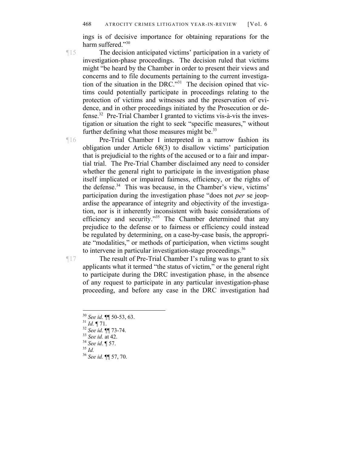ings is of decisive importance for obtaining reparations for the harm suffered."30

¶15 The decision anticipated victims' participation in a variety of investigation-phase proceedings. The decision ruled that victims might "be heard by the Chamber in order to present their views and concerns and to file documents pertaining to the current investigation of the situation in the DRC."31 The decision opined that victims could potentially participate in proceedings relating to the protection of victims and witnesses and the preservation of evidence, and in other proceedings initiated by the Prosecution or defense.32 Pre-Trial Chamber I granted to victims vis-à-vis the investigation or situation the right to seek "specific measures," without further defining what those measures might be. $33$ 

¶16 Pre-Trial Chamber I interpreted in a narrow fashion its obligation under Article 68(3) to disallow victims' participation that is prejudicial to the rights of the accused or to a fair and impartial trial. The Pre-Trial Chamber disclaimed any need to consider whether the general right to participate in the investigation phase itself implicated or impaired fairness, efficiency, or the rights of the defense.<sup>34</sup> This was because, in the Chamber's view, victims' participation during the investigation phase "does not *per* se jeopardise the appearance of integrity and objectivity of the investigation, nor is it inherently inconsistent with basic considerations of efficiency and security."35 The Chamber determined that any prejudice to the defense or to fairness or efficiency could instead be regulated by determining, on a case-by-case basis, the appropriate "modalities," or methods of participation, when victims sought to intervene in particular investigation-stage proceedings.<sup>36</sup>

¶17 The result of Pre-Trial Chamber I's ruling was to grant to six applicants what it termed "the status of victim," or the general right to participate during the DRC investigation phase, in the absence of any request to participate in any particular investigation-phase proceeding, and before any case in the DRC investigation had

<sup>30</sup> *See id.* ¶¶ 50-53, 63. 31 *Id.* ¶ 71. 32 *See id.* ¶¶ 73-74. 33 *See id.* at 42. 34 *See id*. ¶ 57. 35 *Id.* 36 *See id.* ¶¶ 57, 70.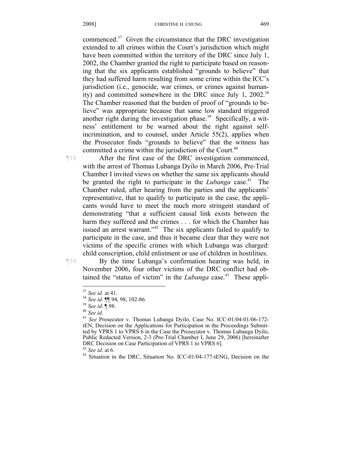commenced.37 Given the circumstance that the DRC investigation extended to all crimes within the Court's jurisdiction which might have been committed within the territory of the DRC since July 1, 2002, the Chamber granted the right to participate based on reasoning that the six applicants established "grounds to believe" that they had suffered harm resulting from some crime within the ICC's jurisdiction (i.e., genocide, war crimes, or crimes against humanity) and committed somewhere in the DRC since July 1,  $2002.^{38}$ The Chamber reasoned that the burden of proof of "grounds to believe" was appropriate because that same low standard triggered another right during the investigation phase.<sup>39</sup> Specifically, a witness' entitlement to be warned about the right against selfincrimination, and to counsel, under Article 55(2), applies when the Prosecutor finds "grounds to believe" that the witness has committed a crime within the jurisdiction of the Court.<sup>40</sup>

¶18 After the first case of the DRC investigation commenced, with the arrest of Thomas Lubanga Dyilo in March 2006, Pre-Trial Chamber I invited views on whether the same six applicants should be granted the right to participate in the *Lubanga* case.<sup>41</sup> The Chamber ruled, after hearing from the parties and the applicants' representative, that to qualify to participate in the case, the applicants would have to meet the much more stringent standard of demonstrating "that a sufficient causal link exists between the harm they suffered and the crimes . . . for which the Chamber has issued an arrest warrant." $42$  The six applicants failed to qualify to participate in the case, and thus it became clear that they were not victims of the specific crimes with which Lubanga was charged: child conscription, child enlistment or use of children in hostilities.

¶19 By the time Lubanga's confirmation hearing was held, in November 2006, four other victims of the DRC conflict had obtained the "status of victim" in the *Lubanga* case.<sup>43</sup> These appli-

1

<sup>&</sup>lt;sup>37</sup> *See id.* **11** 94, 98, 102-86.<br><sup>39</sup> *See id.* **¶** 94, 98, 102-86.<br><sup>40</sup> *See id.* **T** 98.<br><sup>41</sup> *See Prosecutor v. Thomas Lubanga Dyilo, Case No. ICC-01/04-01/06-172*tEN, Decision on the Applications for Participation in the Proceedings Submitted by VPRS 1 to VPRS 6 in the Case the Prosecutor v. Thomas Lubanga Dyilo, Public Redacted Version, 2-3 (Pre-Trial Chamber I, June 29, 2006) [hereinafter DRC Decision on Case Participation of VPRS 1 to VPRS 6].<br><sup>42</sup> See id. at 6.

<sup>&</sup>lt;sup>43</sup> Situation in the DRC, Situation No. ICC-01/04-177-tENG, Decision on the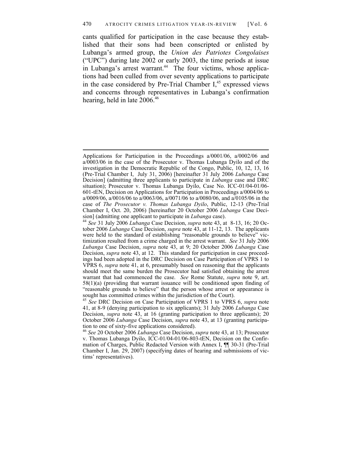#### 470 ATROCITY CRIMES LITIGATION YEAR-IN-REVIEW [Vol. 6

cants qualified for participation in the case because they established that their sons had been conscripted or enlisted by Lubanga's armed group, the *Union des Patriotes Congolaises* ("UPC") during late 2002 or early 2003, the time periods at issue in Lubanga's arrest warrant.<sup>44</sup> The four victims, whose applications had been culled from over seventy applications to participate in the case considered by Pre-Trial Chamber  $I<sub>1</sub><sup>45</sup>$  expressed views and concerns through representatives in Lubanga's confirmation hearing, held in late 2006.<sup>46</sup>

1

Applications for Participation in the Proceedings a/0001/06, a/0002/06 and a/0003/06 in the case of the Prosecutor v. Thomas Lubanga Dyilo and of the investigation in the Democratic Republic of the Congo, Public, 10, 12, 13, 16 (Pre-Trial Chamber I, July 31, 2006) [hereinafter 31 July 2006 *Lubanga* Case Decision] (admitting three applicants to participate in *Lubanga* case and DRC situation); Prosecutor v. Thomas Lubanga Dyilo, Case No. ICC-01/04-01/06- 601-tEN, Decision on Applications for Participation in Proceedings a/0004/06 to a/0009/06, a/0016/06 to a/0063/06, a/0071/06 to a/0080/06, and a/0105/06 in the case of *The Prosecutor v. Thomas Lubanga Dyilo*, Public, 12-13 (Pre-Trial Chamber I, Oct. 20, 2006) [hereinafter 20 October 2006 *Lubanga* Case Deci-

<sup>&</sup>lt;sup>44</sup> See 31 July 2006 *Lubanga* Case Decision, *supra* note 43, at 8-13, 16; 20 October 2006 *Lubanga* Case Decision, *supra* note 43, at 11-12, 13. The applicants were held to the standard of establishing "reasonable grounds to believe" victimization resulted from a crime charged in the arrest warrant. *See* 31 July 2006 *Lubanga* Case Decision, *supra* note 43, at 9; 20 October 2006 *Lubanga* Case Decision, *supra* note 43, at 12. This standard for participation in case proceedings had been adopted in the DRC Decision on Case Participation of VPRS 1 to VPRS 6, *supra* note 41, at 6, presumably based on reasoning that the applicants should meet the same burden the Prosecutor had satisfied obtaining the arrest warrant that had commenced the case. *See* Rome Statute, *supra* note 9, art. 58(1)(a) (providing that warrant issuance will be conditioned upon finding of "reasonable grounds to believe" that the person whose arrest or appearance is sought has committed crimes within the jurisdiction of the Court).

<sup>45</sup> *See* DRC Decision on Case Participation of VPRS 1 to VPRS 6, *supra* note 41, at 8-9 (denying participation to six applicants); 31 July 2006 *Lubanga* Case Decision, *supra* note 43, at 16 (granting participation to three applicants); 20 October 2006 *Lubanga* Case Decision, *supra* note 43, at 13 (granting participation to one of sixty-five applications considered).

<sup>46</sup> *See* 20 October 2006 *Lubanga* Case Decision, *supra* note 43, at 13; Prosecutor v. Thomas Lubanga Dyilo, ICC-01/04-01/06-803-tEN, Decision on the Confirmation of Charges, Public Redacted Version with Annex I, ¶¶ 30-31 (Pre-Trial Chamber I, Jan. 29, 2007) (specifying dates of hearing and submissions of victims' representatives).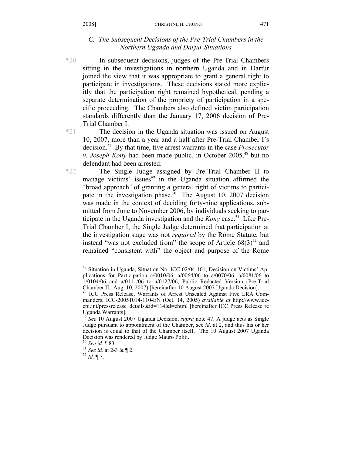#### *C. The Subsequent Decisions of the Pre-Trial Chambers in the Northern Uganda and Darfur Situations*

¶20 In subsequent decisions, judges of the Pre-Trial Chambers sitting in the investigations in northern Uganda and in Darfur joined the view that it was appropriate to grant a general right to participate in investigations. These decisions stated more explicitly that the participation right remained hypothetical, pending a separate determination of the propriety of participation in a specific proceeding. The Chambers also defined victim participation standards differently than the January 17, 2006 decision of Pre-Trial Chamber I.

¶21 The decision in the Uganda situation was issued on August 10, 2007, more than a year and a half after Pre-Trial Chamber I's decision.47 By that time, five arrest warrants in the case *Prosecutor v. Joseph Kony* had been made public, in October 2005,<sup>48</sup> but no defendant had been arrested.

¶22 The Single Judge assigned by Pre-Trial Chamber II to manage victims' issues<sup>49</sup> in the Uganda situation affirmed the "broad approach" of granting a general right of victims to participate in the investigation phase.<sup>50</sup> The August 10, 2007 decision was made in the context of deciding forty-nine applications, submitted from June to November 2006, by individuals seeking to participate in the Uganda investigation and the *Kony* case.<sup>51</sup> Like Pre-Trial Chamber I, the Single Judge determined that participation at the investigation stage was not *required* by the Rome Statute, but instead "was not excluded from" the scope of Article  $68(3)^{52}$  and remained "consistent with" the object and purpose of the Rome

<sup>47</sup> Situation in Uganda, Situation No. ICC-02/04-101, Decision on Victims' Applications for Participation a/0010/06, a/0064/06 to a/0070/06, a/0081/06 to  $1/0104/06$  and a/0111/06 to a/0127/06, Public Redacted Version (Pre-Trial Chamber II, Aug. 10, 2007) [hereinafter 10 August 2007 Uganda Decision].

<sup>48</sup> ICC Press Release, Warrants of Arrest Unsealed Against Five LRA Commanders, ICC-20051014-110-EN (Oct. 14, 2005) *available at* http://www.icccpi.int/pressrelease\_details&id=114&l=ehtml [hereinafter ICC Press Release re Uganda Warrants].

<sup>49</sup> *See* 10 August 2007 Uganda Decision, *supra* note 47. A judge acts as Single Judge pursuant to appointment of the Chamber, see *id*. at 2, and thus his or her decision is equal to that of the Chamber itself. The 10 August 2007 Uganda Decision was rendered by Judge Mauro Politi.<br><sup>50</sup> See id.  $\P$  83.

<sup>50</sup> *See id.* ¶ 83. 51 *See id.* at 2-3 & ¶ 2. 52 *Id.* ¶ 7.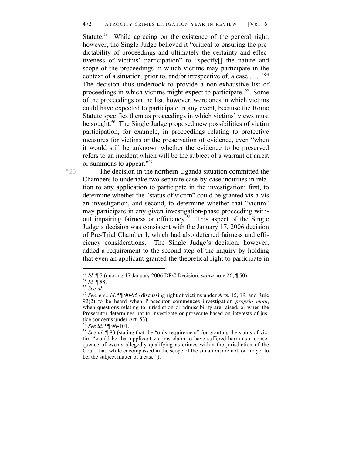Statute.<sup>53</sup> While agreeing on the existence of the general right, however, the Single Judge believed it "critical to ensuring the predictability of proceedings and ultimately the certainty and effectiveness of victims' participation" to "specify[] the nature and scope of the proceedings in which victims may participate in the context of a situation, prior to, and/or irrespective of, a case . . . ."54 The decision thus undertook to provide a non-exhaustive list of proceedings in which victims might expect to participate. 55 Some of the proceedings on the list, however, were ones in which victims could have expected to participate in any event, because the Rome Statute specifies them as proceedings in which victims' views must be sought.<sup>56</sup> The Single Judge proposed new possibilities of victim participation, for example, in proceedings relating to protective measures for victims or the preservation of evidence, even "when it would still be unknown whether the evidence to be preserved refers to an incident which will be the subject of a warrant of arrest or summons to appear."57

¶23 The decision in the northern Uganda situation committed the Chambers to undertake two separate case-by-case inquiries in relation to any application to participate in the investigation: first, to determine whether the "status of victim" could be granted vis-à-vis an investigation, and second, to determine whether that "victim" may participate in any given investigation-phase proceeding without impairing fairness or efficiency.58 This aspect of the Single Judge's decision was consistent with the January 17, 2006 decision of Pre-Trial Chamber I, which had also deferred fairness and efficiency considerations. The Single Judge's decision, however, added a requirement to the second step of the inquiry by holding that even an applicant granted the theoretical right to participate in

1

<sup>53</sup> *Id.* ¶ 7 (quoting 17 January 2006 DRC Decision, *supra* note 26, ¶ 50).<br><sup>54</sup> *Id.* ¶ 88.<br><sup>55</sup> *See id. Sof See, e.g., id.* ¶ 90-95 (discussing right of victims under Arts. 15, 19, and Rule

<sup>92(2)</sup> to be heard when Prosecutor commences investigation *proprio motu*, when questions relating to jurisdiction or admissibility are raised, or when the Prosecutor determines not to investigate or prosecute based on interests of justice concerns under Art. 53).<br> $57$  See id.  $\P$ [96-101.

<sup>&</sup>lt;sup>58</sup> *See id.* ¶ 83 (stating that the "only requirement" for granting the status of victim "would be that applicant victims claim to have suffered harm as a consequence of events allegedly qualifying as crimes within the jurisdiction of the Court that, while encompassed in the scope of the situation, are not, or are yet to be, the subject matter of a case.").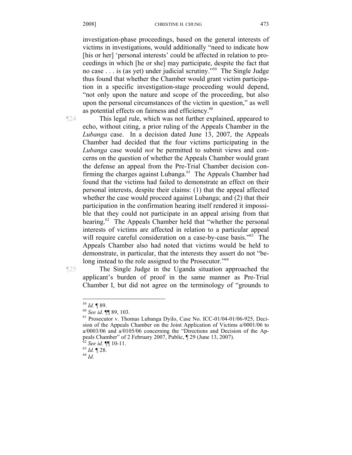investigation-phase proceedings, based on the general interests of victims in investigations, would additionally "need to indicate how [his or her] 'personal interests' could be affected in relation to proceedings in which [he or she] may participate, despite the fact that no case . . . is (as yet) under judicial scrutiny."59 The Single Judge thus found that whether the Chamber would grant victim participation in a specific investigation-stage proceeding would depend, "not only upon the nature and scope of the proceeding, but also upon the personal circumstances of the victim in question," as well as potential effects on fairness and efficiency.<sup>60</sup>

¶24 This legal rule, which was not further explained, appeared to echo, without citing, a prior ruling of the Appeals Chamber in the *Lubanga* case. In a decision dated June 13, 2007, the Appeals Chamber had decided that the four victims participating in the *Lubanga* case would *not* be permitted to submit views and concerns on the question of whether the Appeals Chamber would grant the defense an appeal from the Pre-Trial Chamber decision confirming the charges against Lubanga.<sup>61</sup> The Appeals Chamber had found that the victims had failed to demonstrate an effect on their personal interests, despite their claims: (1) that the appeal affected whether the case would proceed against Lubanga; and (2) that their participation in the confirmation hearing itself rendered it impossible that they could not participate in an appeal arising from that hearing.<sup>62</sup> The Appeals Chamber held that "whether the personal interests of victims are affected in relation to a particular appeal will require careful consideration on a case-by-case basis."<sup>63</sup> The Appeals Chamber also had noted that victims would be held to demonstrate, in particular, that the interests they assert do not "belong instead to the role assigned to the Prosecutor."<sup>64</sup>

¶25 The Single Judge in the Uganda situation approached the applicant's burden of proof in the same manner as Pre-Trial Chamber I, but did not agree on the terminology of "grounds to

<sup>&</sup>lt;sup>59</sup> *Id.* ¶ 89.<br><sup>60</sup> *See id.* ¶¶ 89, 103.<br><sup>61</sup> Prosecutor v. Thomas Lubanga Dyilo, Case No. ICC-01/04-01/06-925, Decision of the Appeals Chamber on the Joint Application of Victims a/0001/06 to a/0003/06 and a/0105/06 concerning the "Directions and Decision of the Appeals Chamber" of 2 February 2007, Public, ¶ 29 (June 13, 2007).

<sup>62</sup> *See id.* ¶¶ 10-11. 63 *Id.* ¶ 28. 64 *Id.*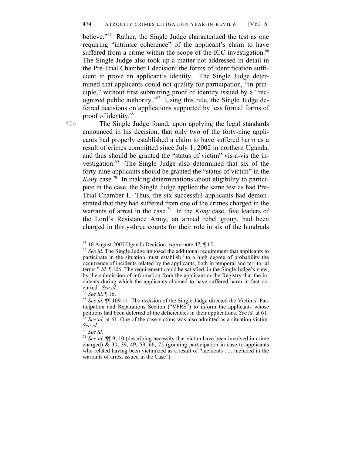believe."<sup>65</sup> Rather, the Single Judge characterized the test as one requiring "intrinsic coherence" of the applicant's claim to have suffered from a crime within the scope of the ICC investigation.<sup>66</sup> The Single Judge also took up a matter not addressed in detail in the Pre-Trial Chamber I decision: the forms of identification sufficient to prove an applicant's identity. The Single Judge determined that applicants could not qualify for participation, "in principle," without first submitting proof of identity issued by a "recognized public authority."67 Using this rule, the Single Judge deferred decisions on applications supported by less formal forms of proof of identity.<sup>68</sup>

¶26 The Single Judge found, upon applying the legal standards announced in his decision, that only two of the forty-nine applicants had properly established a claim to have suffered harm as a result of crimes committed since July 1, 2002 in northern Uganda, and thus should be granted the "status of victim" vis-a-vis the investigation.<sup>69</sup> The Single Judge also determined that six of the forty-nine applicants should be granted the "status of victim" in the *Kony* case.<sup>70</sup> In making determinations about eligibility to participate in the case, the Single Judge applied the same test as had Pre-Trial Chamber I. Thus, the six successful applicants had demonstrated that they had suffered from one of the crimes charged in the warrants of arrest in the case.<sup>71</sup> In the *Kony* case, five leaders of the Lord's Resistance Army, an armed rebel group, had been charged in thirty-three counts for their role in six of the hundreds

<sup>65 10</sup> August 2007 Uganda Decision, *supra* note 47*,* ¶ 15. 66 *See id*. The Single Judge imposed the additional requirement that applicants to participate in the situation must establish "to a high degree of probability the occurrence of incidents related by the applicants, both in temporal and territorial terms." *Id*. ¶ 106. The requirement could be satisfied, in the Single Judge's view, by the submission of information from the applicant or the Registry that the incidents during which the applicants claimed to have suffered harm in fact occurred. *See id.* **[16]**<br><sup>67</sup> *See id.* **[16]**<br><sup>68</sup> *See id.* **[11** 109-11. The decision of the Single Judge directed the Victims' Par-

ticipation and Reparations Section ("VPRS") to inform the applicants whose petitions had been deferred of the deficiencies in their applications. See id. at 61. <sup>59</sup> *See id.* at 61. One of the case victims was also admitted as a situation victim. *See id.* 

*See id*. 70 *See id.* <sup>71</sup> *See id*. ¶¶ 9, 10 (describing necessity that victim have been involved in crime charged)  $\&$  30, 39, 49, 59, 66, 75 (granting participation in case to applicants who related having been victimized as a result of "incidents . . . included in the warrants of arrest issued in the Case").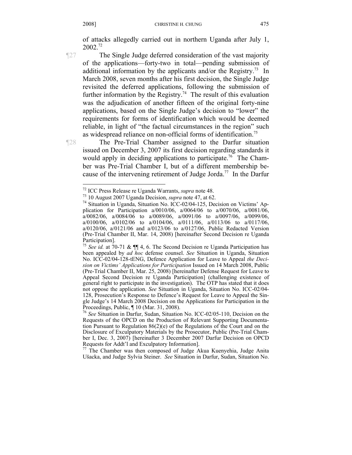of attacks allegedly carried out in northern Uganda after July 1, 2002.72

¶27 The Single Judge deferred consideration of the vast majority of the applications—forty-two in total—pending submission of additional information by the applicants and/or the Registry.<sup>73</sup> In March 2008, seven months after his first decision, the Single Judge revisited the deferred applications, following the submission of further information by the Registry.<sup>74</sup> The result of this evaluation was the adjudication of another fifteen of the original forty-nine applications, based on the Single Judge's decision to "lower" the requirements for forms of identification which would be deemed reliable, in light of "the factual circumstances in the region" such as widespread reliance on non-official forms of identification.<sup>75</sup>

¶28 The Pre-Trial Chamber assigned to the Darfur situation issued on December 3, 2007 its first decision regarding standards it would apply in deciding applications to participate.<sup>76</sup> The Chamber was Pre-Trial Chamber I, but of a different membership because of the intervening retirement of Judge Jorda.<sup>77</sup> In the Darfur

 $77$  The Chamber was then composed of Judge Akua Kuenyehia, Judge Anita Ušacka, and Judge Sylvia Steiner. *See* Situation in Darfur, Sudan, Situation No.

<sup>&</sup>lt;sup>72</sup> ICC Press Release re Uganda Warrants, *supra* note 48.

<sup>&</sup>lt;sup>73</sup> 10 August 2007 Uganda Decision, *supra* note 47, at 62.<br><sup>74</sup> Situation in Uganda, Situation No. ICC-02/04-125, Decision on Victims' Application for Participation a/0010/06, a/0064/06 to a/0070/06, a/0081/06,  $a/0082/06$ ,  $a/0084/06$  to  $a/0089/06$ ,  $a/0091/06$  to  $a/0097/06$ ,  $a/0099/06$ , a/0100/06, a/0102/06 to a/0104/06, a/0111/06, a/0113/06 to a/0117/06, a/0120/06, a/0121/06 and a/0123/06 to a/0127/06, Public Redacted Version (Pre-Trial Chamber II, Mar. 14, 2008) [hereinafter Second Decision re Uganda Participation].

<sup>75</sup> *See id.* at 70-71 & ¶¶ 4, 6. The Second Decision re Uganda Participation has been appealed by *ad hoc* defense counsel. *See* Situation in Uganda, Situation No. ICC-02/04-128-tENG, Defence Application for Leave to Appeal *the Decision on Victims' Applications for Participation* Issued on 14 March 2008, Public (Pre-Trial Chamber II, Mar. 25, 2008) [hereinafter Defense Request for Leave to Appeal Second Decision re Uganda Participation] (challenging existence of general right to participate in the investigation). The OTP has stated that it does not oppose the application. *See* Situation in Uganda, Situation No. ICC-02/04- 128, Prosecution's Response to Defence's Request for Leave to Appeal the Single Judge's 14 March 2008 Decision on the Applications for Participation in the Proceedings, Public, ¶ 10 (Mar. 31, 2008).

<sup>76</sup> *See* Situation in Darfur, Sudan, Situation No. ICC-02/05-110, Decision on the Requests of the OPCD on the Production of Relevant Supporting Documentation Pursuant to Regulation  $86(2)(e)$  of the Regulations of the Court and on the Disclosure of Exculpatory Materials by the Prosecutor, Public (Pre-Trial Chamber I, Dec. 3, 2007) [hereinafter 3 December 2007 Darfur Decision on OPCD Requests for Addt'l and Exculpatory Information].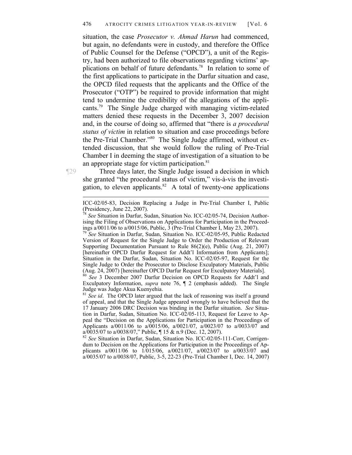situation, the case *Prosecutor v. Ahmad Harun* had commenced, but again, no defendants were in custody, and therefore the Office of Public Counsel for the Defense ("OPCD"), a unit of the Registry, had been authorized to file observations regarding victims' applications on behalf of future defendants.<sup>78</sup> In relation to some of the first applications to participate in the Darfur situation and case, the OPCD filed requests that the applicants and the Office of the Prosecutor ("OTP") be required to provide information that might tend to undermine the credibility of the allegations of the applicants.79 The Single Judge charged with managing victim-related matters denied these requests in the December 3, 2007 decision and, in the course of doing so, affirmed that "there is *a procedural status of victim* in relation to situation and case proceedings before the Pre-Trial Chamber."80 The Single Judge affirmed, without extended discussion, that she would follow the ruling of Pre-Trial Chamber I in deeming the stage of investigation of a situation to be an appropriate stage for victim participation. $81$ 

¶29 Three days later, the Single Judge issued a decision in which she granted "the procedural status of victim," vis-à-vis the investigation, to eleven applicants. $82$  A total of twenty-one applications

<sup>79</sup> *See* Situation in Darfur, Sudan, Situation No. ICC-02/05-95, Public Redacted Version of Request for the Single Judge to Order the Production of Relevant Supporting Documentation Pursuant to Rule 86(2)(e), Public (Aug. 21, 2007) [hereinafter OPCD Darfur Request for Addt'l Information from Applicants]; Situation in the Darfur, Sudan, Situation No. ICC-02/05-97, Request for the Single Judge to Order the Prosecutor to Disclose Exculpatory Materials, Public (Aug. 24, 2007) [hereinafter OPCD Darfur Request for Exculpatory Materials].

<sup>80</sup> *See* 3 December 2007 Darfur Decision on OPCD Requests for Addt'l and Exculpatory Information, *supra* note 76, ¶ 2 (emphasis added). The Single Judge was Judge Akua Kuenyehia.

<sup>81</sup> *See id.* The OPCD later argued that the lack of reasoning was itself a ground of appeal, and that the Single Judge appeared wrongly to have believed that the 17 January 2006 DRC Decision was binding in the Darfur situation. *See* Situation in Darfur, Sudan, Situation No. ICC-02/05-113, Request for Leave to Appeal the "Decision on the Applications for Participation in the Proceedings of Applicants a/0011/06 to a/0015/06, a/0021/07, a/0023/07 to a/0033/07 and a/0035/07 to a/0038/07," Public, ¶ 15 & n.9 (Dec. 12, 2007).

<sup>82</sup> *See* Situation in Darfur, Sudan, Situation No. ICC-02/05-111-Corr, Corrigendum to Decision on the Applications for Participation in the Proceedings of Applicants a/0011/06 to 1/015/06, a/0021/07, a/0023/07 to a/0033/07 and a/0035/07 to a/0038/07, Public, 3-5, 22-23 (Pre-Trial Chamber I, Dec. 14, 2007)

ICC-02/05-83, Decision Replacing a Judge in Pre-Trial Chamber I, Public (Presidency, June 22, 2007).

<sup>78</sup> *See* Situation in Darfur, Sudan, Situation No. ICC-02/05-74, Decision Authorising the Filing of Observations on Applications for Participation in the Proceedings a/0011/06 to a/0015/06, Public, 3 (Pre-Trial Chamber I, May 23, 2007).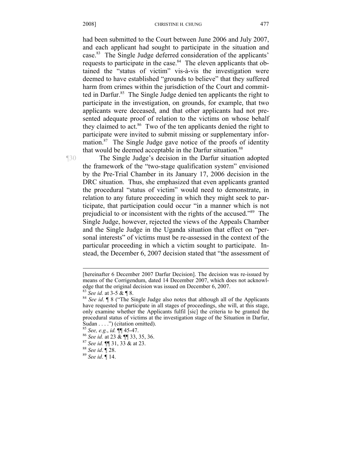#### 2008] CHRISTINE H. CHUNG

had been submitted to the Court between June 2006 and July 2007, and each applicant had sought to participate in the situation and case.83 The Single Judge deferred consideration of the applicants' requests to participate in the case.<sup>84</sup> The eleven applicants that obtained the "status of victim" vis-à-vis the investigation were deemed to have established "grounds to believe" that they suffered harm from crimes within the jurisdiction of the Court and committed in Darfur.<sup>85</sup> The Single Judge denied ten applicants the right to participate in the investigation, on grounds, for example, that two applicants were deceased, and that other applicants had not presented adequate proof of relation to the victims on whose behalf they claimed to act.<sup>86</sup> Two of the ten applicants denied the right to participate were invited to submit missing or supplementary information. $87$  The Single Judge gave notice of the proofs of identity that would be deemed acceptable in the Darfur situation.<sup>88</sup>

¶30 The Single Judge's decision in the Darfur situation adopted the framework of the "two-stage qualification system" envisioned by the Pre-Trial Chamber in its January 17, 2006 decision in the DRC situation. Thus, she emphasized that even applicants granted the procedural "status of victim" would need to demonstrate, in relation to any future proceeding in which they might seek to participate, that participation could occur "in a manner which is not prejudicial to or inconsistent with the rights of the accused."89 The Single Judge, however, rejected the views of the Appeals Chamber and the Single Judge in the Uganda situation that effect on "personal interests" of victims must be re-assessed in the context of the particular proceeding in which a victim sought to participate. Instead, the December 6, 2007 decision stated that "the assessment of

<sup>[</sup>hereinafter 6 December 2007 Darfur Decision]. The decision was re-issued by means of the Corrigendum, dated 14 December 2007, which does not acknowledge that the original decision was issued on December 6, 2007.<br><sup>83</sup> *See id.* at 3-5 & ¶ 8. <sup>84</sup> *See id.* ¶ 8 ("The Single Judge also notes that although all of the Applicants

have requested to participate in all stages of proceedings, she will, at this stage, only examine whether the Applicants fulfil [sic] the criteria to be granted the procedural status of victims at the investigation stage of the Situation in Darfur, Sudan . . . .") (citation omitted).<br><sup>85</sup> See, e.g., id.  $\P$  45-47.

<sup>85</sup> *See, e.g.*, *id.* ¶¶ 45-47. 86 *See id.* at 23 & ¶¶ 33, 35, 36. 87 *See id.* ¶¶ 31, 33 & at 23. 88 *See id*. ¶ 28. 89 *See id*. ¶ 14.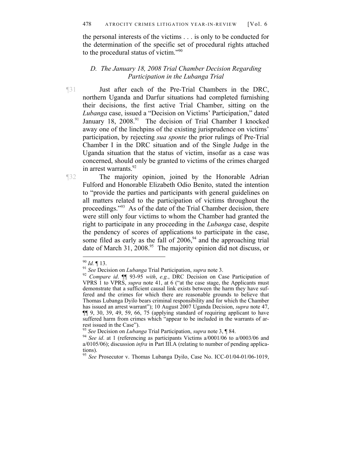the personal interests of the victims . . . is only to be conducted for the determination of the specific set of procedural rights attached to the procedural status of victim."90

### *D. The January 18, 2008 Trial Chamber Decision Regarding Participation in the Lubanga Trial*

¶31 Just after each of the Pre-Trial Chambers in the DRC, northern Uganda and Darfur situations had completed furnishing their decisions, the first active Trial Chamber, sitting on the *Lubanga* case, issued a "Decision on Victims' Participation," dated January 18, 2008.<sup>91</sup> The decision of Trial Chamber I knocked away one of the linchpins of the existing jurisprudence on victims' participation, by rejecting *sua sponte* the prior rulings of Pre-Trial Chamber I in the DRC situation and of the Single Judge in the Uganda situation that the status of victim, insofar as a case was concerned, should only be granted to victims of the crimes charged in arrest warrants.<sup>92</sup>

¶32 The majority opinion, joined by the Honorable Adrian Fulford and Honorable Elizabeth Odio Benito, stated the intention to "provide the parties and participants with general guidelines on all matters related to the participation of victims throughout the proceedings."93 As of the date of the Trial Chamber decision, there were still only four victims to whom the Chamber had granted the right to participate in any proceeding in the *Lubanga* case, despite the pendency of scores of applications to participate in the case, some filed as early as the fall of  $2006<sup>94</sup>$  and the approaching trial date of March 31, 2008.<sup>95</sup> The majority opinion did not discuss, or

 $90$  *Id.*  $\llbracket$  13.

<sup>90</sup> *Id.* ¶ 13. 91 *See* Decision on *Lubanga* Trial Participation, *supra* note 3. 92 *Compare id*. ¶¶ 93-95 *with*, *e.g.*, DRC Decision on Case Participation of VPRS 1 to VPRS, *supra* note 41, at 6 ("at the case stage, the Applicants must demonstrate that a sufficient causal link exists between the harm they have suffered and the crimes for which there are reasonable grounds to believe that Thomas Lubanga Dyilo bears criminal responsibility and for which the Chamber has issued an arrest warrant"); 10 August 2007 Uganda Decision, *supra* note 47, ¶¶ 9, 30, 39, 49, 59, 66, 75 (applying standard of requiring applicant to have suffered harm from crimes which "appear to be included in the warrants of arrest issued in the Case").<br><sup>93</sup> See Decision on *Lubanga* Trial Participation, *supra* note 3, ¶ 84.

<sup>&</sup>lt;sup>94</sup> See id. at 1 (referencing as participants Victims a/0001/06 to a/0003/06 and a/0105/06); discussion *infra* in Part III.A (relating to number of pending applications).

<sup>95</sup> *See* Prosecutor v. Thomas Lubanga Dyilo, Case No. ICC-01/04-01/06-1019,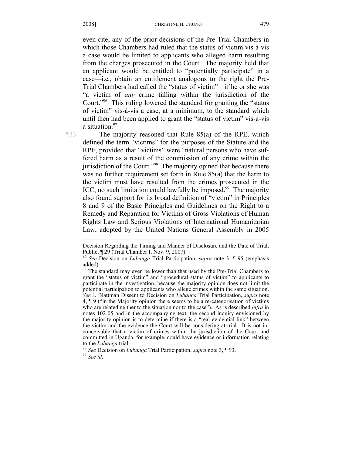even cite, any of the prior decisions of the Pre-Trial Chambers in which those Chambers had ruled that the status of victim vis-à-vis a case would be limited to applicants who alleged harm resulting from the charges prosecuted in the Court. The majority held that an applicant would be entitled to "potentially participate" in a case—i.e*.,* obtain an entitlement analogous to the right the Pre-Trial Chambers had called the "status of victim"—if he or she was "a victim of *any* crime falling within the jurisdiction of the Court."96 This ruling lowered the standard for granting the "status of victim" vis-à-vis a case, at a minimum, to the standard which until then had been applied to grant the "status of victim" vis-à-vis a situation.<sup>97</sup>

 $\overline{a}$ 

¶33 The majority reasoned that Rule 85(a) of the RPE, which defined the term "victims" for the purposes of the Statute and the RPE, provided that "victims" were "natural persons who have suffered harm as a result of the commission of any crime within the jurisdiction of the Court."<sup>98</sup> The majority opined that because there was no further requirement set forth in Rule 85(a) that the harm to the victim must have resulted from the crimes prosecuted in the ICC, no such limitation could lawfully be imposed.<sup>99</sup> The majority also found support for its broad definition of "victim" in Principles 8 and 9 of the Basic Principles and Guidelines on the Right to a Remedy and Reparation for Victims of Gross Violations of Human Rights Law and Serious Violations of International Humanitarian Law, adopted by the United Nations General Assembly in 2005

Decision Regarding the Timing and Manner of Disclosure and the Date of Trial, Public, ¶ 29 (Trial Chamber I, Nov. 9, 2007).

<sup>96</sup> *See* Decision on *Lubanga* Trial Participation, *supra* note 3, ¶ 95 (emphasis added).

 $97$  The standard may even be lower than that used by the Pre-Trial Chambers to grant the "status of victim" and "procedural status of victim" to applicants to participate in the investigation, because the majority opinion does not limit the potential participation to applicants who allege crimes within the same situation. *See* J. Blattman Dissent to Decision on *Lubanga* Trial Participation, *supra* note 4, ¶ 9 ("in the Majority opinion there seems to be a re-categorisation of victims who are related neither to the situation nor to the case"). As is described *infra* in notes 102-05 and in the accompanying text, the second inquiry envisioned by the majority opinion is to determine if there is a "real evidential link" between the victim and the evidence the Court will be considering at trial. It is not inconceivable that a victim of crimes within the jurisdiction of the Court and committed in Uganda, for example, could have evidence or information relating

to the *Lubanga* trial. 98 *See* Decision on *Lubanga* Trial Participation, *supra* note 3, ¶ 93. 99 *See id*.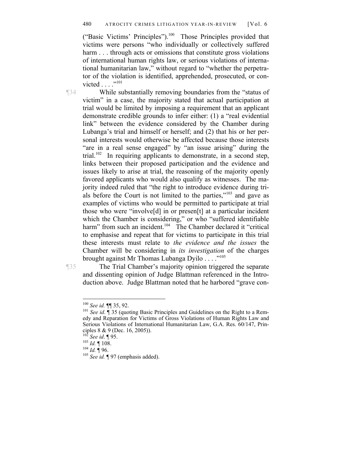#### 480 ATROCITY CRIMES LITIGATION YEAR-IN-REVIEW [Vol. 6

("Basic Victims' Principles").100 Those Principles provided that victims were persons "who individually or collectively suffered harm . . . through acts or omissions that constitute gross violations of international human rights law, or serious violations of international humanitarian law," without regard to "whether the perpetrator of the violation is identified, apprehended, prosecuted, or convicted  $\ldots$  .  $\cdot$  . 101

¶34 While substantially removing boundaries from the "status of victim" in a case, the majority stated that actual participation at trial would be limited by imposing a requirement that an applicant demonstrate credible grounds to infer either: (1) a "real evidential link" between the evidence considered by the Chamber during Lubanga's trial and himself or herself; and (2) that his or her personal interests would otherwise be affected because those interests "are in a real sense engaged" by "an issue arising" during the trial.<sup>102</sup> In requiring applicants to demonstrate, in a second step, links between their proposed participation and the evidence and issues likely to arise at trial, the reasoning of the majority openly favored applicants who would also qualify as witnesses. The majority indeed ruled that "the right to introduce evidence during trials before the Court is not limited to the parties,"103 and gave as examples of victims who would be permitted to participate at trial those who were "involve[d] in or presen[t] at a particular incident which the Chamber is considering," or who "suffered identifiable harm" from such an incident.<sup>104</sup> The Chamber declared it "critical to emphasise and repeat that for victims to participate in this trial these interests must relate to *the evidence and the issues* the Chamber will be considering in *its investigation* of the charges brought against Mr Thomas Lubanga Dyilo . . . ."105

1

¶35 The Trial Chamber's majority opinion triggered the separate and dissenting opinion of Judge Blattman referenced in the Introduction above. Judge Blattman noted that he harbored "grave con-

<sup>&</sup>lt;sup>100</sup> *See id.*  $\P$  35, 92.<br><sup>101</sup> *See id.*  $\P$  35 (quoting Basic Principles and Guidelines on the Right to a Remedy and Reparation for Victims of Gross Violations of Human Rights Law and Serious Violations of International Humanitarian Law, G.A. Res. 60/147, Principles 8 & 9 (Dec. 16, 2005)).<br><sup>102</sup> See id. ¶ 95.

<sup>102</sup> *See id*. ¶ 95. 103 *Id.* ¶ 108. 104 *Id.* ¶ 96. 105 *See id.* ¶ 97 (emphasis added).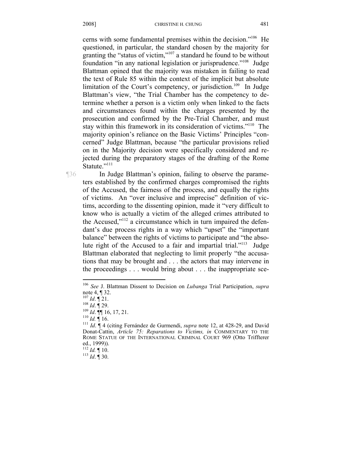cerns with some fundamental premises within the decision."106 He questioned, in particular, the standard chosen by the majority for granting the "status of victim,"107 a standard he found to be without foundation "in any national legislation or jurisprudence."108 Judge Blattman opined that the majority was mistaken in failing to read the text of Rule 85 within the context of the implicit but absolute limitation of the Court's competency, or jurisdiction.<sup>109</sup> In Judge Blattman's view, "the Trial Chamber has the competency to determine whether a person is a victim only when linked to the facts and circumstances found within the charges presented by the prosecution and confirmed by the Pre-Trial Chamber, and must stay within this framework in its consideration of victims."<sup>110</sup> The majority opinion's reliance on the Basic Victims' Principles "concerned" Judge Blattman, because "the particular provisions relied on in the Majority decision were specifically considered and rejected during the preparatory stages of the drafting of the Rome Statute."<sup>111</sup>

¶36 In Judge Blattman's opinion, failing to observe the parameters established by the confirmed charges compromised the rights of the Accused, the fairness of the process, and equally the rights of victims. An "over inclusive and imprecise" definition of victims, according to the dissenting opinion, made it "very difficult to know who is actually a victim of the alleged crimes attributed to the Accused,"112 a circumstance which in turn impaired the defendant's due process rights in a way which "upset" the "important balance" between the rights of victims to participate and "the absolute right of the Accused to a fair and impartial trial."113 Judge Blattman elaborated that neglecting to limit properly "the accusations that may be brought and . . . the actors that may intervene in the proceedings . . . would bring about . . . the inappropriate sce-

<sup>106</sup> *See* J. Blattman Dissent to Decision on *Lubanga* Trial Participation, *supra*  note 4, ¶ 32.<br> $^{107}$  *Id*. ¶ 21.

<sup>107</sup> *Id*. ¶ 21. 108 *Id*. ¶ 29. 109 *Id*. ¶¶ 16, 17, 21. 110 *Id.* ¶ 16. 111 *Id*. ¶ 4 (citing Fernández de Gurmendi, *supra* note 12, at 428-29, and David Donat-Cattin, *Article 75: Reparations to Victims, in* COMMENTARY TO THE ROME STATUE OF THE INTERNATIONAL CRIMINAL COURT 969 (Otto Triffterer ed., 1999)).<br><sup>112</sup> Id. ¶ 10.

<sup>112</sup> *Id.* ¶ 10. 113 *Id*. ¶ 30.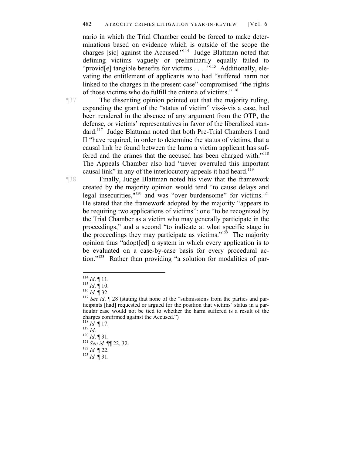#### 482 ATROCITY CRIMES LITIGATION YEAR-IN-REVIEW [Vol. 6

nario in which the Trial Chamber could be forced to make determinations based on evidence which is outside of the scope the charges [sic] against the Accused."114 Judge Blattman noted that defining victims vaguely or preliminarily equally failed to "provid[e] tangible benefits for victims . . . ."<sup>115</sup> Additionally, elevating the entitlement of applicants who had "suffered harm not linked to the charges in the present case" compromised "the rights of those victims who do fulfill the criteria of victims."116

¶37 The dissenting opinion pointed out that the majority ruling, expanding the grant of the "status of victim" vis-à-vis a case, had been rendered in the absence of any argument from the OTP, the defense, or victims' representatives in favor of the liberalized standard.117 Judge Blattman noted that both Pre-Trial Chambers I and II "have required, in order to determine the status of victims, that a causal link be found between the harm a victim applicant has suffered and the crimes that the accused has been charged with."<sup>118</sup> The Appeals Chamber also had "never overruled this important causal link" in any of the interlocutory appeals it had heard.<sup>119</sup>

¶38 Finally, Judge Blattman noted his view that the framework created by the majority opinion would tend "to cause delays and legal insecurities,"<sup>120</sup> and was "over burdensome" for victims.<sup>121</sup> He stated that the framework adopted by the majority "appears to be requiring two applications of victims": one "to be recognized by the Trial Chamber as a victim who may generally participate in the proceedings," and a second "to indicate at what specific stage in the proceedings they may participate as victims." $12^2$  The majority opinion thus "adopt[ed] a system in which every application is to be evaluated on a case-by-case basis for every procedural action."123 Rather than providing "a solution for modalities of par-

119 *Id.* <br>
<sup>120</sup> *Id.* **f** 31.<br>
<sup>121</sup> *See id.* **f** 122, 32.<br>
<sup>122</sup> *Id.* **f** 22.<br>
<sup>123</sup> *Id.* **f** 31.

 $114$  *Id.* 11.

<sup>115</sup> *Id*.  $\mathbf{I} = \begin{bmatrix} 116 \\ 16 \end{bmatrix}$  **11.** 116 *Id*. **[16]** 32. 116 *Id*. **[16]** 32. 117 *See id*. **[1** 28 (stating that none of the "submissions from the parties and participants [had] requested or argued for the position that victims' status in a particular case would not be tied to whether the harm suffered is a result of the charges confirmed against the Accused.")  $\frac{118}{116}$  *Id.* ¶ 17.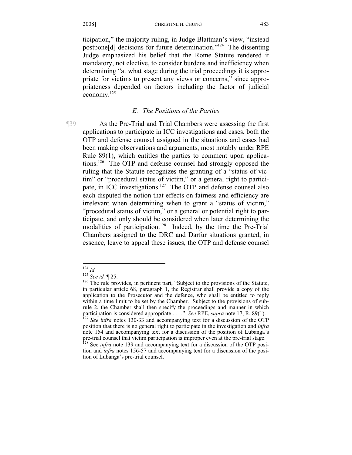ticipation," the majority ruling, in Judge Blattman's view, "instead postpone[d] decisions for future determination."124 The dissenting Judge emphasized his belief that the Rome Statute rendered it mandatory, not elective, to consider burdens and inefficiency when determining "at what stage during the trial proceedings it is appropriate for victims to present any views or concerns," since appropriateness depended on factors including the factor of judicial economy.<sup>125</sup>

#### *E. The Positions of the Parties*

¶39 As the Pre-Trial and Trial Chambers were assessing the first applications to participate in ICC investigations and cases, both the OTP and defense counsel assigned in the situations and cases had been making observations and arguments, most notably under RPE Rule 89(1), which entitles the parties to comment upon applications.126 The OTP and defense counsel had strongly opposed the ruling that the Statute recognizes the granting of a "status of victim" or "procedural status of victim," or a general right to participate, in ICC investigations.<sup>127</sup> The OTP and defense counsel also each disputed the notion that effects on fairness and efficiency are irrelevant when determining when to grant a "status of victim," "procedural status of victim," or a general or potential right to participate, and only should be considered when later determining the modalities of participation.<sup>128</sup> Indeed, by the time the Pre-Trial Chambers assigned to the DRC and Darfur situations granted, in essence, leave to appeal these issues, the OTP and defense counsel

 $124$  Id

<sup>&</sup>lt;sup>125</sup> *See id.* ¶ 25. <sup>126</sup> The rule provides, in pertinent part, "Subject to the provisions of the Statute, in particular article 68, paragraph 1, the Registrar shall provide a copy of the application to the Prosecutor and the defence, who shall be entitled to reply within a time limit to be set by the Chamber. Subject to the provisions of subrule 2, the Chamber shall then specify the proceedings and manner in which participation is considered appropriate . . . ." *See* RPE, *supra* note 17, R. 89(1). <sup>127</sup> *See infra* notes 130-33 and accompanying text for a discussion of the OTP

position that there is no general right to participate in the investigation and *infra*  note 154 and accompanying text for a discussion of the position of Lubanga's pre-trial counsel that victim participation is improper even at the pre-trial stage.<br><sup>128</sup> See *infra* note 139 and accompanying text for a discussion of the OTP posi-

tion and *infra* notes 156-57 and accompanying text for a discussion of the position of Lubanga's pre-trial counsel.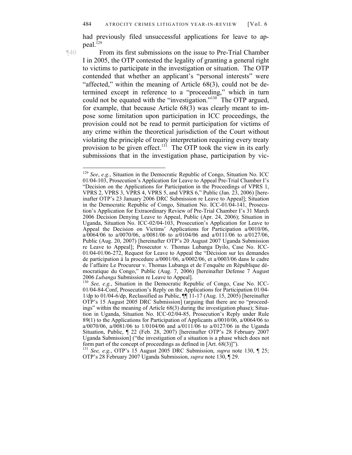had previously filed unsuccessful applications for leave to appeal.<sup>129</sup>

1

¶40 From its first submissions on the issue to Pre-Trial Chamber I in 2005, the OTP contested the legality of granting a general right to victims to participate in the investigation or situation. The OTP contended that whether an applicant's "personal interests" were "affected," within the meaning of Article 68(3), could not be determined except in reference to a "proceeding," which in turn could not be equated with the "investigation."<sup>130</sup> The OTP argued, for example, that because Article 68(3) was clearly meant to impose some limitation upon participation in ICC proceedings, the provision could not be read to permit participation for victims of any crime within the theoretical jurisdiction of the Court without violating the principle of treaty interpretation requiring every treaty provision to be given effect.<sup>131</sup> The OTP took the view in its early submissions that in the investigation phase, participation by vic-

<sup>129</sup> *See*, *e.g.*, Situation in the Democratic Republic of Congo, Situation No. ICC 01/04-103, Prosecution's Application for Leave to Appeal Pre-Trial Chamber I's "Decision on the Applications for Participation in the Proceedings of VPRS 1, VPRS 2, VPRS 3, VPRS 4, VPRS 5, and VPRS 6," Public (Jan. 23, 2006) [hereinafter OTP's 23 January 2006 DRC Submission re Leave to Appeal]; Situation in the Democratic Republic of Congo, Situation No. ICC-01/04-141, Prosecution's Application for Extraordinary Review of Pre-Trial Chamber I's 31 March 2006 Decision Denying Leave to Appeal, Public (Apr. 24, 2006); Situation in Uganda, Situation No. ICC-02/04-103, Prosecution's Application for Leave to Appeal the Decision on Victims' Applications for Participation a/0010/06, a/0064/06 to a/0070/06, a/0081/06 to a/0104/06 and a/0111/06 to a/0127/06, Public (Aug. 20, 2007) [hereinafter OTP's 20 August 2007 Uganda Submission re Leave to Appeal]; Prosecutor v. Thomas Lubanga Dyilo, Case No. ICC-01/04-01/06-272, Request for Leave to Appeal the "Décision sur les demandes de participation à la procedure a/0001/06, a/0002/06, et a/0003/06 dans le cadre de l'affaire Le Procureur v. Thomas Lubanga et de l'enquête en République démocratique du Congo," Public (Aug. 7, 2006) [hereinafter Defense 7 August

<sup>2006</sup>*Lubanga* Submission re Leave to Appeal]. 130 *See, e.g.*, Situation in the Democratic Republic of Congo, Case No. ICC-01/04-84-Conf, Prosecution's Reply on the Applications for Participation 01/04- 1/dp to 01/04-6/dp, Reclassified as Public, ¶¶ 11-17 (Aug. 15, 2005) [hereinafter OTP's 15 August 2005 DRC Submission] (arguing that there are no "proceedings" within the meaning of Article 68(3) during the investigation phase); Situation in Uganda, Situation No. ICC-02/04-85, Prosecution's Reply under Rule 89(1) to the Applications for Participation of Applicants a/0010/06, a/0064/06 to a/0070/06, a/0081/06 to 1/0104/06 and a/0111/06 to a/0127/06 in the Uganda Situation, Public, ¶ 22 (Feb. 28, 2007) [hereinafter OTP's 28 February 2007 Uganda Submission] ("the investigation of a situation is a phase which does not

form part of the concept of proceedings as defined in [Art. 68(3)]"). 131 *See, e.g.*, OTP's 15 August 2005 DRC Submission, *supra* note 130, ¶ 25; OTP's 28 February 2007 Uganda Submission, *supra* note 130, ¶ 29.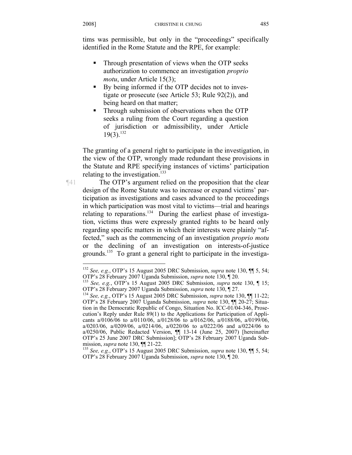tims was permissible, but only in the "proceedings" specifically identified in the Rome Statute and the RPE, for example:

- Through presentation of views when the OTP seeks authorization to commence an investigation *proprio motu*, under Article 15(3);
- By being informed if the OTP decides not to investigate or prosecute (see Article 53; Rule 92(2)), and being heard on that matter;
- Through submission of observations when the OTP seeks a ruling from the Court regarding a question of jurisdiction or admissibility, under Article  $19(3).^{132}$

The granting of a general right to participate in the investigation, in the view of the OTP, wrongly made redundant these provisions in the Statute and RPE specifying instances of victims' participation relating to the investigation.<sup>133</sup>

¶41 The OTP's argument relied on the proposition that the clear design of the Rome Statute was to increase or expand victims' participation as investigations and cases advanced to the proceedings in which participation was most vital to victims—trial and hearings relating to reparations.<sup>134</sup> During the earliest phase of investigation, victims thus were expressly granted rights to be heard only regarding specific matters in which their interests were plainly "affected," such as the commencing of an investigation *proprio motu* or the declining of an investigation on interests-of-justice grounds.<sup>135</sup> To grant a general right to participate in the investiga-

1

<sup>132</sup> *See, e.g.*, OTP's 15 August 2005 DRC Submission, *supra* note 130, ¶¶ 5, 54;

<sup>&</sup>lt;sup>133</sup> See, e.g., OTP's 15 August 2005 DRC Submission, *supra* note 130, ¶ 15; OTP's 28 February 2007 Uganda Submission, *supra* note 130, ¶ 27.

<sup>&</sup>lt;sup>134</sup> See, e.g., OTP's 15 August 2005 DRC Submission, *supra* note 130, ¶[ 11-22; OTP's 28 February 2007 Uganda Submission, *supra* note 130, ¶¶ 20-27; Situation in the Democratic Republic of Congo, Situation No. ICC-01/04-346, Prosecution's Reply under Rule 89(1) to the Applications for Participation of Applicants a/0106/06 to a/0110/06, a/0128/06 to a/0162/06, a/0188/06, a/0199/06, a/0203/06, a/0209/06, a/0214/06, a/0220/06 to a/0222/06 and a/0224/06 to a/0250/06, Public Redacted Version, ¶¶ 13-14 (June 25, 2007) [hereinafter OTP's 25 June 2007 DRC Submission]; OTP's 28 February 2007 Uganda Submission, *supra* note 130, ¶¶ 21-22.<br><sup>135</sup> *See, e.g.*, OTP's 15 August 2005 DRC Submission, *supra* note 130, ¶¶ 5, 54;

OTP's 28 February 2007 Uganda Submission, *supra* note 130, ¶ 20.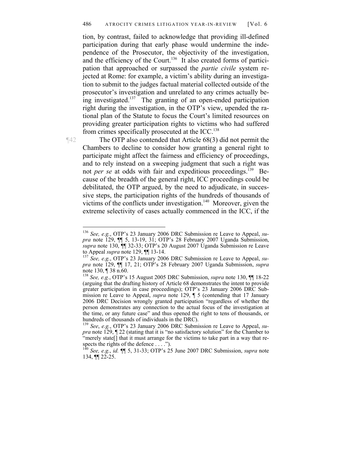tion, by contrast, failed to acknowledge that providing ill-defined participation during that early phase would undermine the independence of the Prosecutor, the objectivity of the investigation, and the efficiency of the Court.<sup>136</sup> It also created forms of participation that approached or surpassed the *partie civile* system rejected at Rome: for example, a victim's ability during an investigation to submit to the judges factual material collected outside of the prosecutor's investigation and unrelated to any crimes actually being investigated.<sup>137</sup> The granting of an open-ended participation right during the investigation, in the OTP's view, upended the rational plan of the Statute to focus the Court's limited resources on providing greater participation rights to victims who had suffered from crimes specifically prosecuted at the ICC.<sup>138</sup>

 $\overline{a}$ 

¶42 The OTP also contended that Article 68(3) did not permit the Chambers to decline to consider how granting a general right to participate might affect the fairness and efficiency of proceedings, and to rely instead on a sweeping judgment that such a right was not *per se* at odds with fair and expeditious proceedings.<sup>139</sup> Because of the breadth of the general right, ICC proceedings could be debilitated, the OTP argued, by the need to adjudicate, in successive steps, the participation rights of the hundreds of thousands of victims of the conflicts under investigation.<sup>140</sup> Moreover, given the extreme selectivity of cases actually commenced in the ICC, if the

<sup>136</sup> *See, e.g.*, OTP's 23 January 2006 DRC Submission re Leave to Appeal, *supra* note 129, ¶¶ 5, 13-19, 31; OTP's 28 February 2007 Uganda Submission, *supra* note 130, ¶¶ 32-33; OTP's 20 August 2007 Uganda Submission re Leave to Appeal *supra* note 129, **[14]** 13-14.<br><sup>137</sup> *See, e.g.*, OTP's 23 January 2006 DRC Submission re Leave to Appeal, *su-*

*pra* note 129, ¶¶ 17, 21; OTP's 28 February 2007 Uganda Submission, *supra*  note 130,  $\P$  38 n.60.

<sup>138</sup> *See, e.g.*, OTP's 15 August 2005 DRC Submission, *supra* note 130, ¶¶ 18-22 (arguing that the drafting history of Article 68 demonstrates the intent to provide greater participation in case proceedings); OTP's 23 January 2006 DRC Submission re Leave to Appeal, *supra* note 129, ¶ 5 (contending that 17 January 2006 DRC Decision wrongly granted participation "regardless of whether the person demonstrates any connection to the actual focus of the investigation at the time, or any future case" and thus opened the right to tens of thousands, or hundreds of thousands of individuals in the DRC).

<sup>139</sup> *See*, *e.g.*, OTP's 23 January 2006 DRC Submission re Leave to Appeal, *supra* note 129, 122 (stating that it is "no satisfactory solution" for the Chamber to "merely state[] that it must arrange for the victims to take part in a way that respects the rights of the defence . . . .").

<sup>140</sup> *See, e.g.*, *id.* ¶¶ 5, 31-33; OTP's 25 June 2007 DRC Submission, *supra* note 134, ¶¶ 22-25.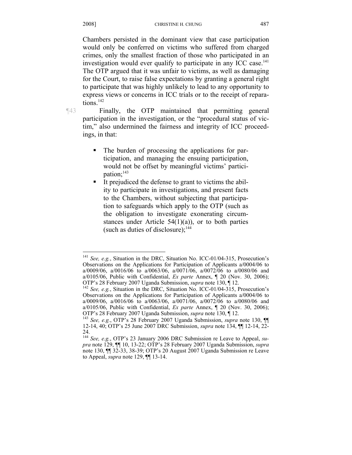Chambers persisted in the dominant view that case participation would only be conferred on victims who suffered from charged crimes, only the smallest fraction of those who participated in an investigation would ever qualify to participate in any ICC case.<sup>141</sup> The OTP argued that it was unfair to victims, as well as damaging for the Court, to raise false expectations by granting a general right to participate that was highly unlikely to lead to any opportunity to express views or concerns in ICC trials or to the receipt of reparations.<sup>142</sup>

 $\overline{a}$ 

¶43 Finally, the OTP maintained that permitting general participation in the investigation, or the "procedural status of victim," also undermined the fairness and integrity of ICC proceedings, in that:

- The burden of processing the applications for participation, and managing the ensuing participation, would not be offset by meaningful victims' participation;<sup>143</sup>
- It prejudiced the defense to grant to victims the ability to participate in investigations, and present facts to the Chambers, without subjecting that participation to safeguards which apply to the OTP (such as the obligation to investigate exonerating circumstances under Article  $54(1)(a)$ , or to both parties (such as duties of disclosure); $^{144}$

<sup>141</sup> *See, e.g.*, Situation in the DRC, Situation No. ICC-01/04-315, Prosecution's Observations on the Applications for Participation of Applicants a/0004/06 to a/0009/06, a/0016/06 to a/0063/06, a/0071/06, a/0072/06 to a/0080/06 and a/0105/06, Public with Confidential, *Ex parte* Annex, ¶ 20 (Nov. 30, 2006);

<sup>&</sup>lt;sup>142</sup> See, e.g., Situation in the DRC, Situation No. ICC-01/04-315, Prosecution's Observations on the Applications for Participation of Applicants a/0004/06 to a/0009/06, a/0016/06 to a/0063/06, a/0071/06, a/0072/06 to a/0080/06 and a/0105/06, Public with Confidential, *Ex parte* Annex,  $\parallel$  20 (Nov. 30, 2006); OTP's 28 February 2007 Uganda Submission, *supra* note 130,  $\parallel$  12.

<sup>&</sup>lt;sup>143</sup> See, e.g., OTP's 28 February 2007 Uganda Submission, *supra* note 130, ¶ 12-14, 40; OTP's 25 June 2007 DRC Submission, *supra* note 134, ¶¶ 12-14, 22- 24.

<sup>144</sup> *See, e.g.*, OTP's 23 January 2006 DRC Submission re Leave to Appeal, *supra* note 129, ¶¶ 10, 13-22; OTP's 28 February 2007 Uganda Submission, *supra*  note 130, ¶¶ 32-33, 38-39; OTP's 20 August 2007 Uganda Submission re Leave to Appeal, *supra* note 129, ¶¶ 13-14.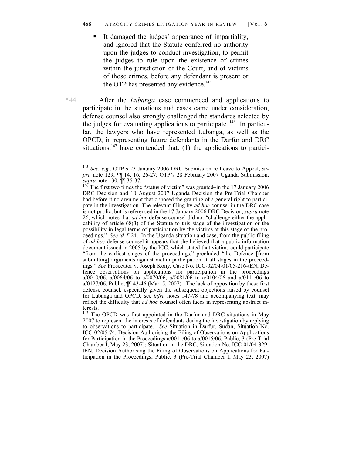It damaged the judges' appearance of impartiality, and ignored that the Statute conferred no authority upon the judges to conduct investigation, to permit the judges to rule upon the existence of crimes within the jurisdiction of the Court, and of victims of those crimes, before any defendant is present or the OTP has presented any evidence.<sup>145</sup>

¶44 After the *Lubanga* case commenced and applications to participate in the situations and cases came under consideration, defense counsel also strongly challenged the standards selected by the judges for evaluating applications to participate. 146 In particular, the lawyers who have represented Lubanga, as well as the OPCD, in representing future defendants in the Darfur and DRC situations,  $147$  have contended that: (1) the applications to partici-

<sup>145</sup> *See, e.g.*, OTP's 23 January 2006 DRC Submission re Leave to Appeal, *supra* note 129, ¶¶ 14, 16, 26-27; OTP's 28 February 2007 Uganda Submission, *supra* note 130,  $\frac{1}{36}$  TM 35-37.<br><sup>146</sup> The first two times the "status of victim" was granted–in the 17 January 2006

DRC Decision and 10 August 2007 Uganda Decision–the Pre-Trial Chamber had before it no argument that opposed the granting of a general right to participate in the investigation. The relevant filing by *ad hoc* counsel in the DRC case is not public, but is referenced in the 17 January 2006 DRC Decision, *supra* note 26, which notes that *ad hoc* defense counsel did not "challenge either the applicability of article 68(3) of the Statute to this stage of the investigation or the possibility in legal terms of participation by the victims at this stage of the proceedings." *See id.* ¶ 24. In the Uganda situation and case, from the public filing of *ad hoc* defense counsel it appears that she believed that a public information document issued in 2005 by the ICC, which stated that victims could participate "from the earliest stages of the proceedings," precluded "the Defence [from submitting] arguments against victim participation at all stages in the proceedings." *See* Prosecutor v. Joseph Kony, Case No. ICC-02/04-01/05-216-tEN, Defence observations on applications for participation in the proceedings a/0010/06, a/0064/06 to a/0070/06, a/0081/06 to a/0104/06 and a/0111/06 to a/0127/06, Public,  $\P$  43-46 (Mar. 5, 2007). The lack of opposition by these first defense counsel, especially given the subsequent objections raised by counsel for Lubanga and OPCD, see *infra* notes 147-78 and accompanying text, may reflect the difficulty that *ad hoc* counsel often faces in representing abstract interests.

<sup>&</sup>lt;sup>147</sup> The OPCD was first appointed in the Darfur and DRC situations in May 2007 to represent the interests of defendants during the investigation by replying to observations to participate. *See* Situation in Darfur, Sudan, Situation No. ICC-02/05-74, Decision Authorising the Filing of Observations on Applications for Participation in the Proceedings a/0011/06 to a/0015/06, Public, 3 (Pre-Trial Chamber I, May 23, 2007); Situation in the DRC, Situation No. ICC-01/04-329 tEN, Decision Authorising the Filing of Observations on Applications for Participation in the Proceedings, Public, 3 (Pre-Trial Chamber I, May 23, 2007)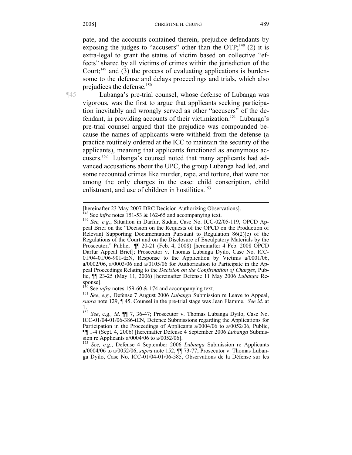pate, and the accounts contained therein, prejudice defendants by exposing the judges to "accusers" other than the OTP; $^{148}$  (2) it is extra-legal to grant the status of victim based on collective "effects" shared by all victims of crimes within the jurisdiction of the Court; $^{149}$  and (3) the process of evaluating applications is burdensome to the defense and delays proceedings and trials, which also prejudices the defense.<sup>150</sup>

¶45 Lubanga's pre-trial counsel, whose defense of Lubanga was vigorous, was the first to argue that applicants seeking participation inevitably and wrongly served as other "accusers" of the defendant, in providing accounts of their victimization.<sup>151</sup> Lubanga's pre-trial counsel argued that the prejudice was compounded because the names of applicants were withheld from the defense (a practice routinely ordered at the ICC to maintain the security of the applicants), meaning that applicants functioned as anonymous accusers.152 Lubanga's counsel noted that many applicants had advanced accusations about the UPC, the group Lubanga had led, and some recounted crimes like murder, rape, and torture, that were not among the only charges in the case: child conscription, child enlistment, and use of children in hostilities.<sup>153</sup>

<sup>153</sup> *See, e.g.*, Defense 4 September 2006 *Lubanga* Submission re Applicants a/0004/06 to a/0052/06, *supra* note 152, ¶¶ 73-77; Prosecutor v. Thomas Lubanga Dyilo, Case No. ICC-01/04-01/06-585, Observations de la Défense sur les

 $\overline{a}$ [hereinafter 23 May 2007 DRC Decision Authorizing Observations].

<sup>&</sup>lt;sup>148</sup> See *infra* notes 151-53 & 162-65 and accompanying text.<br><sup>149</sup> *See, e.g.*, Situation in Darfur, Sudan, Case No. ICC-02/05-119, OPCD Appeal Brief on the "Decision on the Requests of the OPCD on the Production of Relevant Supporting Documentation Pursuant to Regulation 86(2)(e) of the Regulations of the Court and on the Disclosure of Exculpatory Materials by the Prosecutor," Public, ¶¶ 20-21 (Feb. 4, 2008) [hereinafter 4 Feb. 2008 OPCD Darfur Appeal Brief]; Prosecutor v. Thomas Lubanga Dyilo, Case No. ICC-01/04-01/06-901-tEN, Response to the Application by Victims a/0001/06, a/0002/06, a/0003/06 and a/0105/06 for Authorization to Participate in the Appeal Proceedings Relating to the *Decision on the Confirmation of Charges*, Public, ¶¶ 23-25 (May 11, 2006) [hereinafter Defense 11 May 2006 *Lubanga* Response].<br>
<sup>150</sup> See *infra* notes 159-60 & 174 and accompanying text.

<sup>&</sup>lt;sup>151</sup> See, e.g., Defense 7 August 2006 *Lubanga* Submission re Leave to Appeal, *supra* note 129, ¶ 45. Counsel in the pre-trial stage was Jean Flamme. *See id*. at 1.

<sup>152</sup> *See*, e.g.*, id*. ¶¶ 7, 36-47; Prosecutor v. Thomas Lubanga Dyilo, Case No. ICC-01/04-01/06-386-tEN, Defence Submissions regarding the Applications for Participation in the Proceedings of Applicants a/0004/06 to a/0052/06, Public, ¶¶ 1-4 (Sept. 4, 2006) [hereinafter Defense 4 September 2006 *Lubanga* Submission re Applicants a/0004/06 to a/0052/06].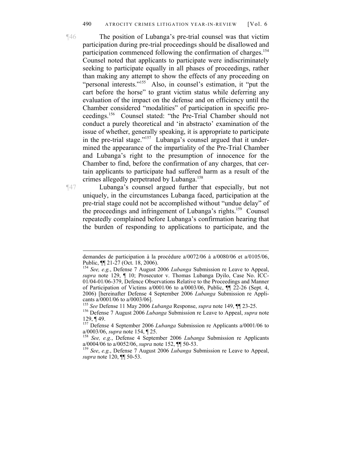¶46 The position of Lubanga's pre-trial counsel was that victim participation during pre-trial proceedings should be disallowed and participation commenced following the confirmation of charges.<sup>154</sup> Counsel noted that applicants to participate were indiscriminately seeking to participate equally in all phases of proceedings, rather than making any attempt to show the effects of any proceeding on "personal interests."<sup>155</sup> Also, in counsel's estimation, it "put the cart before the horse" to grant victim status while deferring any evaluation of the impact on the defense and on efficiency until the Chamber considered "modalities" of participation in specific proceedings.156 Counsel stated: "the Pre-Trial Chamber should not conduct a purely theoretical and 'in abstracto' examination of the issue of whether, generally speaking, it is appropriate to participate in the pre-trial stage."157 Lubanga's counsel argued that it undermined the appearance of the impartiality of the Pre-Trial Chamber and Lubanga's right to the presumption of innocence for the Chamber to find, before the confirmation of any charges, that certain applicants to participate had suffered harm as a result of the crimes allegedly perpetrated by Lubanga.<sup>158</sup>

 $\overline{a}$ 

¶47 Lubanga's counsel argued further that especially, but not uniquely, in the circumstances Lubanga faced, participation at the pre-trial stage could not be accomplished without "undue delay" of the proceedings and infringement of Lubanga's rights.<sup>159</sup> Counsel repeatedly complained before Lubanga's confirmation hearing that the burden of responding to applications to participate, and the

demandes de participation à la procédure a/0072/06 à a/0080/06 et a/0105/06, Public, ¶¶ 21-27 (Oct. 18, 2006).

<sup>154</sup> *See, e.g.*, Defense 7 August 2006 *Lubanga* Submission re Leave to Appeal, *supra* note 129, ¶ 10; Prosecutor v. Thomas Lubanga Dyilo, Case No. ICC-01/04-01/06-379, Defence Observations Relative to the Proceedings and Manner of Participation of Victims a/0001/06 to a/0003/06, Public, ¶¶ 22-26 (Sept. 4, 2006) [hereinafter Defense 4 September 2006 *Lubanga* Submission re Applicants a/0001/06 to a/0003/06].<br><sup>155</sup> See Defense 11 May 2006 Lubanga Response, *supra* note 149,  $\P$ [ 23-25.

<sup>&</sup>lt;sup>156</sup> Defense 7 August 2006 *Lubanga* Submission re Leave to Appeal, *supra* note 129, ¶ 49.

<sup>&</sup>lt;sup>157</sup> Defense 4 September 2006 *Lubanga* Submission re Applicants a/0001/06 to a/0003/06, *supra* note 154,  $\P$  25.

<sup>&</sup>lt;sup>158</sup> See, e.g., Defense 4 September 2006 *Lubanga* Submission re Applicants a/0004/06 to a/0052/06, *supra* note 152, ¶¶ 50-53. 159 *See*, *e.g.*, Defense 7 August 2006 *Lubanga* Submission re Leave to Appeal,

*supra* note 120, ¶¶ 50-53.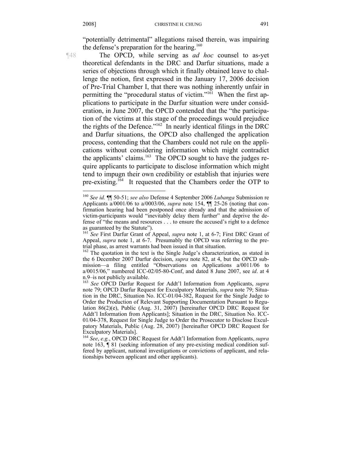"potentially detrimental" allegations raised therein, was impairing the defense's preparation for the hearing. $160$ 

 $\overline{a}$ 

¶48 The OPCD, while serving as *ad hoc* counsel to as-yet theoretical defendants in the DRC and Darfur situations, made a series of objections through which it finally obtained leave to challenge the notion, first expressed in the January 17, 2006 decision of Pre-Trial Chamber I, that there was nothing inherently unfair in permitting the "procedural status of victim."<sup>161</sup> When the first applications to participate in the Darfur situation were under consideration, in June 2007, the OPCD contended that the "the participation of the victims at this stage of the proceedings would prejudice the rights of the Defence."162 In nearly identical filings in the DRC and Darfur situations, the OPCD also challenged the application process, contending that the Chambers could not rule on the applications without considering information which might contradict the applicants' claims.<sup>163</sup> The OPCD sought to have the judges require applicants to participate to disclose information which might tend to impugn their own credibility or establish that injuries were pre-existing.<sup>164</sup> It requested that the Chambers order the OTP to

<sup>160</sup> *See id.* ¶¶ 50-51; *see also* Defense 4 September 2006 *Lubanga* Submission re Applicants a/0001/06 to a/0003/06, *supra* note 154, ¶¶ 25-26 (noting that confirmation hearing had been postponed once already and that the admission of victim-participants would "inevitably delay them further" and deprive the defense of "the means and resources . . . to ensure the accused's right to a defence as guaranteed by the Statute").

<sup>161</sup> *See* First Darfur Grant of Appeal, *supra* note 1, at 6-7; First DRC Grant of Appeal, *supra* note 1, at 6-7. Presumably the OPCD was referring to the pretrial phase, as arrest warrants had been issued in that situation.

<sup>&</sup>lt;sup>162</sup> The quotation in the text is the Single Judge's characterization, as stated in the 6 December 2007 Darfur decision, *supra* note 82, at 4, but the OPCD submission—a filing entitled "Observations on Applications a/0011/06 to a/0015/06," numbered ICC-02/05-80-Conf, and dated 8 June 2007, see *id*. at 4 n.9–is not publicly available.

<sup>163</sup> *See* OPCD Darfur Request for Addt'l Information from Applicants, *supra*  note 79; OPCD Darfur Request for Exculpatory Materials, *supra* note 79; Situation in the DRC, Situation No. ICC-01/04-382, Request for the Single Judge to Order the Production of Relevant Supporting Documentation Pursuant to Regulation 86(2)(e), Public (Aug. 31, 2007) [hereinafter OPCD DRC Request for Addt'l Information from Applicants]; Situation in the DRC, Situation No. ICC-01/04-378, Request for Single Judge to Order the Prosecutor to Disclose Exculpatory Materials, Public (Aug. 28, 2007) [hereinafter OPCD DRC Request for Exculpatory Materials].

<sup>164</sup> *See*, *e.g.*, OPCD DRC Request for Addt'l Information from Applicants, *supra*  note 163,  $\P$  81 (seeking information of any pre-existing medical condition suffered by applicant, national investigations or convictions of applicant, and relationships between applicant and other applicants).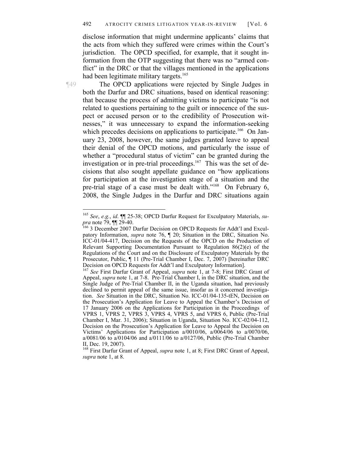disclose information that might undermine applicants' claims that the acts from which they suffered were crimes within the Court's jurisdiction. The OPCD specified, for example, that it sought information from the OTP suggesting that there was no "armed conflict" in the DRC or that the villages mentioned in the applications had been legitimate military targets.<sup>165</sup>

 $\overline{a}$ 

¶49 The OPCD applications were rejected by Single Judges in both the Darfur and DRC situations, based on identical reasoning: that because the process of admitting victims to participate "is not related to questions pertaining to the guilt or innocence of the suspect or accused person or to the credibility of Prosecution witnesses," it was unnecessary to expand the information-seeking which precedes decisions on applications to participate.<sup>166</sup> On January 23, 2008, however, the same judges granted leave to appeal their denial of the OPCD motions, and particularly the issue of whether a "procedural status of victim" can be granted during the investigation or in pre-trial proceedings.<sup>167</sup> This was the set of decisions that also sought appellate guidance on "how applications for participation at the investigation stage of a situation and the pre-trial stage of a case must be dealt with."<sup>168</sup> On February 6, 2008, the Single Judges in the Darfur and DRC situations again

<sup>165</sup> *See*, *e.g.*, *id*. ¶¶ 25-38; OPCD Darfur Request for Exculpatory Materials, *supra* note 79,  $\overline{$  || 29-40.<br>
<sup>166</sup> 3 December 2007 Darfur Decision on OPCD Requests for Addt'l and Excul-

patory Information, *supra* note 76, ¶ 20; Situation in the DRC, Situation No. ICC-01/04-417, Decision on the Requests of the OPCD on the Production of Relevant Supporting Documentation Pursuant to Regulation  $86(2)(e)$  of the Regulations of the Court and on the Disclosure of Exculpatory Materials by the Prosecutor, Public, ¶ 11 (Pre-Trial Chamber I, Dec. 7, 2007) [hereinafter DRC Decision on OPCD Requests for Addt'l and Exculpatory Information].

<sup>167</sup> *See* First Darfur Grant of Appeal, *supra* note 1, at 7-8; First DRC Grant of Appeal, *supra* note 1, at 7-8. Pre-Trial Chamber I, in the DRC situation, and the Single Judge of Pre-Trial Chamber II, in the Uganda situation, had previously declined to permit appeal of the same issue, insofar as it concerned investigation. *See* Situation in the DRC, Situation No. ICC-01/04-135-tEN, Decision on the Prosecution's Application for Leave to Appeal the Chamber's Decision of 17 January 2006 on the Applications for Participation in the Proceedings of VPRS 1, VPRS 2, VPRS 3, VPRS 4, VPRS 5, and VPRS 6, Public (Pre-Trial Chamber I, Mar. 31, 2006); Situation in Uganda, Situation No. ICC-02/04-112, Decision on the Prosecution's Application for Leave to Appeal the Decision on Victims' Applications for Participation a/0010/06, a/0064/06 to a/0070/06, a/0081/06 to a/0104/06 and a/0111/06 to a/0127/06, Public (Pre-Trial Chamber II, Dec. 19, 2007).

<sup>168</sup> First Darfur Grant of Appeal, *supra* note 1, at 8; First DRC Grant of Appeal, *supra* note 1, at 8.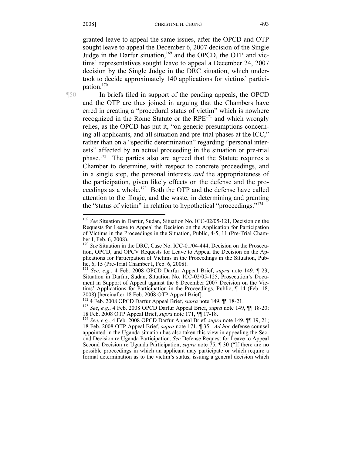granted leave to appeal the same issues, after the OPCD and OTP sought leave to appeal the December 6, 2007 decision of the Single Judge in the Darfur situation, $169$  and the OPCD, the OTP and victims' representatives sought leave to appeal a December 24, 2007 decision by the Single Judge in the DRC situation, which undertook to decide approximately 140 applications for victims' participation.170

¶50 In briefs filed in support of the pending appeals, the OPCD and the OTP are thus joined in arguing that the Chambers have erred in creating a "procedural status of victim" which is nowhere recognized in the Rome Statute or the RPE171 and which wrongly relies, as the OPCD has put it, "on generic presumptions concerning all applicants, and all situation and pre-trial phases at the ICC," rather than on a "specific determination" regarding "personal interests" affected by an actual proceeding in the situation or pre-trial phase.172 The parties also are agreed that the Statute requires a Chamber to determine, with respect to concrete proceedings, and in a single step, the personal interests *and* the appropriateness of the participation, given likely effects on the defense and the proceedings as a whole.173 Both the OTP and the defense have called attention to the illogic, and the waste, in determining and granting the "status of victim" in relation to hypothetical "proceedings."174  $\overline{a}$ 

<sup>169</sup> *See* Situation in Darfur, Sudan, Situation No. ICC-02/05-121, Decision on the Requests for Leave to Appeal the Decision on the Application for Participation of Victims in the Proceedings in the Situation, Public, 4-5, 11 (Pre-Trial Chamber I, Feb. 6, 2008).

<sup>&</sup>lt;sup>170</sup> See Situation in the DRC, Case No. ICC-01/04-444, Decision on the Prosecution, OPCD, and OPCV Requests for Leave to Appeal the Decision on the Applications for Participation of Victims in the Proceedings in the Situation, Public, 6, 15 (Pre-Trial Chamber I, Feb. 6, 2008).

<sup>171</sup> *See, e.g.*, 4 Feb. 2008 OPCD Darfur Appeal Brief, *supra* note 149, ¶ 23; Situation in Darfur, Sudan, Situation No. ICC-02/05-125, Prosecution's Document in Support of Appeal against the 6 December 2007 Decision on the Victims' Applications for Participation in the Proceedings, Public, ¶ 14 (Feb. 18, 2008) [hereinafter 18 Feb. 2008 OTP Appeal Brief].<br><sup>172</sup> 4 Feb. 2008 OPCD Darfur Appeal Brief, *supra* note 149,  $\P\P$  18-21.

<sup>172 4</sup> Feb. 2008 OPCD Darfur Appeal Brief, *supra* note 149, ¶¶ 18-21. 173 *See*, *e.g.*, 4 Feb. 2008 OPCD Darfur Appeal Brief, *supra* note 149, ¶¶ 18-20; 18 Feb. 2008 OTP Appeal Brief, *supra* note 171, ¶¶ 17-18. 174 *See*, *e.g.*, 4 Feb. 2008 OPCD Darfur Appeal Brief, *supra* note 149, ¶¶ 19, 21;

<sup>18</sup> Feb. 2008 OTP Appeal Brief, *supra* note 171, ¶ 35. *Ad hoc* defense counsel appointed in the Uganda situation has also taken this view in appealing the Second Decision re Uganda Participation. *See* Defense Request for Leave to Appeal Second Decision re Uganda Participation, *supra* note 75, ¶ 30 ("If there are no possible proceedings in which an applicant may participate or which require a formal determination as to the victim's status, issuing a general decision which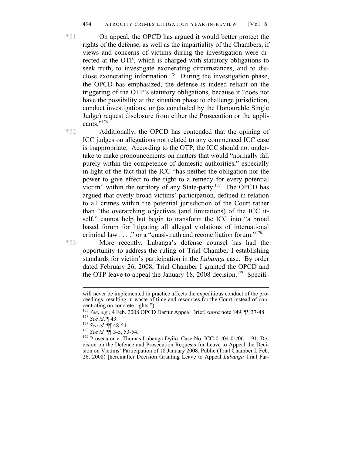¶51 On appeal, the OPCD has argued it would better protect the rights of the defense, as well as the impartiality of the Chambers, if views and concerns of victims during the investigation were directed at the OTP, which is charged with statutory obligations to seek truth, to investigate exonerating circumstances, and to disclose exonerating information.<sup>175</sup> During the investigation phase, the OPCD has emphasized, the defense is indeed reliant on the triggering of the OTP's statutory obligations, because it "does not have the possibility at the situation phase to challenge jurisdiction, conduct investigations, or (as concluded by the Honourable Single Judge) request disclosure from either the Prosecution or the applicants."<sup>176</sup>

¶52 Additionally, the OPCD has contended that the opining of ICC judges on allegations not related to any commenced ICC case is inappropriate. According to the OTP, the ICC should not undertake to make pronouncements on matters that would "normally fall purely within the competence of domestic authorities," especially in light of the fact that the ICC "has neither the obligation nor the power to give effect to the right to a remedy for every potential victim" within the territory of any State-party.<sup>177</sup> The OPCD has argued that overly broad victims' participation, defined in relation to all crimes within the potential jurisdiction of the Court rather than "the overarching objectives (and limitations) of the ICC itself," cannot help but begin to transform the ICC into "a broad based forum for litigating all alleged violations of international criminal law . . . ." or a "quasi-truth and reconciliation forum."178

¶53 More recently, Lubanga's defense counsel has had the opportunity to address the ruling of Trial Chamber I establishing standards for victim's participation in the *Lubanga* case. By order dated February 26, 2008, Trial Chamber I granted the OPCD and the OTP leave to appeal the January 18, 2008 decision.<sup>179</sup> Specifi-

will never be implemented in practice affects the expeditious conduct of the proceedings, resulting in waste of time and resources for the Court instead of con-

centrating on concrete rights.").<br><sup>175</sup> See, e.g., 4 Feb. 2008 OPCD Darfur Appeal Brief, *supra* note 149,  $\P$  37-48. <sup>176</sup> See id.  $\P$  43.<br><sup>177</sup> See id.  $\P$  48-54.<br><sup>178</sup> See id.  $\P$  48-54.<br><sup>178</sup> Prosecutor v. Thomas Lubanga Dyilo, Case No. ICC-01/04-01/06-1191, De-

cision on the Defence and Prosecution Requests for Leave to Appeal the Decision on Victims' Participation of 18 January 2008, Public (Trial Chamber I, Feb. 26, 2008) [hereinafter Decision Granting Leave to Appeal *Lubanga* Trial Par-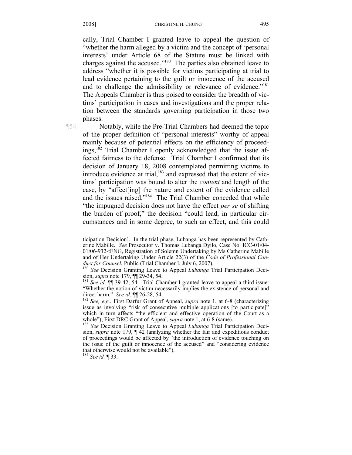cally, Trial Chamber I granted leave to appeal the question of "whether the harm alleged by a victim and the concept of 'personal interests' under Article 68 of the Statute must be linked with charges against the accused."180 The parties also obtained leave to address "whether it is possible for victims participating at trial to lead evidence pertaining to the guilt or innocence of the accused and to challenge the admissibility or relevance of evidence."<sup>181</sup> The Appeals Chamber is thus poised to consider the breadth of victims' participation in cases and investigations and the proper relation between the standards governing participation in those two phases.

 $\overline{a}$ 

¶54 Notably, while the Pre-Trial Chambers had deemed the topic of the proper definition of "personal interests" worthy of appeal mainly because of potential effects on the efficiency of proceedings,<sup>182</sup> Trial Chamber I openly acknowledged that the issue affected fairness to the defense. Trial Chamber I confirmed that its decision of January 18, 2008 contemplated permitting victims to introduce evidence at trial, $183$  and expressed that the extent of victims' participation was bound to alter the *content* and length of the case, by "affect[ing] the nature and extent of the evidence called and the issues raised."184 The Trial Chamber conceded that while "the impugned decision does not have the effect *per se* of shifting the burden of proof," the decision "could lead, in particular circumstances and in some degree, to such an effect, and this could

<sup>184</sup> *See id.* ¶ 33.

ticipation Decision]. In the trial phase, Lubanga has been represented by Catherine Mabille. *See* Prosecutor v. Thomas Lubanga Dyilo, Case No. ICC-01/04- 01/06-932-tENG, Registration of Solemn Undertaking by Ms Catherine Mabille and of Her Undertaking Under Article 22(3) of the *Code of Professional Con-*

*duct for Counsel*, Public (Trial Chamber I, July 6, 2007).<br><sup>180</sup> *See* Decision Granting Leave to Appeal *Lubanga* Trial Participation Decision, *supra* note 179,  $\P$  29-34, 54.

sion, *supra* note 179, ¶¶ 29-34, 54. 181 *See id.* ¶¶ 39-42, 54. Trial Chamber I granted leave to appeal a third issue: "Whether the notion of victim necessarily implies the existence of personal and direct harm." See id.  $\P$  26-28, 54.

<sup>&</sup>lt;sup>182</sup> See, e.g., First Darfur Grant of Appeal, *supra* note 1, at 6-8 (characterizing issue as involving "risk of consecutive multiple applications [to participate]" which in turn affects "the efficient and effective operation of the Court as a

whole"); First DRC Grant of Appeal, *supra* note 1, at 6-8 (same).<br><sup>183</sup> *See* Decision Granting Leave to Appeal *Lubanga* Trial Participation Decision, *supra* note 179, ¶ 42 (analyzing whether the fair and expeditious conduct of proceedings would be affected by "the introduction of evidence touching on the issue of the guilt or innocence of the accused" and "considering evidence that otherwise would not be available").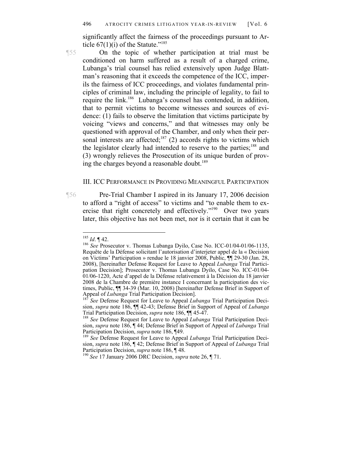significantly affect the fairness of the proceedings pursuant to Article  $67(1)(i)$  of the Statute."<sup>185</sup>

¶55 On the topic of whether participation at trial must be conditioned on harm suffered as a result of a charged crime, Lubanga's trial counsel has relied extensively upon Judge Blattman's reasoning that it exceeds the competence of the ICC, imperils the fairness of ICC proceedings, and violates fundamental principles of criminal law, including the principle of legality, to fail to require the link.186 Lubanga's counsel has contended, in addition, that to permit victims to become witnesses and sources of evidence: (1) fails to observe the limitation that victims participate by voicing "views and concerns," and that witnesses may only be questioned with approval of the Chamber, and only when their personal interests are affected;<sup>187</sup> (2) accords rights to victims which the legislator clearly had intended to reserve to the parties;<sup>188</sup> and (3) wrongly relieves the Prosecution of its unique burden of proving the charges beyond a reasonable doubt.<sup>189</sup>

## III. ICC PERFORMANCE IN PROVIDING MEANINGFUL PARTICIPATION

¶56 Pre-Trial Chamber I aspired in its January 17, 2006 decision to afford a "right of access" to victims and "to enable them to exercise that right concretely and effectively."190 Over two years later, this objective has not been met, nor is it certain that it can be

 $185$  *Id.*  $\P$  42.

<sup>&</sup>lt;sup>186</sup> *See* Prosecutor v. Thomas Lubanga Dyilo, Case No. ICC-01/04-01/06-1135, Requête de la Défense solicitant l'autorisation d'interjeter appel de la « Decision on Victims' Participation » rendue le 18 janvier 2008, Public, ¶¶ 29-30 (Jan. 28, 2008), [hereinafter Defense Request for Leave to Appeal *Lubanga* Trial Participation Decision]; Prosecutor v. Thomas Lubanga Dyilo, Case No. ICC-01/04-01/06-1220, Acte d'appel de la Défense relativement à la Décision du 18 janvier 2008 de la Chambre de première instance I concernant la participation des victimes, Public, ¶¶ 34-39 (Mar. 10, 2008) [hereinafter Defense Brief in Support of Appeal of *Lubanga* Trial Participation Decision]. 187 *See* Defense Request for Leave to Appeal *Lubanga* Trial Participation Deci-

sion, *supra* note 186, ¶¶ 42-43; Defense Brief in Support of Appeal of *Lubanga* 

<sup>&</sup>lt;sup>188</sup> See Defense Request for Leave to Appeal *Lubanga* Trial Participation Decision, *supra* note 186, ¶ 44; Defense Brief in Support of Appeal of *Lubanga* Trial Participation Decision, *supra* note 186, ¶49.<br><sup>189</sup> *See* Defense Request for Leave to Appeal *Lubanga* Trial Participation Deci-

sion, *supra* note 186, ¶ 42; Defense Brief in Support of Appeal of *Lubanga* Trial

<sup>&</sup>lt;sup>190</sup> See <sup>17</sup> January 2006 DRC Decision, *supra* note 26, ¶ 71.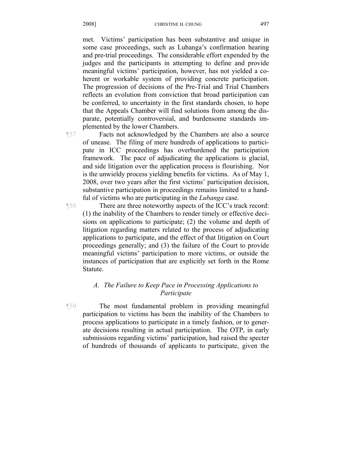met. Victims' participation has been substantive and unique in some case proceedings, such as Lubanga's confirmation hearing and pre-trial proceedings. The considerable effort expended by the judges and the participants in attempting to define and provide meaningful victims' participation, however, has not yielded a coherent or workable system of providing concrete participation. The progression of decisions of the Pre-Trial and Trial Chambers reflects an evolution from conviction that broad participation can be conferred, to uncertainty in the first standards chosen, to hope that the Appeals Chamber will find solutions from among the disparate, potentially controversial, and burdensome standards implemented by the lower Chambers.

¶57 Facts not acknowledged by the Chambers are also a source of unease. The filing of mere hundreds of applications to participate in ICC proceedings has overburdened the participation framework. The pace of adjudicating the applications is glacial, and side litigation over the application process is flourishing. Nor is the unwieldy process yielding benefits for victims. As of May 1, 2008, over two years after the first victims' participation decision, substantive participation in proceedings remains limited to a handful of victims who are participating in the *Lubanga* case.

¶58 There are three noteworthy aspects of the ICC's track record: (1) the inability of the Chambers to render timely or effective decisions on applications to participate; (2) the volume and depth of litigation regarding matters related to the process of adjudicating applications to participate, and the effect of that litigation on Court proceedings generally; and (3) the failure of the Court to provide meaningful victims' participation to more victims, or outside the instances of participation that are explicitly set forth in the Rome Statute.

# *A. The Failure to Keep Pace in Processing Applications to Participate*

¶59 The most fundamental problem in providing meaningful participation to victims has been the inability of the Chambers to process applications to participate in a timely fashion, or to generate decisions resulting in actual participation. The OTP, in early submissions regarding victims' participation, had raised the specter of hundreds of thousands of applicants to participate, given the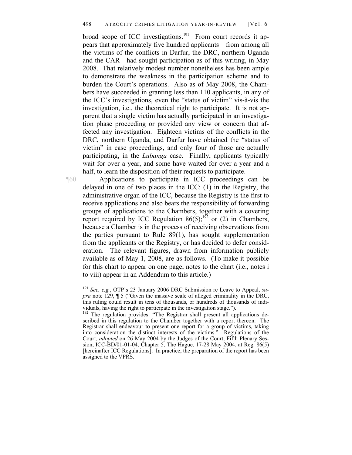broad scope of ICC investigations.<sup>191</sup> From court records it appears that approximately five hundred applicants—from among all the victims of the conflicts in Darfur, the DRC, northern Uganda and the CAR—had sought participation as of this writing, in May 2008. That relatively modest number nonetheless has been ample to demonstrate the weakness in the participation scheme and to burden the Court's operations. Also as of May 2008, the Chambers have succeeded in granting less than 110 applicants, in any of the ICC's investigations, even the "status of victim" vis-à-vis the investigation, i.e., the theoretical right to participate. It is not apparent that a single victim has actually participated in an investigation phase proceeding or provided any view or concern that affected any investigation. Eighteen victims of the conflicts in the DRC, northern Uganda, and Darfur have obtained the "status of victim" in case proceedings, and only four of those are actually participating, in the *Lubanga* case. Finally, applicants typically wait for over a year, and some have waited for over a year and a half, to learn the disposition of their requests to participate.

¶60 Applications to participate in ICC proceedings can be delayed in one of two places in the ICC: (1) in the Registry, the administrative organ of the ICC, because the Registry is the first to receive applications and also bears the responsibility of forwarding groups of applications to the Chambers, together with a covering report required by ICC Regulation  $86(5)$ ;<sup>192</sup> or (2) in Chambers, because a Chamber is in the process of receiving observations from the parties pursuant to Rule 89(1), has sought supplementation from the applicants or the Registry, or has decided to defer consideration. The relevant figures, drawn from information publicly available as of May 1, 2008, are as follows. (To make it possible for this chart to appear on one page, notes to the chart (i.e., notes i to viii) appear in an Addendum to this article.)

<sup>191</sup> *See, e.g.*, OTP's 23 January 2006 DRC Submission re Leave to Appeal, *supra* note 129, ¶ 5 ("Given the massive scale of alleged criminality in the DRC, this ruling could result in tens of thousands, or hundreds of thousands of individuals, having the right to participate in the investigation stage.").

<sup>&</sup>lt;sup>192</sup> The regulation provides: "The Registrar shall present all applications described in this regulation to the Chamber together with a report thereon. The Registrar shall endeavour to present one report for a group of victims, taking into consideration the distinct interests of the victims." Regulations of the Court, *adopted* on 26 May 2004 by the Judges of the Court, Fifth Plenary Session, ICC-BD/01-01-04, Chapter 5, The Hague, 17-28 May 2004, at Reg. 86(5) [hereinafter ICC Regulations]. In practice, the preparation of the report has been assigned to the VPRS.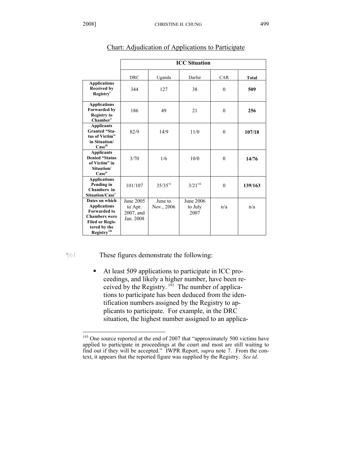|                                                                                                                                                        | <b>ICC Situation</b>                           |                       |                              |            |         |
|--------------------------------------------------------------------------------------------------------------------------------------------------------|------------------------------------------------|-----------------------|------------------------------|------------|---------|
|                                                                                                                                                        | <b>DRC</b>                                     | Uganda                | Darfur                       | <b>CAR</b> | Total   |
| <b>Applications</b><br><b>Received by</b><br>Registry <sup>i</sup>                                                                                     | 344                                            | 127                   | 38                           | $\theta$   | 509     |
| <b>Applications</b><br><b>Forwarded by</b><br><b>Registry to</b><br><b>Chamber</b> <sup>ii</sup>                                                       | 186                                            | 49                    | 21                           | $\theta$   | 256     |
| <b>Applicants</b><br><b>Granted "Sta-</b><br>tus of Victim"<br>in Situation/<br>Caseiii                                                                | 82/9                                           | 14/9                  | 11/0                         | $\theta$   | 107/18  |
| <b>Applicants</b><br><b>Denied "Status</b><br>of Victim" in<br>Situation/<br>Case <sup>iv</sup>                                                        | 3/70                                           | 1/6                   | 10/0                         | $\theta$   | 14/76   |
| <b>Applications</b><br>Pending in<br>Chambers in<br>Situation/Case <sup>v</sup>                                                                        | 101/107                                        | $35/35$ <sup>vi</sup> | $3/21$ <sup>vii</sup>        | $\theta$   | 139/163 |
| Dates on which<br><b>Applications</b><br><b>Forwarded to</b><br><b>Chambers were</b><br><b>Filed or Regis-</b><br>tered by the<br><b>Registry</b> viii | June 2005<br>to Apr.<br>2007, and<br>Jan. 2008 | June to<br>Nov., 2006 | June 2006<br>to July<br>2007 | n/a        | n/a     |

# Chart: Adjudication of Applications to Participate

 $\overline{a}$ 

¶61 These figures demonstrate the following:

 At least 509 applications to participate in ICC proceedings, and likely a higher number, have been received by the Registry.  $193$  The number of applications to participate has been deduced from the identification numbers assigned by the Registry to applicants to participate. For example, in the DRC situation, the highest number assigned to an applica-

 $193$  One source reported at the end of 2007 that "approximately 500 victims have applied to participate in proceedings at the court and most are still waiting to find out if they will be accepted." IWPR Report, *supra* note 7. From the context, it appears that the reported figure was supplied by the Registry. *See id*.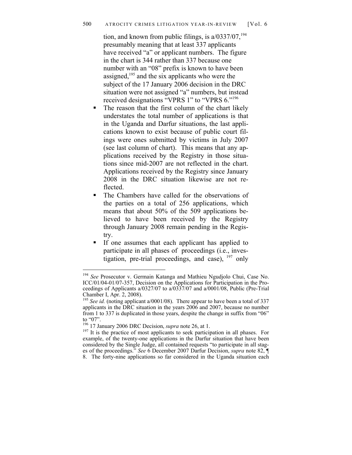tion, and known from public filings, is  $a/0337/07$ , <sup>194</sup> presumably meaning that at least 337 applicants have received "a" or applicant numbers. The figure in the chart is 344 rather than 337 because one number with an "08" prefix is known to have been assigned, $195$  and the six applicants who were the subject of the 17 January 2006 decision in the DRC situation were not assigned "a" numbers, but instead received designations "VPRS 1" to "VPRS 6."196

- The reason that the first column of the chart likely understates the total number of applications is that in the Uganda and Darfur situations, the last applications known to exist because of public court filings were ones submitted by victims in July 2007 (see last column of chart). This means that any applications received by the Registry in those situations since mid-2007 are not reflected in the chart. Applications received by the Registry since January 2008 in the DRC situation likewise are not reflected.
- The Chambers have called for the observations of the parties on a total of 256 applications, which means that about 50% of the 509 applications believed to have been received by the Registry through January 2008 remain pending in the Registry.
- If one assumes that each applicant has applied to participate in all phases of proceedings (i.e., investigation, pre-trial proceedings, and case),  $197$  only

<sup>194</sup> See Prosecutor v. Germain Katanga and Mathieu Ngudjolo Chui, Case No. ICC/01/04-01/07-357, Decision on the Applications for Participation in the Proceedings of Applicants a/0327/07 to a/0337/07 and a/0001/08, Public (Pre-Trial Chamber I, Apr. 2, 2008).

<sup>&</sup>lt;sup>195</sup> *See id.* (noting applicant a/0001/08). There appear to have been a total of 337 applicants in the DRC situation in the years 2006 and 2007, because no number from 1 to 337 is duplicated in those years, despite the change in suffix from "06" to "07".<br><sup>196</sup> 17 January 2006 DRC Decision, *supra* note 26, at 1.

<sup>&</sup>lt;sup>197</sup> It is the practice of most applicants to seek participation in all phases. For example, of the twenty-one applications in the Darfur situation that have been considered by the Single Judge, all contained requests "to participate in all stages of the proceedings." *See* 6 December 2007 Darfur Decision, *supra* note 82, ¶ 8. The forty-nine applications so far considered in the Uganda situation each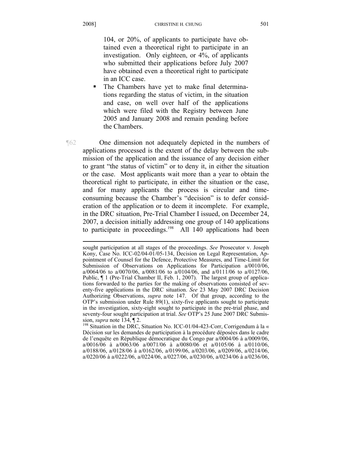104, or 20%, of applicants to participate have obtained even a theoretical right to participate in an investigation. Only eighteen, or 4%, of applicants who submitted their applications before July 2007 have obtained even a theoretical right to participate in an ICC case.

 The Chambers have yet to make final determinations regarding the status of victim, in the situation and case, on well over half of the applications which were filed with the Registry between June 2005 and January 2008 and remain pending before the Chambers.

¶62 One dimension not adequately depicted in the numbers of applications processed is the extent of the delay between the submission of the application and the issuance of any decision either to grant "the status of victim" or to deny it, in either the situation or the case. Most applicants wait more than a year to obtain the theoretical right to participate, in either the situation or the case, and for many applicants the process is circular and timeconsuming because the Chamber's "decision" is to defer consideration of the application or to deem it incomplete. For example, in the DRC situation, Pre-Trial Chamber I issued, on December 24, 2007, a decision initially addressing one group of 140 applications to participate in proceedings.<sup>198</sup> All 140 applications had been

sought participation at all stages of the proceedings. *See* Prosecutor v. Joseph Kony, Case No. ICC-02/04-01/05-134, Decision on Legal Representation, Appointment of Counsel for the Defence, Protective Measures, and Time-Limit for Submission of Observations on Applications for Participation a/0010/06, a/0064/06 to a/0070/06, a/0081/06 to a/0104/06, and a/0111/06 to a/0127/06, Public,  $\P$  1 (Pre-Trial Chamber II, Feb. 1, 2007). The largest group of applications forwarded to the parties for the making of observations consisted of seventy-five applications in the DRC situation. *See* 23 May 2007 DRC Decision Authorizing Observations, *supra* note 147. Of that group, according to the OTP's submission under Rule 89(1), sixty-five applicants sought to participate in the investigation, sixty-eight sought to participate in the pre-trial phase, and seventy-four sought participation at trial. *See* OTP's 25 June 2007 DRC Submis-

sion, *supra* note 134, ¶ 2.<br><sup>198</sup> Situation in the DRC, Situation No. ICC-01/04-423-Corr, Corrigendum à la « Décision sur les demandes de participation à la procédure déposées dans le cadre de l'enquête en République démocratique du Congo par a/0004/06 à a/0009/06, a/0016/06 à a/0063/06 a/0071/06 à a/0080/06 et a/0105/06 à a/0110/06, a/0188/06, a/0128/06 à a/0162/06, a/0199/06, a/0203/06, a/0209/06, a/0214/06, a/0220/06 à a/0222/06, a/0224/06, a/0227/06, a/0230/06, a/0234/06 à a/0236/06,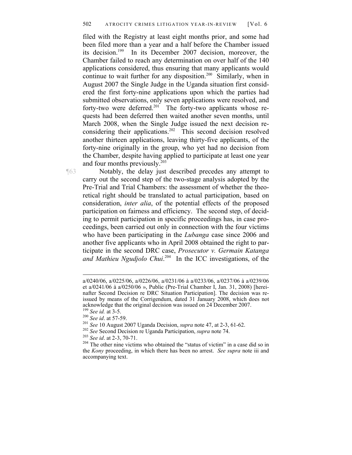filed with the Registry at least eight months prior, and some had been filed more than a year and a half before the Chamber issued its decision.199 In its December 2007 decision, moreover, the Chamber failed to reach any determination on over half of the 140 applications considered, thus ensuring that many applicants would continue to wait further for any disposition.<sup>200</sup> Similarly, when in August 2007 the Single Judge in the Uganda situation first considered the first forty-nine applications upon which the parties had submitted observations, only seven applications were resolved, and forty-two were deferred.<sup>201</sup> The forty-two applicants whose requests had been deferred then waited another seven months, until March 2008, when the Single Judge issued the next decision reconsidering their applications.<sup>202</sup> This second decision resolved another thirteen applications, leaving thirty-five applicants, of the forty-nine originally in the group, who yet had no decision from the Chamber, despite having applied to participate at least one year and four months previously. $203$ 

¶63 Notably, the delay just described precedes any attempt to carry out the second step of the two-stage analysis adopted by the Pre-Trial and Trial Chambers: the assessment of whether the theoretical right should be translated to actual participation, based on consideration, *inter alia*, of the potential effects of the proposed participation on fairness and efficiency. The second step, of deciding to permit participation in specific proceedings has, in case proceedings, been carried out only in connection with the four victims who have been participating in the *Lubanga* case since 2006 and another five applicants who in April 2008 obtained the right to participate in the second DRC case, *Prosecutor v. Germain Katanga and Mathieu Ngudjolo Chui*. 204 In the ICC investigations, of the

 $\overline{a}$ a/0240/06, a/0225/06, a/0226/06, a/0231/06 à a/0233/06, a/0237/06 à a/0239/06 et a/0241/06 à a/0250/06 », Public (Pre-Trial Chamber I, Jan. 31, 2008) [hereinafter Second Decision re DRC Situation Participation]. The decision was reissued by means of the Corrigendum, dated 31 January 2008, which does not

<sup>&</sup>lt;sup>199</sup> See id. at 3-5.<br><sup>200</sup> See id. at 57-59.<br><sup>201</sup> See 10 August 2007 Uganda Decision, *supra* note 47, at 2-3, 61-62.<br><sup>202</sup> See Second Decision re Uganda Participation, *supra* note 74.<br><sup>203</sup> See id. at 2-3, 70-71.<br><sup>204</sup> the *Kony* proceeding, in which there has been no arrest. *See supra* note iii and accompanying text.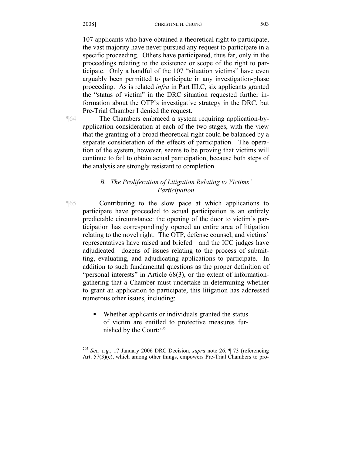107 applicants who have obtained a theoretical right to participate, the vast majority have never pursued any request to participate in a specific proceeding. Others have participated, thus far, only in the proceedings relating to the existence or scope of the right to participate. Only a handful of the 107 "situation victims" have even arguably been permitted to participate in any investigation-phase proceeding. As is related *infra* in Part III.C, six applicants granted the "status of victim" in the DRC situation requested further information about the OTP's investigative strategy in the DRC, but Pre-Trial Chamber I denied the request.

1

¶64 The Chambers embraced a system requiring application-byapplication consideration at each of the two stages, with the view that the granting of a broad theoretical right could be balanced by a separate consideration of the effects of participation. The operation of the system, however, seems to be proving that victims will continue to fail to obtain actual participation, because both steps of the analysis are strongly resistant to completion.

# *B. The Proliferation of Litigation Relating to Victims' Participation*

- ¶65 Contributing to the slow pace at which applications to participate have proceeded to actual participation is an entirely predictable circumstance: the opening of the door to victim's participation has correspondingly opened an entire area of litigation relating to the novel right. The OTP, defense counsel, and victims' representatives have raised and briefed—and the ICC judges have adjudicated—dozens of issues relating to the process of submitting, evaluating, and adjudicating applications to participate. In addition to such fundamental questions as the proper definition of "personal interests" in Article 68(3), or the extent of informationgathering that a Chamber must undertake in determining whether to grant an application to participate, this litigation has addressed numerous other issues, including:
	- Whether applicants or individuals granted the status of victim are entitled to protective measures furnished by the Court; $^{205}$

<sup>205</sup> *See, e.g.*, 17 January 2006 DRC Decision, *supra* note 26, ¶ 73 (referencing Art. 57(3)(c), which among other things, empowers Pre-Trial Chambers to pro-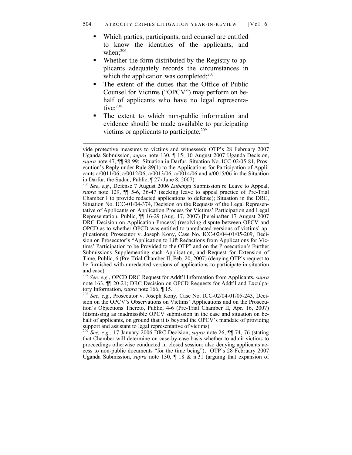- Which parties, participants, and counsel are entitled to know the identities of the applicants, and when: $206$
- Whether the form distributed by the Registry to applicants adequately records the circumstances in which the application was completed; $^{207}$
- The extent of the duties that the Office of Public Counsel for Victims ("OPCV") may perform on behalf of applicants who have no legal representative:<sup>208</sup>
- The extent to which non-public information and evidence should be made available to participating victims or applicants to participate; $209$

1

<sup>206</sup> *See*, *e.g.*, Defense 7 August 2006 *Lubanga* Submission re Leave to Appeal, *supra* note 129, ¶¶ 5-6, 36-47 (seeking leave to appeal practice of Pre-Trial Chamber I to provide redacted applications to defense); Situation in the DRC, Situation No. ICC-01/04-374, Decision on the Requests of the Legal Representative of Applicants on Application Process for Victims' Participation and Legal Representation, Public, ¶¶ 16-29 (Aug. 17, 2007) [hereinafter 17 August 2007 DRC Decision on Application Process] (resolving dispute between OPCV and OPCD as to whether OPCD was entitled to unredacted versions of victims' applications); Prosecutor v. Joseph Kony, Case No. ICC-02/04-01/05-209, Decision on Prosecutor's "Application to Lift Redactions from Applications for Victims' Participation to be Provided to the OTP" and on the Prosecution's Further Submissions Supplementing such Application, and Request for Extension of Time, Public, 6 (Pre-Trial Chamber II, Feb. 20, 2007) (denying OTP's request to be furnished with unredacted versions of applications to participate in situation and case).

<sup>207</sup> *See, e.g.*, OPCD DRC Request for Addt'l Information from Applicants, *supra*  note 163, ¶¶ 20-21; DRC Decision on OPCD Requests for Addt'l and Exculpa-

tory Information, *supra* note 166, ¶ 15.<br><sup>208</sup> *See*, *e.g.*, Prosecutor v. Joseph Kony, Case No. ICC-02/04-01/05-243, Decision on the OPCV's Observations on Victims' Applications and on the Prosecution's Objections Thereto, Public, 4-6 (Pre-Trial Chamber II, Apr. 16, 2007) (dismissing as inadmissible OPCV submission in the case and situation on behalf of applicants, on ground that it is beyond the OPCV's mandate of providing support and assistant to legal representative of victims).

<sup>209</sup> *See, e.g.*, 17 January 2006 DRC Decision, *supra* note 26, ¶¶ 74, 76 (stating that Chamber will determine on case-by-case basis whether to admit victims to proceedings otherwise conducted in closed session; also denying applicants access to non-public documents "for the time being"); OTP's 28 February 2007 Uganda Submission, *supra* note 130, ¶ 18 & n.31 (arguing that expansion of

vide protective measures to victims and witnesses); OTP's 28 February 2007 Uganda Submission, *supra* note 130, ¶ 15; 10 August 2007 Uganda Decision, *supra* note 47, ¶¶ 98-99; Situation in Darfur, Situation No. ICC-02/05-81, Prosecution's Reply under Rule 89(1) to the Applications for Participation of Applicants a/0011/06, a/0012/06, a/0013/06, a/0014/06 and a/0015/06 in the Situation in Darfur, the Sudan, Public, ¶ 27 (June 8, 2007).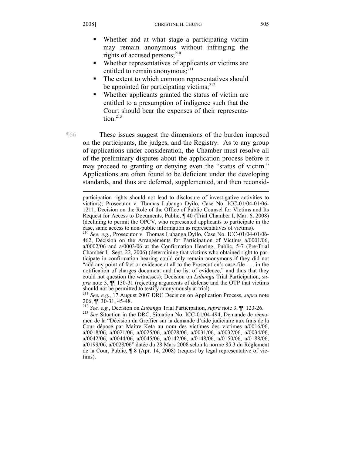$\overline{a}$ 

# Whether and at what stage a participating victim may remain anonymous without infringing the rights of accused persons; $^{210}$

- Whether representatives of applicants or victims are entitled to remain anonymous; $^{211}$
- The extent to which common representatives should be appointed for participating victims; $^{212}$
- Whether applicants granted the status of victim are entitled to a presumption of indigence such that the Court should bear the expenses of their representa $t$ <sub>i</sub>on $213$

¶66 These issues suggest the dimensions of the burden imposed on the participants, the judges, and the Registry. As to any group of applications under consideration, the Chamber must resolve all of the preliminary disputes about the application process before it may proceed to granting or denying even the "status of victim." Applications are often found to be deficient under the developing standards, and thus are deferred, supplemented, and then reconsid-

participation rights should not lead to disclosure of investigative activities to victims); Prosecutor v. Thomas Lubanga Dyilo, Case No. ICC-01/04-01/06- 1211, Decision on the Role of the Office of Public Counsel for Victims and Its Request for Access to Documents, Public, ¶ 40 (Trial Chamber I, Mar. 6, 2008) (declining to permit the OPCV, who represented applicants to participate in the case, same access to non-public information as representatives of victims).

<sup>210</sup> *See*, *e.g.*, Prosecutor v. Thomas Lubanga Dyilo, Case No. ICC-01/04-01/06- 462, Decision on the Arrangements for Participation of Victims a/0001/06, a/0002/06 and a/0003/06 at the Confirmation Hearing, Public, 5-7 (Pre-Trial Chamber I, Sept. 22, 2006) (determining that victims who obtained right to participate in confirmation hearing could only remain anonymous if they did not "add any point of fact or evidence at all to the Prosecution's case-file . . . in the notification of charges document and the list of evidence," and thus that they could not question the witnesses); Decision on *Lubanga* Trial Participation, *supra* note 3, ¶¶ 130-31 (rejecting arguments of defense and the OTP that victims should not be permitted to testify anonymously at trial).

<sup>211</sup> *See*, *e.g.*, 17 August 2007 DRC Decision on Application Process, *supra* note 206, ¶¶ 30-31, 45-48.

<sup>212</sup> *See, e.g.*, Decision on *Lubanga* Trial Participation, *supra* note 3, ¶¶ 123-26.<br><sup>213</sup> *See* Situation in the DRC, Situation No. ICC-01/04-494, Demande de réexamen de la "Décision du Greffier sur la demande d'aide judiciaire aux frais de la Cour déposé par Maître Keta au nom des victimes des victimes a/0016/06, a/0018/06, a/0021/06, a/0025/06, a/0028/06, a/0031/06, a/0032/06, a/0034/06, a/0042/06, a/0044/06, a/0045/06, a/0142/06, a/0148/06, a/0150/06, a/0188/06, a/0199/06, a/0028/06" datée du 28 Mars 2008 selon la norme 85.3 du Règlement de la Cour, Public, ¶ 8 (Apr. 14, 2008) (request by legal representative of victims).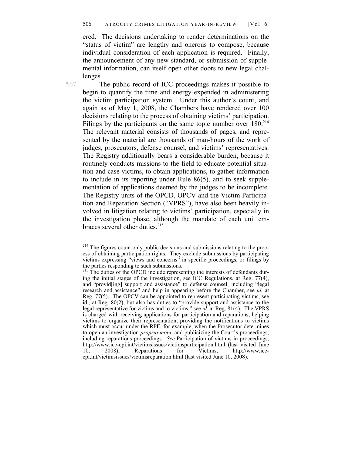ered. The decisions undertaking to render determinations on the "status of victim" are lengthy and onerous to compose, because individual consideration of each application is required. Finally, the announcement of any new standard, or submission of supplemental information, can itself open other doors to new legal challenges.

<u>.</u>

¶67 The public record of ICC proceedings makes it possible to begin to quantify the time and energy expended in administering the victim participation system. Under this author's count, and again as of May 1, 2008, the Chambers have rendered over 100 decisions relating to the process of obtaining victims' participation. Filings by the participants on the same topic number over  $180^{214}$ The relevant material consists of thousands of pages, and represented by the material are thousands of man-hours of the work of judges, prosecutors, defense counsel, and victims' representatives. The Registry additionally bears a considerable burden, because it routinely conducts missions to the field to educate potential situation and case victims, to obtain applications, to gather information to include in its reporting under Rule 86(5), and to seek supplementation of applications deemed by the judges to be incomplete. The Registry units of the OPCD, OPCV and the Victim Participation and Reparation Section ("VPRS"), have also been heavily involved in litigation relating to victims' participation, especially in the investigation phase, although the mandate of each unit embraces several other duties.<sup>215</sup>

<sup>&</sup>lt;sup>214</sup> The figures count only public decisions and submissions relating to the process of obtaining participation rights. They exclude submissions by participating victims expressing "views and concerns" in specific proceedings, or filings by the parties responding to such submissions.

 $215$  The duties of the OPCD include representing the interests of defendants during the initial stages of the investigation, see ICC Regulations, at Reg. 77(4), and "provid[ing] support and assistance" to defense counsel, including "legal research and assistance" and help in appearing before the Chamber, see *id.* at Reg. 77(5). The OPCV can be appointed to represent participating victims, see id., at Reg. 80(2), but also has duties to "provide support and assistance to the legal representative for victims and to victims," see *id.* at Reg. 81(4). The VPRS is charged with receiving applications for participation and reparations, helping victims to organize their representation, providing the notifications to victims which must occur under the RPE, for example, when the Prosecutor determines to open an investigation *proprio motu*, and publicizing the Court's proceedings, including reparations proceedings. *See* Participation of victims in proceedings, http://www.icc-cpi.int/victimsissues/victimsparticipation.html (last visited June 10, 2008); Reparations for Victims, http://www.icc-10, 2008); Reparations for Victims, http://www.icccpi.int/victimsissues/victimsreparation.html (last visited June 10, 2008).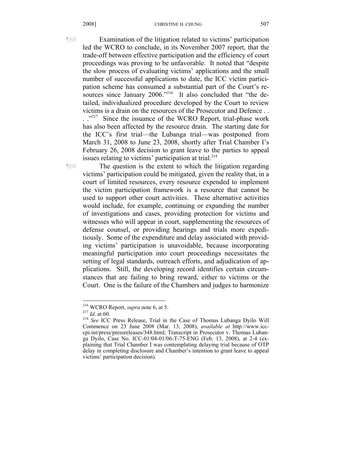¶68 Examination of the litigation related to victims' participation led the WCRO to conclude, in its November 2007 report, that the trade-off between effective participation and the efficiency of court proceedings was proving to be unfavorable. It noted that "despite the slow process of evaluating victims' applications and the small number of successful applications to date, the ICC victim participation scheme has consumed a substantial part of the Court's resources since January 2006."<sup>216</sup> It also concluded that "the detailed, individualized procedure developed by the Court to review victims is a drain on the resources of the Prosecutor and Defence . .

. ."<sup>217</sup> Since the issuance of the WCRO Report, trial-phase work has also been affected by the resource drain. The starting date for the ICC's first trial—the Lubanga trial—was postponed from March 31, 2008 to June 23, 2008, shortly after Trial Chamber I's February 26, 2008 decision to grant leave to the parties to appeal issues relating to victims' participation at trial.<sup>218</sup>

¶69 The question is the extent to which the litigation regarding victims' participation could be mitigated, given the reality that, in a court of limited resources, every resource expended to implement the victim participation framework is a resource that cannot be used to support other court activities. These alternative activities would include, for example, continuing or expanding the number of investigations and cases, providing protection for victims and witnesses who will appear in court, supplementing the resources of defense counsel, or providing hearings and trials more expeditiously. Some of the expenditure and delay associated with providing victims' participation is unavoidable, because incorporating meaningful participation into court proceedings necessitates the setting of legal standards, outreach efforts, and adjudication of applications. Still, the developing record identifies certain circumstances that are failing to bring reward, either to victims or the Court. One is the failure of the Chambers and judges to harmonize

<sup>&</sup>lt;sup>216</sup> WCRO Report, *supra* note 6, at 5.

<sup>&</sup>lt;sup>217</sup> Id. at 60. <sup>218</sup> See ICC Press Release, Trial in the Case of Thomas Lubanga Dyilo Will Commence on 23 June 2008 (Mar. 13, 2008), *available at* http://www.icccpi.int/press/pressreleases/348.html; Transcript in Prosecutor v. Thomas Lubanga Dyilo, Case No. ICC-01/04-01/06-T-75-ENG (Feb. 13, 2008), at 2-4 (explaining that Trial Chamber I was contemplating delaying trial because of OTP delay in completing disclosure and Chamber's intention to grant leave to appeal victims' participation decision).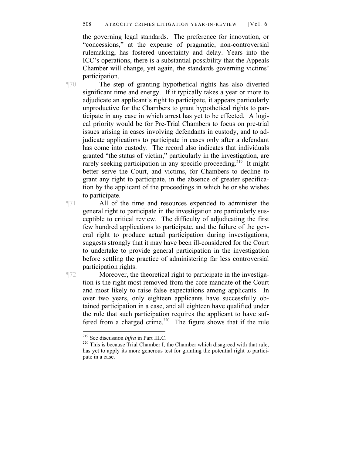#### 508 ATROCITY CRIMES LITIGATION YEAR-IN-REVIEW [Vol. 6

the governing legal standards. The preference for innovation, or "concessions," at the expense of pragmatic, non-controversial rulemaking, has fostered uncertainty and delay. Years into the ICC's operations, there is a substantial possibility that the Appeals Chamber will change, yet again, the standards governing victims' participation.

¶70 The step of granting hypothetical rights has also diverted significant time and energy. If it typically takes a year or more to adjudicate an applicant's right to participate, it appears particularly unproductive for the Chambers to grant hypothetical rights to participate in any case in which arrest has yet to be effected. A logical priority would be for Pre-Trial Chambers to focus on pre-trial issues arising in cases involving defendants in custody, and to adjudicate applications to participate in cases only after a defendant has come into custody. The record also indicates that individuals granted "the status of victim," particularly in the investigation, are rarely seeking participation in any specific proceeding.<sup>219</sup> It might better serve the Court, and victims, for Chambers to decline to grant any right to participate, in the absence of greater specification by the applicant of the proceedings in which he or she wishes to participate.

¶71 All of the time and resources expended to administer the general right to participate in the investigation are particularly susceptible to critical review. The difficulty of adjudicating the first few hundred applications to participate, and the failure of the general right to produce actual participation during investigations, suggests strongly that it may have been ill-considered for the Court to undertake to provide general participation in the investigation before settling the practice of administering far less controversial participation rights.

¶72 Moreover, the theoretical right to participate in the investigation is the right most removed from the core mandate of the Court and most likely to raise false expectations among applicants. In over two years, only eighteen applicants have successfully obtained participation in a case, and all eighteen have qualified under the rule that such participation requires the applicant to have suffered from a charged crime.<sup>220</sup> The figure shows that if the rule

<sup>&</sup>lt;sup>219</sup> See discussion *infra* in Part III.C.<br><sup>220</sup> This is because Trial Chamber I, the Chamber which disagreed with that rule, has yet to apply its more generous test for granting the potential right to participate in a case.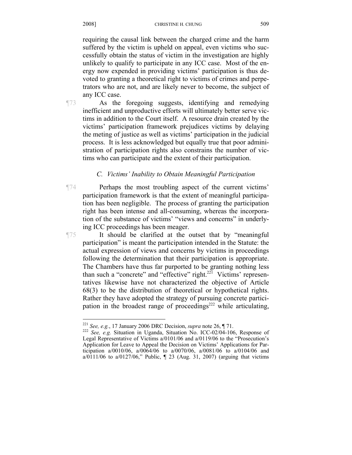requiring the causal link between the charged crime and the harm suffered by the victim is upheld on appeal, even victims who successfully obtain the status of victim in the investigation are highly unlikely to qualify to participate in any ICC case. Most of the energy now expended in providing victims' participation is thus devoted to granting a theoretical right to victims of crimes and perpetrators who are not, and are likely never to become, the subject of any ICC case.

¶73 As the foregoing suggests, identifying and remedying

inefficient and unproductive efforts will ultimately better serve victims in addition to the Court itself. A resource drain created by the victims' participation framework prejudices victims by delaying the meting of justice as well as victims' participation in the judicial process. It is less acknowledged but equally true that poor administration of participation rights also constrains the number of victims who can participate and the extent of their participation.

# *C. Victims' Inability to Obtain Meaningful Participation*

¶74 Perhaps the most troubling aspect of the current victims' participation framework is that the extent of meaningful participation has been negligible. The process of granting the participation right has been intense and all-consuming, whereas the incorporation of the substance of victims' "views and concerns" in underlying ICC proceedings has been meager.

¶75 It should be clarified at the outset that by "meaningful participation" is meant the participation intended in the Statute: the actual expression of views and concerns by victims in proceedings following the determination that their participation is appropriate. The Chambers have thus far purported to be granting nothing less than such a "concrete" and "effective" right.<sup>221</sup> Victims' representatives likewise have not characterized the objective of Article 68(3) to be the distribution of theoretical or hypothetical rights. Rather they have adopted the strategy of pursuing concrete participation in the broadest range of proceedings $^{222}$  while articulating,

<sup>&</sup>lt;sup>221</sup> See, e.g., 17 January 2006 DRC Decision, supra note 26, ¶ 71.

<sup>&</sup>lt;sup>222</sup> *See, e.g.* Situation in Uganda, Situation No. ICC-02/04-106, Response of Legal Representative of Victims a/0101/06 and a/0119/06 to the "Prosecution's Application for Leave to Appeal the Decision on Victims' Applications for Participation a/0010/06, a/0064/06 to a/0070/06, a/0081/06 to a/0104/06 and a/0111/06 to a/0127/06," Public,  $\P$  23 (Aug. 31, 2007) (arguing that victims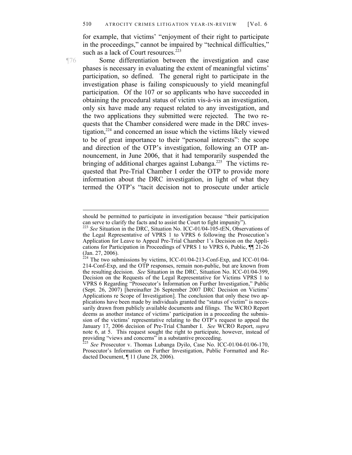for example, that victims' "enjoyment of their right to participate in the proceedings," cannot be impaired by "technical difficulties," such as a lack of Court resources.<sup>223</sup>

 $\overline{a}$ 

¶76 Some differentiation between the investigation and case phases is necessary in evaluating the extent of meaningful victims' participation, so defined. The general right to participate in the investigation phase is failing conspicuously to yield meaningful participation. Of the 107 or so applicants who have succeeded in obtaining the procedural status of victim vis-à-vis an investigation, only six have made any request related to any investigation, and the two applications they submitted were rejected. The two requests that the Chamber considered were made in the DRC investigation,224 and concerned an issue which the victims likely viewed to be of great importance to their "personal interests": the scope and direction of the OTP's investigation, following an OTP announcement, in June 2006, that it had temporarily suspended the bringing of additional charges against Lubanga.<sup>225</sup> The victims requested that Pre-Trial Chamber I order the OTP to provide more information about the DRC investigation, in light of what they termed the OTP's "tacit decision not to prosecute under article

should be permitted to participate in investigation because "their participation can serve to clarify the facts and to assist the Court to fight impunity").

<sup>&</sup>lt;sup>223</sup> See Situation in the DRC, Situation No. ICC-01/04-105-tEN, Observations of the Legal Representative of VPRS 1 to VPRS 6 following the Prosecution's Application for Leave to Appeal Pre-Trial Chamber 1's Decision on the Applications for Participation in Proceedings of VPRS 1 to VPRS 6, Public, ¶¶ 21-26 (Jan. 27, 2006).

 $^{224}$  The two submissions by victims, ICC-01/04-213-Conf-Exp, and ICC-01/04-214-Conf-Exp, and the OTP responses, remain non-public, but are known from the resulting decision. *See* Situation in the DRC, Situation No. ICC-01/04-399, Decision on the Requests of the Legal Representative for Victims VPRS 1 to VPRS 6 Regarding "Prosecutor's Information on Further Investigation," Public (Sept. 26, 2007) [hereinafter 26 September 2007 DRC Decision on Victims' Applications re Scope of Investigation]. The conclusion that only these two applications have been made by individuals granted the "status of victim" is necessarily drawn from publicly available documents and filings. The WCRO Report deems as another instance of victims' participation in a proceeding the submission of the victims' representative relating to the OTP's request to appeal the January 17, 2006 decision of Pre-Trial Chamber I. *See* WCRO Report, *supra*  note 6, at 5. This request sought the right to participate, however, instead of providing "views and concerns" in a substantive proceeding.

<sup>225</sup> *See* Prosecutor v. Thomas Lubanga Dyilo, Case No. ICC-01/04-01/06-170, Prosecutor's Information on Further Investigation, Public Formatted and Redacted Document, ¶ 11 (June 28, 2006).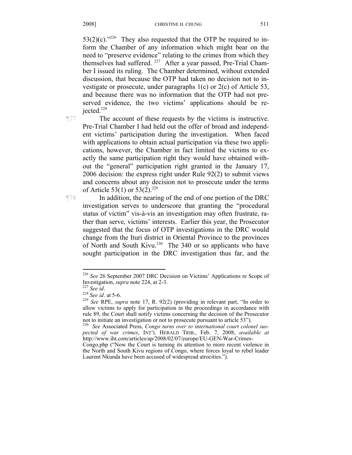$53(2)(c)$ ."<sup>226</sup> They also requested that the OTP be required to inform the Chamber of any information which might bear on the need to "preserve evidence" relating to the crimes from which they themselves had suffered. <sup>227</sup> After a year passed, Pre-Trial Chamber I issued its ruling. The Chamber determined, without extended discussion, that because the OTP had taken no decision not to investigate or prosecute, under paragraphs 1(c) or 2(c) of Article 53, and because there was no information that the OTP had not preserved evidence, the two victims' applications should be rejected. $228$ 

¶77 The account of these requests by the victims is instructive. Pre-Trial Chamber I had held out the offer of broad and independent victims' participation during the investigation. When faced with applications to obtain actual participation via these two applications, however, the Chamber in fact limited the victims to exactly the same participation right they would have obtained without the "general" participation right granted in the January 17, 2006 decision: the express right under Rule 92(2) to submit views and concerns about any decision not to prosecute under the terms of Article 53(1) or  $53(2)$ .<sup>229</sup>

¶78 In addition, the nearing of the end of one portion of the DRC investigation serves to underscore that granting the "procedural status of victim" vis-à-vis an investigation may often frustrate, rather than serve, victims' interests. Earlier this year, the Prosecutor suggested that the focus of OTP investigations in the DRC would change from the Ituri district in Oriental Province to the provinces of North and South Kivu.<sup>230</sup> The 340 or so applicants who have sought participation in the DRC investigation thus far, and the

<sup>226</sup> *See* 26 September 2007 DRC Decision on Victims' Applications re Scope of

Investigation, *supra* note 224, at 2-3.<br>
<sup>227</sup> *See id.* at 5-6.<br>
<sup>228</sup> *See id.* at 5-6.<br>
<sup>229</sup> *See RPE, supra note 17, R. 92(2) (providing in relevant part, "In order to* allow victims to apply for participation in the proceedings in accordance with rule 89, the Court shall notify victims concerning the decision of the Prosecutor not to initiate an investigation or not to prosecute pursuant to article 53"). 230 *See* Associated Press, *Congo turns over to international court colonel sus-*

*pected of war crimes*, INT'L HERALD TRIB., Feb. 7, 2008, *available at*  http://www.iht.com/articles/ap/2008/02/07/europe/EU-GEN-War-Crimes-

Congo.php ("Now the Court is turning its attention to more recent violence in the North and South Kivu regions of Congo, where forces loyal to rebel leader Laurent Nkunda have been accused of widespread atrocities.").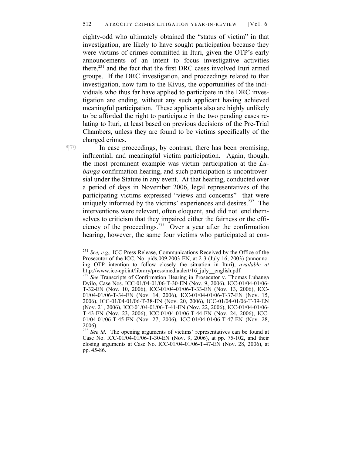eighty-odd who ultimately obtained the "status of victim" in that investigation, are likely to have sought participation because they were victims of crimes committed in Ituri, given the OTP's early announcements of an intent to focus investigative activities there,<sup>231</sup> and the fact that the first DRC cases involved Ituri armed groups. If the DRC investigation, and proceedings related to that investigation, now turn to the Kivus, the opportunities of the individuals who thus far have applied to participate in the DRC investigation are ending, without any such applicant having achieved meaningful participation. These applicants also are highly unlikely to be afforded the right to participate in the two pending cases relating to Ituri, at least based on previous decisions of the Pre-Trial Chambers, unless they are found to be victims specifically of the charged crimes.

¶79 In case proceedings, by contrast, there has been promising, influential, and meaningful victim participation. Again, though, the most prominent example was victim participation at the *Lubanga* confirmation hearing, and such participation is uncontroversial under the Statute in any event. At that hearing, conducted over a period of days in November 2006, legal representatives of the participating victims expressed "views and concerns" that were uniquely informed by the victims' experiences and desires.<sup>232</sup> The interventions were relevant, often eloquent, and did not lend themselves to criticism that they impaired either the fairness or the efficiency of the proceedings.233 Over a year after the confirmation hearing, however, the same four victims who participated at con-

<sup>231</sup> *See, e.g.,* ICC Press Release, Communications Received by the Office of the Prosecutor of the ICC, No. pids.009.2003-EN, at 2-3 (July 16, 2003) (announcing OTP intention to follow closely the situation in Ituri), *available at* http://www.icc-cpi.int/library/press/mediaalert/16\_july\_\_english.pdf.

<sup>&</sup>lt;sup>232</sup> See Transcripts of Confirmation Hearing in Prosecutor v. Thomas Lubanga Dyilo, Case Nos. ICC-01/04-01/06-T-30-EN (Nov. 9, 2006), ICC-01/04-01/06- T-32-EN (Nov. 10, 2006), ICC-01/04-01/06-T-33-EN (Nov. 13, 2006), ICC-01/04-01/06-T-34-EN (Nov. 14, 2006), ICC-01/04-01/06-T-37-EN (Nov. 15, 2006), ICC-01/04-01/06-T-38-EN (Nov. 20, 2006), ICC-01/04-01/06-T-39-EN (Nov. 21, 2006), ICC-01/04-01/06-T-41-EN (Nov. 22, 2006), ICC-01/04-01/06- T-43-EN (Nov. 23, 2006), ICC-01/04-01/06-T-44-EN (Nov. 24, 2006), ICC-01/04-01/06-T-45-EN (Nov. 27, 2006), ICC-01/04-01/06-T-47-EN (Nov. 28, 2006).

<sup>&</sup>lt;sup>233</sup> See id. The opening arguments of victims' representatives can be found at Case No. ICC-01/04-01/06-T-30-EN (Nov. 9, 2006), at pp. 75-102, and their closing arguments at Case No. ICC-01/04-01/06-T-47-EN (Nov. 28, 2006), at pp. 45-86.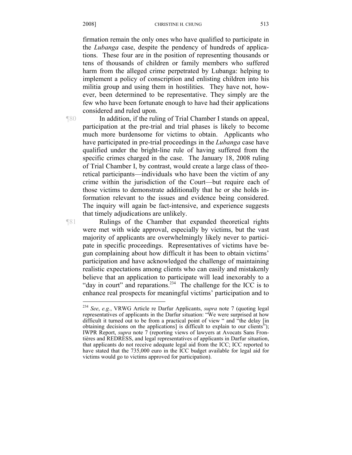firmation remain the only ones who have qualified to participate in the *Lubanga* case, despite the pendency of hundreds of applications. These four are in the position of representing thousands or tens of thousands of children or family members who suffered harm from the alleged crime perpetrated by Lubanga: helping to implement a policy of conscription and enlisting children into his militia group and using them in hostilities. They have not, however, been determined to be representative. They simply are the few who have been fortunate enough to have had their applications considered and ruled upon.

 $\overline{a}$ 

¶80 In addition, if the ruling of Trial Chamber I stands on appeal, participation at the pre-trial and trial phases is likely to become much more burdensome for victims to obtain. Applicants who have participated in pre-trial proceedings in the *Lubanga* case have qualified under the bright-line rule of having suffered from the specific crimes charged in the case. The January 18, 2008 ruling of Trial Chamber I, by contrast, would create a large class of theoretical participants—individuals who have been the victim of any crime within the jurisdiction of the Court—but require each of those victims to demonstrate additionally that he or she holds information relevant to the issues and evidence being considered. The inquiry will again be fact-intensive, and experience suggests that timely adjudications are unlikely.

¶81 Rulings of the Chamber that expanded theoretical rights were met with wide approval, especially by victims, but the vast majority of applicants are overwhelmingly likely never to participate in specific proceedings. Representatives of victims have begun complaining about how difficult it has been to obtain victims' participation and have acknowledged the challenge of maintaining realistic expectations among clients who can easily and mistakenly believe that an application to participate will lead inexorably to a "day in court" and reparations.<sup>234</sup> The challenge for the ICC is to enhance real prospects for meaningful victims' participation and to

<sup>234</sup> *See*, *e.g.*, VRWG Article re Darfur Applicants, *supra* note 7 (quoting legal representatives of applicants in the Darfur situation: "We were surprised at how difficult it turned out to be from a practical point of view " and "the delay [in obtaining decisions on the applications] is difficult to explain to our clients<sup>3</sup>; IWPR Report, *supra* note 7 (reporting views of lawyers at Avocats Sans Frontières and REDRESS, and legal representatives of applicants in Darfur situation, that applicants do not receive adequate legal aid from the ICC; ICC reported to have stated that the 735,000 euro in the ICC budget available for legal aid for victims would go to victims approved for participation).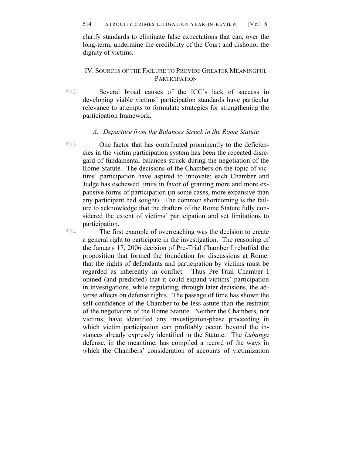clarify standards to eliminate false expectations that can, over the long-term, undermine the credibility of the Court and dishonor the dignity of victims.

## IV. SOURCES OF THE FAILURE TO PROVIDE GREATER MEANINGFUL **PARTICIPATION**

¶82 Several broad causes of the ICC's lack of success in developing viable victims' participation standards have particular relevance to attempts to formulate strategies for strengthening the participation framework.

### *A. Departure from the Balances Struck in the Rome Statute*

¶83 One factor that has contributed prominently to the deficiencies in the victim participation system has been the repeated disregard of fundamental balances struck during the negotiation of the Rome Statute. The decisions of the Chambers on the topic of victims' participation have aspired to innovate; each Chamber and Judge has eschewed limits in favor of granting more and more expansive forms of participation (in some cases, more expansive than any participant had sought). The common shortcoming is the failure to acknowledge that the drafters of the Rome Statute fully considered the extent of victims' participation and set limitations to participation.

¶84 The first example of overreaching was the decision to create a general right to participate in the investigation. The reasoning of the January 17, 2006 decision of Pre-Trial Chamber I rebuffed the proposition that formed the foundation for discussions at Rome: that the rights of defendants and participation by victims must be regarded as inherently in conflict. Thus Pre-Trial Chamber I opined (and predicted) that it could expand victims' participation in investigations, while regulating, through later decisions, the adverse affects on defense rights. The passage of time has shown the self-confidence of the Chamber to be less astute than the restraint of the negotiators of the Rome Statute. Neither the Chambers, nor victims, have identified any investigation-phase proceeding in which victim participation can profitably occur, beyond the instances already expressly identified in the Statute. The *Lubanga*  defense, in the meantime, has compiled a record of the ways in which the Chambers' consideration of accounts of victimization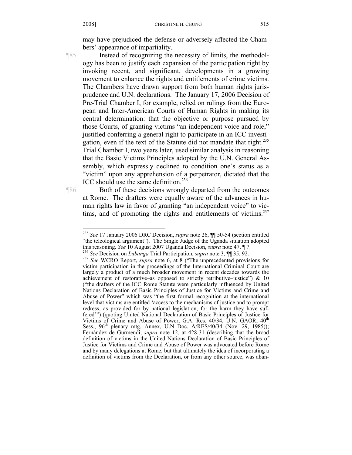may have prejudiced the defense or adversely affected the Chambers' appearance of impartiality.

 $\overline{a}$ 

¶85 Instead of recognizing the necessity of limits, the methodology has been to justify each expansion of the participation right by invoking recent, and significant, developments in a growing movement to enhance the rights and entitlements of crime victims. The Chambers have drawn support from both human rights jurisprudence and U.N. declarations. The January 17, 2006 Decision of Pre-Trial Chamber I, for example, relied on rulings from the European and Inter-American Courts of Human Rights in making its central determination: that the objective or purpose pursued by those Courts, of granting victims "an independent voice and role," justified conferring a general right to participate in an ICC investigation, even if the text of the Statute did not mandate that right.<sup>235</sup> Trial Chamber I, two years later, used similar analysis in reasoning that the Basic Victims Principles adopted by the U.N. General Assembly, which expressly declined to condition one's status as a "victim" upon any apprehension of a perpetrator, dictated that the ICC should use the same definition.<sup>236</sup>

¶86 Both of these decisions wrongly departed from the outcomes at Rome. The drafters were equally aware of the advances in human rights law in favor of granting "an independent voice" to victims, and of promoting the rights and entitlements of victims. $237$ 

<sup>235</sup> *See* 17 January 2006 DRC Decision, *supra* note 26, ¶¶ 50-54 (section entitled "the teleological argument"). The Single Judge of the Uganda situation adopted this reasoning. See 10 August 2007 Uganda Decision, *supra* note 47,  $\P$  7.<br><sup>236</sup> See Decision on *Lubanga* Trial Participation, *supra* note 3,  $\P$   $\P$  35, 92.<br><sup>237</sup> See WCRO Report, *supra* note 6, at 8 ("The unpreceden

victim participation in the proceedings of the International Criminal Court are largely a product of a much broader movement in recent decades towards the achievement of restorative–as opposed to strictly retributive–justice") & 10 ("the drafters of the ICC Rome Statute were particularly influenced by United Nations Declaration of Basic Principles of Justice for Victims and Crime and Abuse of Power" which was "the first formal recognition at the international level that victims are entitled 'access to the mechanisms of justice and to prompt redress, as provided for by national legislation, for the harm they have suffered'") (quoting United National Declaration of Basic Principles of Justice for Victims of Crime and Abuse of Power, G.A. Res. 40/34, U.N. GAOR,  $40^{th}$ Sess., 96<sup>th</sup> plenary mtg, Annex, U.N Doc. A/RES/40/34 (Nov. 29, 1985)); Fernández de Gurmendi, *supra* note 12, at 428-31 (describing that the broad definition of victims in the United Nations Declaration of Basic Principles of Justice for Victims and Crime and Abuse of Power was advocated before Rome and by many delegations at Rome, but that ultimately the idea of incorporating a definition of victims from the Declaration, or from any other source, was aban-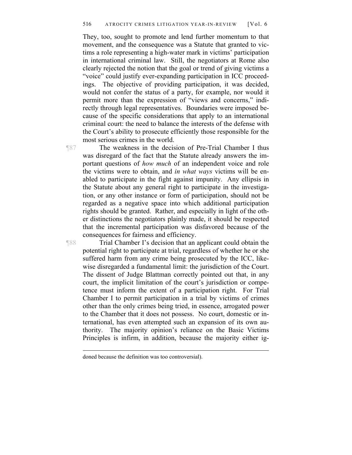They, too, sought to promote and lend further momentum to that movement, and the consequence was a Statute that granted to victims a role representing a high-water mark in victims' participation in international criminal law. Still, the negotiators at Rome also clearly rejected the notion that the goal or trend of giving victims a "voice" could justify ever-expanding participation in ICC proceedings. The objective of providing participation, it was decided, would not confer the status of a party, for example, nor would it permit more than the expression of "views and concerns," indirectly through legal representatives. Boundaries were imposed because of the specific considerations that apply to an international criminal court: the need to balance the interests of the defense with the Court's ability to prosecute efficiently those responsible for the most serious crimes in the world.

¶87 The weakness in the decision of Pre-Trial Chamber I thus was disregard of the fact that the Statute already answers the important questions of *how much* of an independent voice and role the victims were to obtain, and *in what ways* victims will be enabled to participate in the fight against impunity. Any ellipsis in the Statute about any general right to participate in the investigation, or any other instance or form of participation, should not be regarded as a negative space into which additional participation rights should be granted. Rather, and especially in light of the other distinctions the negotiators plainly made, it should be respected that the incremental participation was disfavored because of the consequences for fairness and efficiency.

¶88 Trial Chamber I's decision that an applicant could obtain the potential right to participate at trial, regardless of whether he or she suffered harm from any crime being prosecuted by the ICC, likewise disregarded a fundamental limit: the jurisdiction of the Court. The dissent of Judge Blattman correctly pointed out that, in any court, the implicit limitation of the court's jurisdiction or competence must inform the extent of a participation right. For Trial Chamber I to permit participation in a trial by victims of crimes other than the only crimes being tried, in essence, arrogated power to the Chamber that it does not possess. No court, domestic or international, has even attempted such an expansion of its own authority. The majority opinion's reliance on the Basic Victims Principles is infirm, in addition, because the majority either ig-

doned because the definition was too controversial).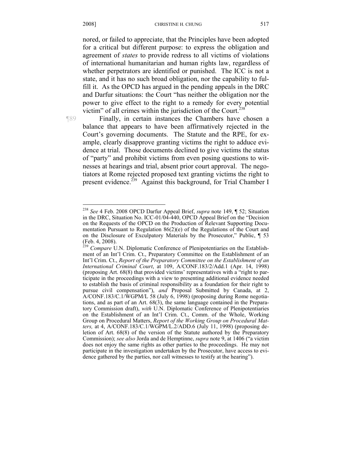nored, or failed to appreciate, that the Principles have been adopted for a critical but different purpose: to express the obligation and agreement of *states* to provide redress to all victims of violations of international humanitarian and human rights law, regardless of whether perpetrators are identified or punished. The ICC is not a state, and it has no such broad obligation, nor the capability to fulfill it. As the OPCD has argued in the pending appeals in the DRC and Darfur situations: the Court "has neither the obligation nor the power to give effect to the right to a remedy for every potential victim" of all crimes within the jurisdiction of the Court.<sup>238</sup>

 $\overline{a}$ 

¶89 Finally, in certain instances the Chambers have chosen a balance that appears to have been affirmatively rejected in the Court's governing documents. The Statute and the RPE, for example, clearly disapprove granting victims the right to adduce evidence at trial. Those documents declined to give victims the status of "party" and prohibit victims from even posing questions to witnesses at hearings and trial, absent prior court approval. The negotiators at Rome rejected proposed text granting victims the right to present evidence.<sup>239</sup> Against this background, for Trial Chamber I

<sup>238</sup> *See* 4 Feb. 2008 OPCD Darfur Appeal Brief, *supra* note 149, ¶ 52; Situation in the DRC, Situation No. ICC-01/04-440, OPCD Appeal Brief on the "Decision on the Requests of the OPCD on the Production of Relevant Supporting Documentation Pursuant to Regulation 86(2)(e) of the Regulations of the Court and on the Disclosure of Exculpatory Materials by the Prosecutor," Public, ¶ 53 (Feb. 4, 2008).

<sup>&</sup>lt;sup>239</sup> *Compare* U.N. Diplomatic Conference of Plenipotentiaries on the Establishment of an Int'l Crim. Ct., Preparatory Committee on the Establishment of an Int'l Crim. Ct., *Report of the Preparatory Committee on the Establishment of an International Criminal Court*, at 109, A/CONF.183/2/Add.1 (Apr. 14, 1998) (proposing Art. 68(8) that provided victims' representatives with a "right to participate in the proceedings with a view to presenting additional evidence needed to establish the basis of criminal responsibility as a foundation for their right to pursue civil compensation"), *and* Proposal Submitted by Canada, at 2, A/CONF.183/C.1/WGPM/L 58 (July 6, 1998) (proposing during Rome negotiations, and as part of an Art. 68(3), the same language contained in the Preparatory Commission draft), *with* U.N. Diplomatic Conference of Plenipotentiaries on the Establishment of an Int'l Crim. Ct., Comm. of the Whole, Working Group on Procedural Matters, *Report of the Working Group on Procedural Matters,* at 4, A/CONF.183/C.1/WGPM/L.2/ADD.6 (July 11, 1998) (proposing deletion of Art. 68(8) of the version of the Statute authored by the Preparatory Commission); *see also* Jorda and de Hemptinne, *supra* note 9, at 1406 ("a victim does not enjoy the same rights as other parties to the proceedings. He may not participate in the investigation undertaken by the Prosecutor, have access to evidence gathered by the parties, nor call witnesses to testify at the hearing").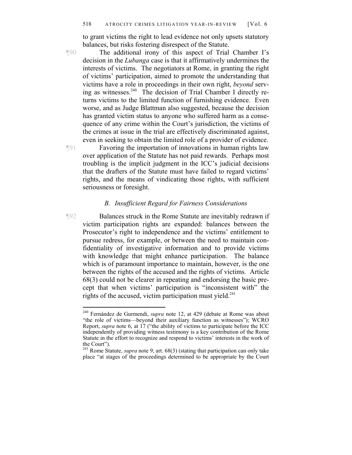to grant victims the right to lead evidence not only upsets statutory balances, but risks fostering disrespect of the Statute.

¶90 The additional irony of this aspect of Trial Chamber I's decision in the *Lubanga* case is that it affirmatively undermines the interests of victims. The negotiators at Rome, in granting the right of victims' participation, aimed to promote the understanding that victims have a role in proceedings in their own right, *beyond* serving as witnesses.240 The decision of Trial Chamber I directly returns victims to the limited function of furnishing evidence. Even worse, and as Judge Blattman also suggested, because the decision has granted victim status to anyone who suffered harm as a consequence of any crime within the Court's jurisdiction, the victims of the crimes at issue in the trial are effectively discriminated against, even in seeking to obtain the limited role of a provider of evidence.

¶91 Favoring the importation of innovations in human rights law over application of the Statute has not paid rewards. Perhaps most troubling is the implicit judgment in the ICC's judicial decisions that the drafters of the Statute must have failed to regard victims' rights, and the means of vindicating those rights, with sufficient seriousness or foresight.

## *B. Insufficient Regard for Fairness Considerations*

¶92 Balances struck in the Rome Statute are inevitably redrawn if victim participation rights are expanded: balances between the Prosecutor's right to independence and the victims' entitlement to pursue redress, for example, or between the need to maintain confidentiality of investigative information and to provide victims with knowledge that might enhance participation. The balance which is of paramount importance to maintain, however, is the one between the rights of the accused and the rights of victims. Article 68(3) could not be clearer in repeating and endorsing the basic precept that when victims' participation is "inconsistent with" the rights of the accused, victim participation must yield. $^{241}$ 

<sup>240</sup> Fernández de Gurmendi, *supra* note 12, at 429 (debate at Rome was about "the role of victims—beyond their auxiliary function as witnesses"); WCRO Report, *supra* note 6, at 17 ("the ability of victims to participate before the ICC independently of providing witness testimony is a key contribution of the Rome Statute in the effort to recognize and respond to victims' interests in the work of the Court").

<sup>241</sup> Rome Statute, *supra* note 9, art. 68(3) (stating that participation can only take place "at stages of the proceedings determined to be appropriate by the Court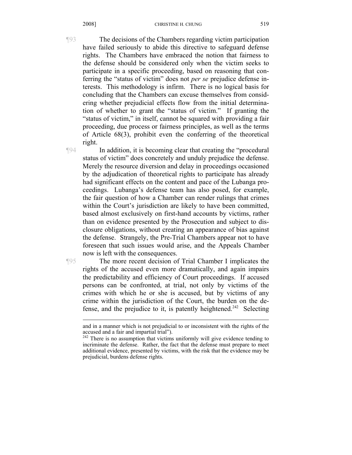¶93 The decisions of the Chambers regarding victim participation have failed seriously to abide this directive to safeguard defense rights. The Chambers have embraced the notion that fairness to the defense should be considered only when the victim seeks to participate in a specific proceeding, based on reasoning that conferring the "status of victim" does not *per se* prejudice defense interests. This methodology is infirm. There is no logical basis for concluding that the Chambers can excuse themselves from considering whether prejudicial effects flow from the initial determination of whether to grant the "status of victim." If granting the "status of victim," in itself, cannot be squared with providing a fair proceeding, due process or fairness principles, as well as the terms of Article 68(3), prohibit even the conferring of the theoretical right.

¶94 In addition, it is becoming clear that creating the "procedural status of victim" does concretely and unduly prejudice the defense. Merely the resource diversion and delay in proceedings occasioned by the adjudication of theoretical rights to participate has already had significant effects on the content and pace of the Lubanga proceedings. Lubanga's defense team has also posed, for example, the fair question of how a Chamber can render rulings that crimes within the Court's jurisdiction are likely to have been committed, based almost exclusively on first-hand accounts by victims, rather than on evidence presented by the Prosecution and subject to disclosure obligations, without creating an appearance of bias against the defense. Strangely, the Pre-Trial Chambers appear not to have foreseen that such issues would arise, and the Appeals Chamber now is left with the consequences.

 $\overline{a}$ 

¶95 The more recent decision of Trial Chamber I implicates the rights of the accused even more dramatically, and again impairs the predictability and efficiency of Court proceedings. If accused persons can be confronted, at trial, not only by victims of the crimes with which he or she is accused, but by victims of any crime within the jurisdiction of the Court, the burden on the defense, and the prejudice to it, is patently heightened.<sup>242</sup> Selecting

and in a manner which is not prejudicial to or inconsistent with the rights of the accused and a fair and impartial trial").

 $242$  There is no assumption that victims uniformly will give evidence tending to incriminate the defense. Rather, the fact that the defense must prepare to meet additional evidence, presented by victims, with the risk that the evidence may be prejudicial, burdens defense rights.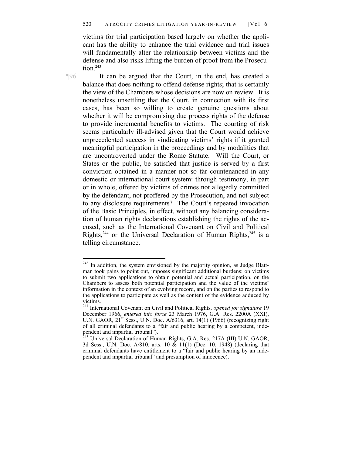victims for trial participation based largely on whether the applicant has the ability to enhance the trial evidence and trial issues will fundamentally alter the relationship between victims and the defense and also risks lifting the burden of proof from the Prosecution $243$ 

¶96 It can be argued that the Court, in the end, has created a balance that does nothing to offend defense rights; that is certainly the view of the Chambers whose decisions are now on review. It is nonetheless unsettling that the Court, in connection with its first cases, has been so willing to create genuine questions about whether it will be compromising due process rights of the defense to provide incremental benefits to victims. The courting of risk seems particularly ill-advised given that the Court would achieve unprecedented success in vindicating victims' rights if it granted meaningful participation in the proceedings and by modalities that are uncontroverted under the Rome Statute. Will the Court, or States or the public, be satisfied that justice is served by a first conviction obtained in a manner not so far countenanced in any domestic or international court system: through testimony, in part or in whole, offered by victims of crimes not allegedly committed by the defendant, not proffered by the Prosecution, and not subject to any disclosure requirements? The Court's repeated invocation of the Basic Principles, in effect, without any balancing consideration of human rights declarations establishing the rights of the accused, such as the International Covenant on Civil and Political Rights,<sup>244</sup> or the Universal Declaration of Human Rights,<sup>245</sup> is a telling circumstance.

<sup>&</sup>lt;sup>243</sup> In addition, the system envisioned by the majority opinion, as Judge Blattman took pains to point out, imposes significant additional burdens: on victims to submit two applications to obtain potential and actual participation, on the Chambers to assess both potential participation and the value of the victims' information in the context of an evolving record, and on the parties to respond to the applications to participate as well as the content of the evidence adduced by victims.

<sup>244</sup> International Covenant on Civil and Political Rights, *opened for signature* 19 December 1966, *entered into force* 23 March 1976, G.A. Res. 2200A (XXI), U.N. GAOR,  $21<sup>st</sup>$  Sess., U.N. Doc. A/6316, art. 14(1) (1966) (recognizing right of all criminal defendants to a "fair and public hearing by a competent, independent and impartial tribunal").

 $^{245}$  Universal Declaration of Human Rights, G.A. Res. 217A (III) U.N. GAOR, 3d Sess., U.N. Doc. A/810, arts. 10  $\&$  11(1) (Dec. 10, 1948) (declaring that criminal defendants have entitlement to a "fair and public hearing by an independent and impartial tribunal" and presumption of innocence).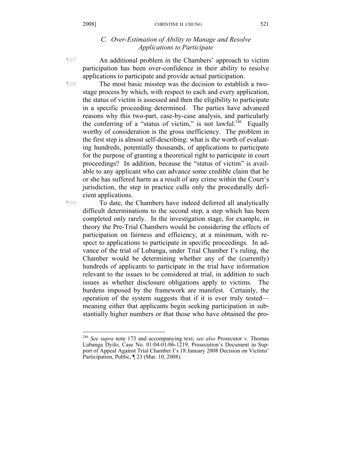## *C. Over-Estimation of Ability to Manage and Resolve Applications to Participate*

¶97 An additional problem in the Chambers' approach to victim participation has been over-confidence in their ability to resolve applications to participate and provide actual participation.

¶98 The most basic misstep was the decision to establish a twostage process by which, with respect to each and every application, the status of victim is assessed and then the eligibility to participate in a specific proceeding determined. The parties have advanced reasons why this two-part, case-by-case analysis, and particularly the conferring of a "status of victim," is not lawful.<sup>246</sup> Equally worthy of consideration is the gross inefficiency. The problem in the first step is almost self-describing: what is the worth of evaluating hundreds, potentially thousands, of applications to participate for the purpose of granting a theoretical right to participate in court proceedings? In addition, because the "status of victim" is available to any applicant who can advance some credible claim that he or she has suffered harm as a result of any crime within the Court's jurisdiction, the step in practice culls only the procedurally deficient applications.

 $\overline{a}$ 

¶99 To date, the Chambers have indeed deferred all analytically difficult determinations to the second step, a step which has been completed only rarely. In the investigation stage, for example, in theory the Pre-Trial Chambers would be considering the effects of participation on fairness and efficiency, at a minimum, with respect to applications to participate in specific proceedings. In advance of the trial of Lubanga, under Trial Chamber I's ruling, the Chamber would be determining whether any of the (currently) hundreds of applicants to participate in the trial have information relevant to the issues to be considered at trial, in addition to such issues as whether disclosure obligations apply to victims. The burdens imposed by the framework are manifest. Certainly, the operation of the system suggests that if it is ever truly tested meaning either that applicants begin seeking participation in substantially higher numbers or that those who have obtained the pro-

<sup>246</sup> *See supra* note 173 and accompanying text; *see also* Prosecutor v. Thomas Lubanga Dyilo, Case No. 01/04-01/06-1219, Prosecution's Document in Support of Appeal Against Trial Chamber I's 18 January 2008 Decision on Victims' Participation, Public, ¶ 23 (Mar. 10, 2008).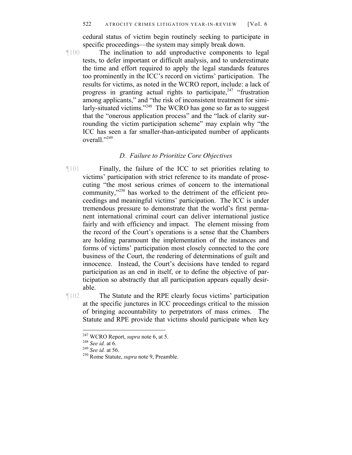cedural status of victim begin routinely seeking to participate in specific proceedings—the system may simply break down.

¶100 The inclination to add unproductive components to legal tests, to defer important or difficult analysis, and to underestimate the time and effort required to apply the legal standards features too prominently in the ICC's record on victims' participation. The results for victims, as noted in the WCRO report, include: a lack of progress in granting actual rights to participate,<sup>247</sup> "frustration among applicants," and "the risk of inconsistent treatment for similarly-situated victims."<sup>248</sup> The WCRO has gone so far as to suggest that the "onerous application process" and the "lack of clarity surrounding the victim participation scheme" may explain why "the ICC has seen a far smaller-than-anticipated number of applicants overall."<sup>249</sup>

# *D. Failure to Prioritize Core Objectives*

¶101 Finally, the failure of the ICC to set priorities relating to victims' participation with strict reference to its mandate of prosecuting "the most serious crimes of concern to the international community,"<sup>250</sup> has worked to the detriment of the efficient proceedings and meaningful victims' participation. The ICC is under tremendous pressure to demonstrate that the world's first permanent international criminal court can deliver international justice fairly and with efficiency and impact. The element missing from the record of the Court's operations is a sense that the Chambers are holding paramount the implementation of the instances and forms of victims' participation most closely connected to the core business of the Court, the rendering of determinations of guilt and innocence. Instead, the Court's decisions have tended to regard participation as an end in itself, or to define the objective of participation so abstractly that all participation appears equally desirable.

¶102 The Statute and the RPE clearly focus victims' participation at the specific junctures in ICC proceedings critical to the mission of bringing accountability to perpetrators of mass crimes. The Statute and RPE provide that victims should participate when key

<sup>&</sup>lt;sup>247</sup> WCRO Report, *supra* note 6, at 5.

<sup>&</sup>lt;sup>248</sup> See id. at 6.<br><sup>249</sup> See id. at 56. <sup>250</sup> Rome Statute, *supra* note 9, Preamble.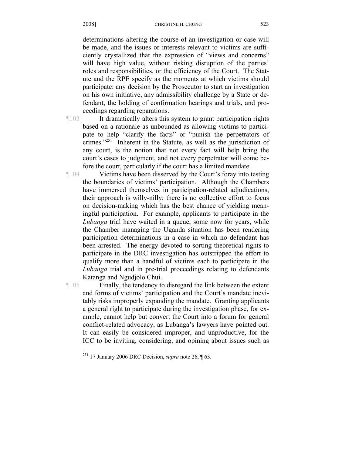#### 2008] CHRISTINE H. CHUNG

determinations altering the course of an investigation or case will be made, and the issues or interests relevant to victims are sufficiently crystallized that the expression of "views and concerns" will have high value, without risking disruption of the parties' roles and responsibilities, or the efficiency of the Court. The Statute and the RPE specify as the moments at which victims should participate: any decision by the Prosecutor to start an investigation on his own initiative, any admissibility challenge by a State or defendant, the holding of confirmation hearings and trials, and proceedings regarding reparations.

¶103 It dramatically alters this system to grant participation rights based on a rationale as unbounded as allowing victims to participate to help "clarify the facts" or "punish the perpetrators of crimes."251 Inherent in the Statute, as well as the jurisdiction of any court, is the notion that not every fact will help bring the court's cases to judgment, and not every perpetrator will come before the court, particularly if the court has a limited mandate.

¶104 Victims have been disserved by the Court's foray into testing the boundaries of victims' participation. Although the Chambers have immersed themselves in participation-related adjudications, their approach is willy-nilly; there is no collective effort to focus on decision-making which has the best chance of yielding meaningful participation. For example, applicants to participate in the *Lubanga* trial have waited in a queue, some now for years, while the Chamber managing the Uganda situation has been rendering participation determinations in a case in which no defendant has been arrested. The energy devoted to sorting theoretical rights to participate in the DRC investigation has outstripped the effort to qualify more than a handful of victims each to participate in the *Lubanga* trial and in pre-trial proceedings relating to defendants Katanga and Ngudjolo Chui.

¶105 Finally, the tendency to disregard the link between the extent and forms of victims' participation and the Court's mandate inevitably risks improperly expanding the mandate. Granting applicants a general right to participate during the investigation phase, for example, cannot help but convert the Court into a forum for general conflict-related advocacy, as Lubanga's lawyers have pointed out. It can easily be considered improper, and unproductive, for the ICC to be inviting, considering, and opining about issues such as

<sup>251 17</sup> January 2006 DRC Decision, *supra* note 26, ¶ 63.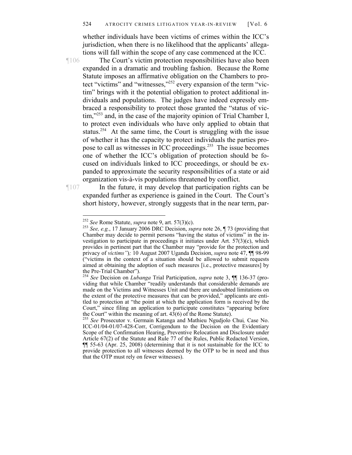whether individuals have been victims of crimes within the ICC's jurisdiction, when there is no likelihood that the applicants' allegations will fall within the scope of any case commenced at the ICC.

¶106 The Court's victim protection responsibilities have also been expanded in a dramatic and troubling fashion. Because the Rome Statute imposes an affirmative obligation on the Chambers to protect "victims" and "witnesses,"<sup>252</sup> every expansion of the term "victim" brings with it the potential obligation to protect additional individuals and populations. The judges have indeed expressly embraced a responsibility to protect those granted the "status of victim,"<sup>253</sup> and, in the case of the majority opinion of Trial Chamber I, to protect even individuals who have only applied to obtain that status.<sup>254</sup> At the same time, the Court is struggling with the issue of whether it has the capacity to protect individuals the parties propose to call as witnesses in ICC proceedings.255 The issue becomes one of whether the ICC's obligation of protection should be focused on individuals linked to ICC proceedings, or should be expanded to approximate the security responsibilities of a state or aid organization vis-à-vis populations threatened by conflict.

¶107 In the future, it may develop that participation rights can be expanded further as experience is gained in the Court. The Court's short history, however, strongly suggests that in the near term, par-

<sup>&</sup>lt;sup>252</sup> See Rome Statute, *supra* note 9, art.  $57(3)(c)$ .

<sup>&</sup>lt;sup>253</sup> See, e.g., 17 January 2006 DRC Decision, *supra* note 26, ¶ 73 (providing that Chamber may decide to permit persons "having the status of victims" in the investigation to participate in proceedings it initiates under Art.  $57(3)(c)$ , which provides in pertinent part that the Chamber may "provide for the protection and privacy of *victims"*)*;* 10 August 2007 Uganda Decision, *supra* note 47, ¶¶ 98-99 ("victims in the context of a situation should be allowed to submit requests aimed at obtaining the adoption of such measures [i.e., protective measures] by the Pre-Trial Chamber").

<sup>254</sup> *See* Decision on *Lubanga* Trial Participation, *supra* note 3, ¶¶ 136-37 (providing that while Chamber "readily understands that considerable demands are made on the Victims and Witnesses Unit and there are undoubted limitations on the extent of the protective measures that can be provided," applicants are entitled to protection at "the point at which the application form is received by the Court," since filing an application to participate constitutes "appearing before the Court" within the meaning of art. 43(6) of the Rome Statute). 255 *See* Prosecutor v. Germain Katanga and Mathieu Ngudjolo Chui*,* Case No.

ICC-01/04-01/07-428-Corr, Corrigendum to the Decision on the Evidentiary Scope of the Confirmation Hearing, Preventive Relocation and Disclosure under Article 67(2) of the Statute and Rule 77 of the Rules, Public Redacted Version, ¶¶ 55-63 (Apr. 25, 2008) (determining that it is not sustainable for the ICC to provide protection to all witnesses deemed by the OTP to be in need and thus that the OTP must rely on fewer witnesses).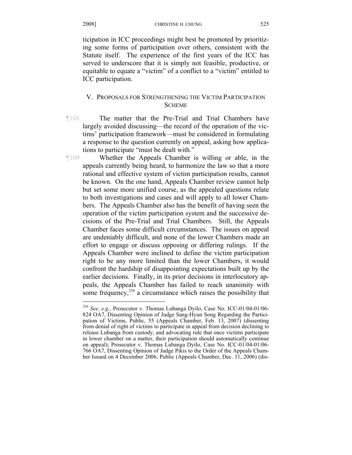ticipation in ICC proceedings might best be promoted by prioritizing some forms of participation over others, consistent with the Statute itself. The experience of the first years of the ICC has served to underscore that it is simply not feasible, productive, or equitable to equate a "victim" of a conflict to a "victim" entitled to ICC participation.

## V. PROPOSALS FOR STRENGTHENING THE VICTIM PARTICIPATION **SCHEME**

¶108 The matter that the Pre-Trial and Trial Chambers have largely avoided discussing—the record of the operation of the victims' participation framework—must be considered in formulating a response to the question currently on appeal, asking how applications to participate "must be dealt with."

¶109 Whether the Appeals Chamber is willing or able, in the appeals currently being heard, to harmonize the law so that a more rational and effective system of victim participation results, cannot be known. On the one hand, Appeals Chamber review cannot help but set some more unified course, as the appealed questions relate to both investigations and cases and will apply to all lower Chambers. The Appeals Chamber also has the benefit of having seen the operation of the victim participation system and the successive decisions of the Pre-Trial and Trial Chambers. Still, the Appeals Chamber faces some difficult circumstances. The issues on appeal are undeniably difficult, and none of the lower Chambers made an effort to engage or discuss opposing or differing rulings. If the Appeals Chamber were inclined to define the victim participation right to be any more limited than the lower Chambers, it would confront the hardship of disappointing expectations built up by the earlier decisions. Finally, in its prior decisions in interlocutory appeals, the Appeals Chamber has failed to reach unanimity with some frequency, $256$  a circumstance which raises the possibility that

<sup>256</sup> *See, e.g.*, Prosecutor v. Thomas Lubanga Dyilo, Case No. ICC-01/04-01/06- 824 OA7, Dissenting Opinion of Judge Sang-Hyun Song Regarding the Participation of Victims, Public, 55 (Appeals Chamber, Feb. 13, 2007) (dissenting from denial of right of victims to participate in appeal from decision declining to release Lubanga from custody, and advocating rule that once victims participate in lower chamber on a matter, their participation should automatically continue on appeal); Prosecutor v. Thomas Lubanga Dyilo, Case No. ICC-01/04-01/06- 766 OA7, Dissenting Opinion of Judge Pikis to the Order of the Appeals Chamber Issued on 4 December 2006, Public (Appeals Chamber, Dec. 11, 2006) (dis-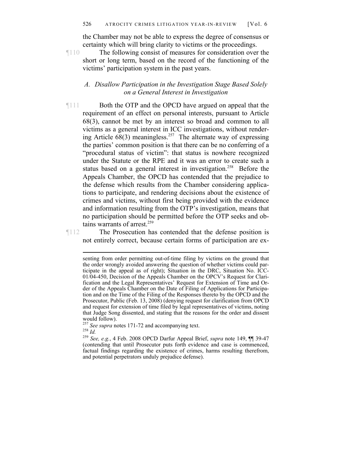the Chamber may not be able to express the degree of consensus or certainty which will bring clarity to victims or the proceedings.

¶110 The following consist of measures for consideration over the short or long term, based on the record of the functioning of the victims' participation system in the past years.

## *A. Disallow Participation in the Investigation Stage Based Solely on a General Interest in Investigation*

¶111 Both the OTP and the OPCD have argued on appeal that the requirement of an effect on personal interests, pursuant to Article 68(3), cannot be met by an interest so broad and common to all victims as a general interest in ICC investigations, without rendering Article  $\overline{68(3)}$  meaningless.<sup>257</sup> The alternate way of expressing the parties' common position is that there can be no conferring of a "procedural status of victim": that status is nowhere recognized under the Statute or the RPE and it was an error to create such a status based on a general interest in investigation.<sup>258</sup> Before the Appeals Chamber, the OPCD has contended that the prejudice to the defense which results from the Chamber considering applications to participate, and rendering decisions about the existence of crimes and victims, without first being provided with the evidence and information resulting from the OTP's investigation, means that no participation should be permitted before the OTP seeks and obtains warrants of arrest.<sup>259</sup>

¶112 The Prosecution has contended that the defense position is not entirely correct, because certain forms of participation are ex-

 $\overline{a}$ senting from order permitting out-of-time filing by victims on the ground that the order wrongly avoided answering the question of whether victims could participate in the appeal as of right); Situation in the DRC, Situation No. ICC-01/04-450, Decision of the Appeals Chamber on the OPCV's Request for Clarification and the Legal Representatives' Request for Extension of Time and Order of the Appeals Chamber on the Date of Filing of Applications for Participation and on the Time of the Filing of the Responses thereto by the OPCD and the Prosecutor, Public (Feb. 13, 2008) (denying request for clarification from OPCD and request for extension of time filed by legal representatives of victims, noting that Judge Song dissented, and stating that the reasons for the order and dissent

would follow).<br><sup>257</sup> See supra notes 171-72 and accompanying text.

<sup>&</sup>lt;sup>258</sup> *Id.*<br><sup>259</sup> *See, e.g.*, 4 Feb. 2008 OPCD Darfur Appeal Brief, *supra* note 149, ¶¶ 39-47 (contending that until Prosecutor puts forth evidence and case is commenced, factual findings regarding the existence of crimes, harms resulting therefrom, and potential perpetrators unduly prejudice defense).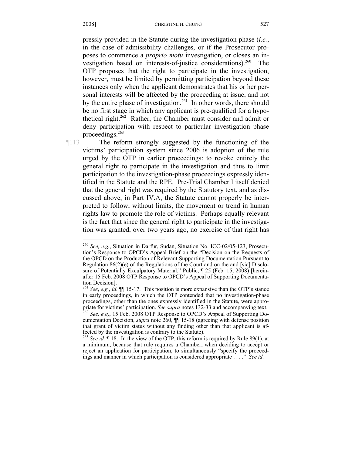pressly provided in the Statute during the investigation phase (*i.e.*, in the case of admissibility challenges, or if the Prosecutor proposes to commence a *proprio motu* investigation, or closes an investigation based on interests-of-justice considerations).<sup>260</sup> The OTP proposes that the right to participate in the investigation, however, must be limited by permitting participation beyond these instances only when the applicant demonstrates that his or her personal interests will be affected by the proceeding at issue, and not by the entire phase of investigation.<sup>261</sup> In other words, there should be no first stage in which any applicant is pre-qualified for a hypothetical right.262 Rather, the Chamber must consider and admit or deny participation with respect to particular investigation phase proceedings. $263$ 

¶113 The reform strongly suggested by the functioning of the victims' participation system since 2006 is adoption of the rule urged by the OTP in earlier proceedings: to revoke entirely the general right to participate in the investigation and thus to limit participation to the investigation-phase proceedings expressly identified in the Statute and the RPE. Pre-Trial Chamber I itself denied that the general right was required by the Statutory text, and as discussed above, in Part IV.A, the Statute cannot properly be interpreted to follow, without limits, the movement or trend in human rights law to promote the role of victims. Perhaps equally relevant is the fact that since the general right to participate in the investigation was granted, over two years ago, no exercise of that right has

<sup>260</sup> *See, e.g.*, Situation in Darfur, Sudan, Situation No. ICC-02/05-123, Prosecution's Response to OPCD's Appeal Brief on the "Decision on the Requests of the OPCD on the Production of Relevant Supporting Documentation Pursuant to Regulation 86(2)(e) of the Regulations of the Court and on the and [sic] Disclosure of Potentially Exculpatory Material," Public,  $\parallel$  25 (Feb. 15, 2008) [hereinafter 15 Feb. 2008 OTP Response to OPCD's Appeal of Supporting Documentation Decision].

<sup>261</sup> *See*, *e.g.*, *id.* ¶¶ 15-17. This position is more expansive than the OTP's stance in early proceedings, in which the OTP contended that no investigation-phase proceedings, other than the ones expressly identified in the Statute, were appropriate for victims' participation. *See supra* notes 132-33 and accompanying text. 262 *See, e.g.*, 15 Feb. 2008 OTP Response to OPCD's Appeal of Supporting Do-

cumentation Decision, *supra* note 260, ¶¶ 15-18 (agreeing with defense position that grant of victim status without any finding other than that applicant is affected by the investigation is contrary to the Statute).

<sup>263</sup> *See id.* ¶ 18. In the view of the OTP, this reform is required by Rule 89(1), at a minimum, because that rule requires a Chamber, when deciding to accept or reject an application for participation, to simultaneously "specify the proceedings and manner in which participation is considered appropriate . . . ." *See id.*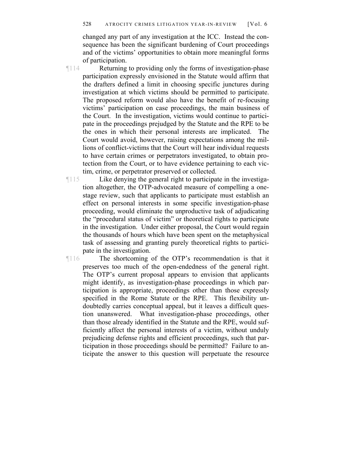changed any part of any investigation at the ICC. Instead the consequence has been the significant burdening of Court proceedings and of the victims' opportunities to obtain more meaningful forms of participation.

¶114 Returning to providing only the forms of investigation-phase participation expressly envisioned in the Statute would affirm that the drafters defined a limit in choosing specific junctures during investigation at which victims should be permitted to participate. The proposed reform would also have the benefit of re-focusing victims' participation on case proceedings, the main business of the Court. In the investigation, victims would continue to participate in the proceedings prejudged by the Statute and the RPE to be the ones in which their personal interests are implicated. The Court would avoid, however, raising expectations among the millions of conflict-victims that the Court will hear individual requests to have certain crimes or perpetrators investigated, to obtain protection from the Court, or to have evidence pertaining to each victim, crime, or perpetrator preserved or collected.

¶115 Like denying the general right to participate in the investigation altogether, the OTP-advocated measure of compelling a onestage review, such that applicants to participate must establish an effect on personal interests in some specific investigation-phase proceeding, would eliminate the unproductive task of adjudicating the "procedural status of victim" or theoretical rights to participate in the investigation. Under either proposal, the Court would regain the thousands of hours which have been spent on the metaphysical task of assessing and granting purely theoretical rights to participate in the investigation.

¶116 The shortcoming of the OTP's recommendation is that it preserves too much of the open-endedness of the general right. The OTP's current proposal appears to envision that applicants might identify, as investigation-phase proceedings in which participation is appropriate, proceedings other than those expressly specified in the Rome Statute or the RPE. This flexibility undoubtedly carries conceptual appeal, but it leaves a difficult question unanswered. What investigation-phase proceedings, other than those already identified in the Statute and the RPE, would sufficiently affect the personal interests of a victim, without unduly prejudicing defense rights and efficient proceedings, such that participation in those proceedings should be permitted? Failure to anticipate the answer to this question will perpetuate the resource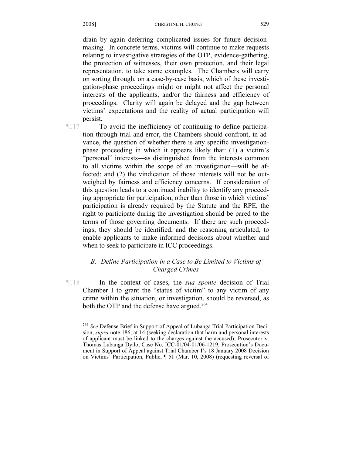drain by again deferring complicated issues for future decisionmaking. In concrete terms, victims will continue to make requests relating to investigative strategies of the OTP, evidence-gathering, the protection of witnesses, their own protection, and their legal representation, to take some examples. The Chambers will carry on sorting through, on a case-by-case basis, which of these investigation-phase proceedings might or might not affect the personal interests of the applicants, and/or the fairness and efficiency of proceedings. Clarity will again be delayed and the gap between victims' expectations and the reality of actual participation will persist.

 $\overline{a}$ 

¶117 To avoid the inefficiency of continuing to define participation through trial and error, the Chambers should confront, in advance, the question of whether there is any specific investigationphase proceeding in which it appears likely that: (1) a victim's "personal" interests—as distinguished from the interests common to all victims within the scope of an investigation—will be affected; and (2) the vindication of those interests will not be outweighed by fairness and efficiency concerns. If consideration of this question leads to a continued inability to identify any proceeding appropriate for participation, other than those in which victims' participation is already required by the Statute and the RPE, the right to participate during the investigation should be pared to the terms of those governing documents. If there are such proceedings, they should be identified, and the reasoning articulated, to enable applicants to make informed decisions about whether and when to seek to participate in ICC proceedings.

# *B. Define Participation in a Case to Be Limited to Victims of Charged Crimes*

¶118 In the context of cases, the *sua sponte* decision of Trial Chamber I to grant the "status of victim" to any victim of any crime within the situation, or investigation, should be reversed, as both the OTP and the defense have argued.<sup>264</sup>

<sup>264</sup> *See* Defense Brief in Support of Appeal of Lubanga Trial Participation Decision, *supra* note 186, at 14 (seeking declaration that harm and personal interests of applicant must be linked to the charges against the accused); Prosecutor v. Thomas Lubanga Dyilo, Case No. ICC-01/04-01/06-1219, Prosecution's Document in Support of Appeal against Trial Chamber I's 18 January 2008 Decision on Victims' Participation, Public, ¶ 51 (Mar. 10, 2008) (requesting reversal of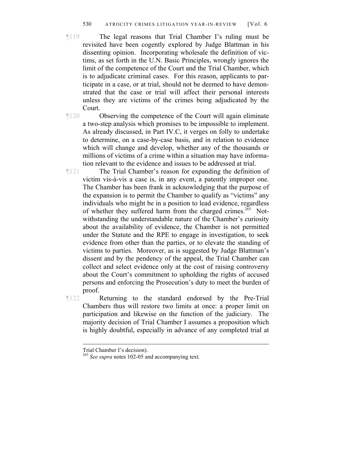- ¶119 The legal reasons that Trial Chamber I's ruling must be revisited have been cogently explored by Judge Blattman in his dissenting opinion. Incorporating wholesale the definition of victims, as set forth in the U.N. Basic Principles, wrongly ignores the limit of the competence of the Court and the Trial Chamber, which is to adjudicate criminal cases. For this reason, applicants to participate in a case, or at trial, should not be deemed to have demonstrated that the case or trial will affect their personal interests unless they are victims of the crimes being adjudicated by the Court.
- ¶120 Observing the competence of the Court will again eliminate a two-step analysis which promises to be impossible to implement. As already discussed, in Part IV.C, it verges on folly to undertake to determine, on a case-by-case basis, and in relation to evidence which will change and develop, whether any of the thousands or millions of victims of a crime within a situation may have information relevant to the evidence and issues to be addressed at trial.
- ¶121 The Trial Chamber's reason for expanding the definition of victim vis-à-vis a case is, in any event, a patently improper one. The Chamber has been frank in acknowledging that the purpose of the expansion is to permit the Chamber to qualify as "victims" any individuals who might be in a position to lead evidence, regardless of whether they suffered harm from the charged crimes.<sup>265</sup> Notwithstanding the understandable nature of the Chamber's curiosity about the availability of evidence, the Chamber is not permitted under the Statute and the RPE to engage in investigation, to seek evidence from other than the parties, or to elevate the standing of victims to parties. Moreover, as is suggested by Judge Blattman's dissent and by the pendency of the appeal, the Trial Chamber can collect and select evidence only at the cost of raising controversy about the Court's commitment to upholding the rights of accused persons and enforcing the Prosecution's duty to meet the burden of proof.

¶122 Returning to the standard endorsed by the Pre-Trial Chambers thus will restore two limits at once: a proper limit on participation and likewise on the function of the judiciary. The majority decision of Trial Chamber I assumes a proposition which is highly doubtful, especially in advance of any completed trial at

Trial Chamber I's decision).

<sup>&</sup>lt;sup>265</sup> *See supra* notes 102-05 and accompanying text.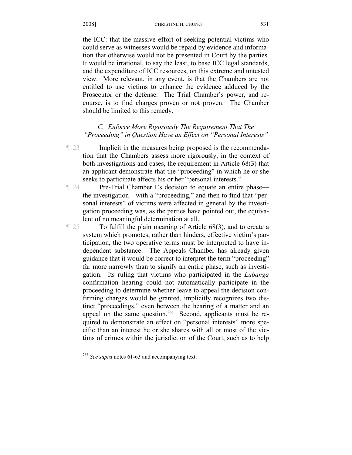the ICC: that the massive effort of seeking potential victims who could serve as witnesses would be repaid by evidence and information that otherwise would not be presented in Court by the parties. It would be irrational, to say the least, to base ICC legal standards, and the expenditure of ICC resources, on this extreme and untested view. More relevant, in any event, is that the Chambers are not entitled to use victims to enhance the evidence adduced by the Prosecutor or the defense. The Trial Chamber's power, and recourse, is to find charges proven or not proven. The Chamber should be limited to this remedy.

# *C. Enforce More Rigorously The Requirement That The "Proceeding" in Question Have an Effect on "Personal Interests"*

- ¶123 Implicit in the measures being proposed is the recommendation that the Chambers assess more rigorously, in the context of both investigations and cases, the requirement in Article 68(3) that an applicant demonstrate that the "proceeding" in which he or she seeks to participate affects his or her "personal interests."
- ¶124 Pre-Trial Chamber I's decision to equate an entire phase the investigation—with a "proceeding," and then to find that "personal interests" of victims were affected in general by the investigation proceeding was, as the parties have pointed out, the equivalent of no meaningful determination at all.

¶125 To fulfill the plain meaning of Article 68(3), and to create a system which promotes, rather than hinders, effective victim's participation, the two operative terms must be interpreted to have independent substance. The Appeals Chamber has already given guidance that it would be correct to interpret the term "proceeding" far more narrowly than to signify an entire phase, such as investigation. Its ruling that victims who participated in the *Lubanga* confirmation hearing could not automatically participate in the proceeding to determine whether leave to appeal the decision confirming charges would be granted, implicitly recognizes two distinct "proceedings," even between the hearing of a matter and an appeal on the same question.<sup>266</sup> Second, applicants must be required to demonstrate an effect on "personal interests" more specific than an interest he or she shares with all or most of the victims of crimes within the jurisdiction of the Court, such as to help

1

<sup>266</sup> *See supra* notes 61-63 and accompanying text.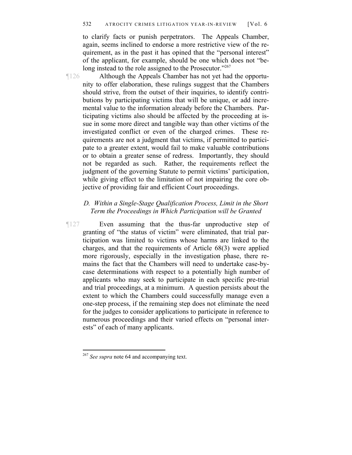to clarify facts or punish perpetrators. The Appeals Chamber, again, seems inclined to endorse a more restrictive view of the requirement, as in the past it has opined that the "personal interest" of the applicant, for example, should be one which does not "belong instead to the role assigned to the Prosecutor."267

¶126 Although the Appeals Chamber has not yet had the opportunity to offer elaboration, these rulings suggest that the Chambers should strive, from the outset of their inquiries, to identify contributions by participating victims that will be unique, or add incremental value to the information already before the Chambers. Participating victims also should be affected by the proceeding at issue in some more direct and tangible way than other victims of the investigated conflict or even of the charged crimes. These requirements are not a judgment that victims, if permitted to participate to a greater extent, would fail to make valuable contributions or to obtain a greater sense of redress. Importantly, they should not be regarded as such. Rather, the requirements reflect the judgment of the governing Statute to permit victims' participation, while giving effect to the limitation of not impairing the core objective of providing fair and efficient Court proceedings.

## *D. Within a Single-Stage Qualification Process, Limit in the Short Term the Proceedings in Which Participation will be Granted*

¶127 Even assuming that the thus-far unproductive step of granting of "the status of victim" were eliminated, that trial participation was limited to victims whose harms are linked to the charges, and that the requirements of Article 68(3) were applied more rigorously, especially in the investigation phase, there remains the fact that the Chambers will need to undertake case-bycase determinations with respect to a potentially high number of applicants who may seek to participate in each specific pre-trial and trial proceedings, at a minimum. A question persists about the extent to which the Chambers could successfully manage even a one-step process, if the remaining step does not eliminate the need for the judges to consider applications to participate in reference to numerous proceedings and their varied effects on "personal interests" of each of many applicants.

<sup>&</sup>lt;sup>267</sup> *See supra* note 64 and accompanying text.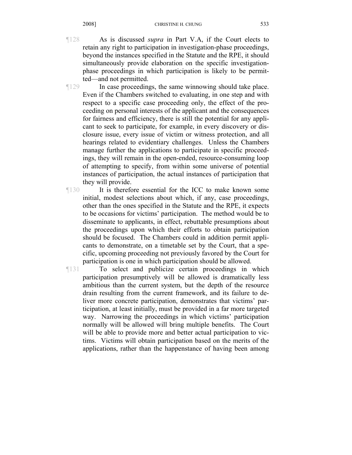- ¶128 As is discussed *supra* in Part V.A, if the Court elects to retain any right to participation in investigation-phase proceedings, beyond the instances specified in the Statute and the RPE, it should simultaneously provide elaboration on the specific investigationphase proceedings in which participation is likely to be permitted—and not permitted.
- ¶129 In case proceedings, the same winnowing should take place. Even if the Chambers switched to evaluating, in one step and with respect to a specific case proceeding only, the effect of the proceeding on personal interests of the applicant and the consequences for fairness and efficiency, there is still the potential for any applicant to seek to participate, for example, in every discovery or disclosure issue, every issue of victim or witness protection, and all hearings related to evidentiary challenges. Unless the Chambers manage further the applications to participate in specific proceedings, they will remain in the open-ended, resource-consuming loop of attempting to specify, from within some universe of potential instances of participation, the actual instances of participation that they will provide.
- ¶130 It is therefore essential for the ICC to make known some initial, modest selections about which, if any, case proceedings, other than the ones specified in the Statute and the RPE, it expects to be occasions for victims' participation. The method would be to disseminate to applicants, in effect, rebuttable presumptions about the proceedings upon which their efforts to obtain participation should be focused. The Chambers could in addition permit applicants to demonstrate, on a timetable set by the Court, that a specific, upcoming proceeding not previously favored by the Court for participation is one in which participation should be allowed.

¶131 To select and publicize certain proceedings in which participation presumptively will be allowed is dramatically less ambitious than the current system, but the depth of the resource drain resulting from the current framework, and its failure to deliver more concrete participation, demonstrates that victims' participation, at least initially, must be provided in a far more targeted way. Narrowing the proceedings in which victims' participation normally will be allowed will bring multiple benefits. The Court will be able to provide more and better actual participation to victims. Victims will obtain participation based on the merits of the applications, rather than the happenstance of having been among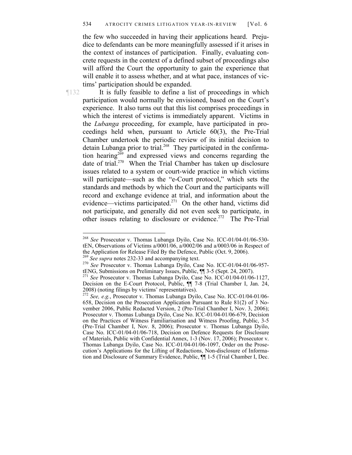the few who succeeded in having their applications heard. Prejudice to defendants can be more meaningfully assessed if it arises in the context of instances of participation. Finally, evaluating concrete requests in the context of a defined subset of proceedings also will afford the Court the opportunity to gain the experience that will enable it to assess whether, and at what pace, instances of victims' participation should be expanded.

 $\overline{a}$ 

¶132 It is fully feasible to define a list of proceedings in which participation would normally be envisioned, based on the Court's experience. It also turns out that this list comprises proceedings in which the interest of victims is immediately apparent. Victims in the *Lubanga* proceeding, for example, have participated in proceedings held when, pursuant to Article 60(3), the Pre-Trial Chamber undertook the periodic review of its initial decision to detain Lubanga prior to trial.268 They participated in the confirmation hearing<sup>269</sup> and expressed views and concerns regarding the date of trial.<sup>270</sup> When the Trial Chamber has taken up disclosure issues related to a system or court-wide practice in which victims will participate—such as the "e-Court protocol," which sets the standards and methods by which the Court and the participants will record and exchange evidence at trial, and information about the evidence—victims participated.<sup>271</sup> On the other hand, victims did not participate, and generally did not even seek to participate, in other issues relating to disclosure or evidence.272 The Pre-Trial

<sup>268</sup> *See* Prosecutor v. Thomas Lubanga Dyilo, Case No. ICC-01/04-01/06-530 tEN, Observations of Victims a/0001/06, a/0002/06 and a/0003/06 in Respect of

the Application for Release Filed By the Defence, Public (Oct. 9, 2006).<br><sup>269</sup> *See supra* notes 232-33 and accompanying text.<br><sup>270</sup> *See* Prosecutor v. Thomas Lubanga Dyilo, Case No. ICC-01/04-01/06-957-<br>tENG, Submissions

<sup>&</sup>lt;sup>271</sup> See Prosecutor v. Thomas Lubanga Dyilo, Case No. ICC-01/04-01/06-1127, Decision on the E-Court Protocol, Public, ¶¶ 7-8 (Trial Chamber I, Jan. 24, 2008) (noting filings by victims' representatives).

<sup>272</sup> *See, e.g.*, Prosecutor v. Thomas Lubanga Dyilo, Case No. ICC-01/04-01/06- 658, Decision on the Prosecution Application Pursuant to Rule 81(2) of 3 November 2006, Public Redacted Version, 2 (Pre-Trial Chamber I, Nov. 3, 2006); Prosecutor v. Thomas Lubanga Dyilo, Case No. ICC-01/04-01/06-679, Decision on the Practices of Witness Familiarisation and Witness Proofing, Public, 3-5 (Pre-Trial Chamber I, Nov. 8, 2006); Prosecutor v. Thomas Lubanga Dyilo, Case No. ICC-01/04-01/06-718, Decision on Defence Requests for Disclosure of Materials, Public with Confidential Annex, 1-3 (Nov. 17, 2006); Prosecutor v. Thomas Lubanga Dyilo, Case No. ICC-01/04-01/06-1097, Order on the Prosecution's Applications for the Lifting of Redactions, Non-disclosure of Information and Disclosure of Summary Evidence, Public, ¶¶ 1-5 (Trial Chamber I, Dec.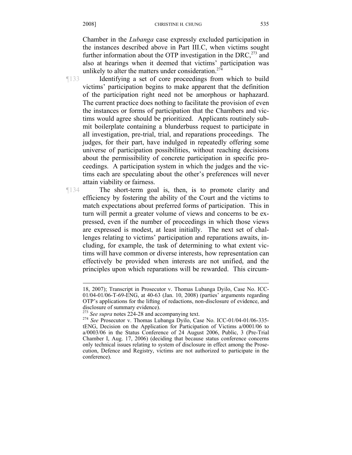Chamber in the *Lubanga* case expressly excluded participation in the instances described above in Part III.C, when victims sought further information about the OTP investigation in the DRC, $^{273}$  and also at hearings when it deemed that victims' participation was unlikely to alter the matters under consideration.<sup>274</sup>

 $\overline{a}$ 

¶133 Identifying a set of core proceedings from which to build victims' participation begins to make apparent that the definition of the participation right need not be amorphous or haphazard. The current practice does nothing to facilitate the provision of even the instances or forms of participation that the Chambers and victims would agree should be prioritized. Applicants routinely submit boilerplate containing a blunderbuss request to participate in all investigation, pre-trial, trial, and reparations proceedings. The judges, for their part, have indulged in repeatedly offering some universe of participation possibilities, without reaching decisions about the permissibility of concrete participation in specific proceedings. A participation system in which the judges and the victims each are speculating about the other's preferences will never attain viability or fairness.

¶134 The short-term goal is, then, is to promote clarity and efficiency by fostering the ability of the Court and the victims to match expectations about preferred forms of participation. This in turn will permit a greater volume of views and concerns to be expressed, even if the number of proceedings in which those views are expressed is modest, at least initially. The next set of challenges relating to victims' participation and reparations awaits, including, for example, the task of determining to what extent victims will have common or diverse interests, how representation can effectively be provided when interests are not unified, and the principles upon which reparations will be rewarded. This circum-

<sup>18, 2007);</sup> Transcript in Prosecutor v. Thomas Lubanga Dyilo, Case No. ICC-01/04-01/06-T-69-ENG, at 40-63 (Jan. 10, 2008) (parties' arguments regarding OTP's applications for the lifting of redactions, non-disclosure of evidence, and disclosure of summary evidence).<br><sup>273</sup> See supra notes 224-28 and accompanying text.

<sup>&</sup>lt;sup>274</sup> See Prosecutor v. Thomas Lubanga Dyilo, Case No. ICC-01/04-01/06-335tENG, Decision on the Application for Participation of Victims a/0001/06 to a/0003/06 in the Status Conference of 24 August 2006, Public, 3 (Pre-Trial Chamber I, Aug. 17, 2006) (deciding that because status conference concerns only technical issues relating to system of disclosure in effect among the Prosecution, Defence and Registry, victims are not authorized to participate in the conference).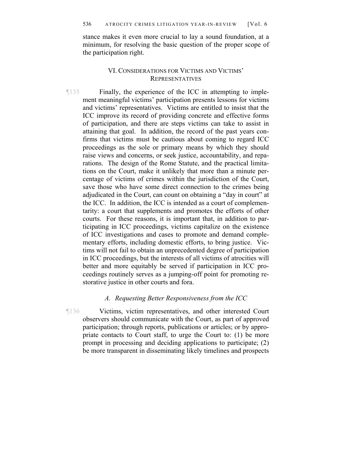stance makes it even more crucial to lay a sound foundation, at a minimum, for resolving the basic question of the proper scope of the participation right.

# VI. CONSIDERATIONS FOR VICTIMS AND VICTIMS' REPRESENTATIVES

¶135 Finally, the experience of the ICC in attempting to implement meaningful victims' participation presents lessons for victims and victims' representatives. Victims are entitled to insist that the ICC improve its record of providing concrete and effective forms of participation, and there are steps victims can take to assist in attaining that goal. In addition, the record of the past years confirms that victims must be cautious about coming to regard ICC proceedings as the sole or primary means by which they should raise views and concerns, or seek justice, accountability, and reparations. The design of the Rome Statute, and the practical limitations on the Court, make it unlikely that more than a minute percentage of victims of crimes within the jurisdiction of the Court, save those who have some direct connection to the crimes being adjudicated in the Court, can count on obtaining a "day in court" at the ICC. In addition, the ICC is intended as a court of complementarity: a court that supplements and promotes the efforts of other courts. For these reasons, it is important that, in addition to participating in ICC proceedings, victims capitalize on the existence of ICC investigations and cases to promote and demand complementary efforts, including domestic efforts, to bring justice. Victims will not fail to obtain an unprecedented degree of participation in ICC proceedings, but the interests of all victims of atrocities will better and more equitably be served if participation in ICC proceedings routinely serves as a jumping-off point for promoting restorative justice in other courts and fora.

#### *A. Requesting Better Responsiveness from the ICC*

¶136 Victims, victim representatives, and other interested Court observers should communicate with the Court, as part of approved participation; through reports, publications or articles; or by appropriate contacts to Court staff, to urge the Court to: (1) be more prompt in processing and deciding applications to participate; (2) be more transparent in disseminating likely timelines and prospects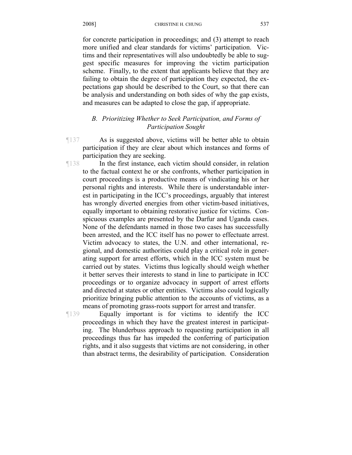for concrete participation in proceedings; and (3) attempt to reach more unified and clear standards for victims' participation. Victims and their representatives will also undoubtedly be able to suggest specific measures for improving the victim participation scheme. Finally, to the extent that applicants believe that they are failing to obtain the degree of participation they expected, the expectations gap should be described to the Court, so that there can be analysis and understanding on both sides of why the gap exists, and measures can be adapted to close the gap, if appropriate.

# *B. Prioritizing Whether to Seek Participation, and Forms of Participation Sought*

¶137 As is suggested above, victims will be better able to obtain participation if they are clear about which instances and forms of participation they are seeking.

¶138 In the first instance, each victim should consider, in relation to the factual context he or she confronts, whether participation in court proceedings is a productive means of vindicating his or her personal rights and interests. While there is understandable interest in participating in the ICC's proceedings, arguably that interest has wrongly diverted energies from other victim-based initiatives, equally important to obtaining restorative justice for victims. Conspicuous examples are presented by the Darfur and Uganda cases. None of the defendants named in those two cases has successfully been arrested, and the ICC itself has no power to effectuate arrest. Victim advocacy to states, the U.N. and other international, regional, and domestic authorities could play a critical role in generating support for arrest efforts, which in the ICC system must be carried out by states. Victims thus logically should weigh whether it better serves their interests to stand in line to participate in ICC proceedings or to organize advocacy in support of arrest efforts and directed at states or other entities. Victims also could logically prioritize bringing public attention to the accounts of victims, as a means of promoting grass-roots support for arrest and transfer.

¶139 Equally important is for victims to identify the ICC proceedings in which they have the greatest interest in participating. The blunderbuss approach to requesting participation in all proceedings thus far has impeded the conferring of participation rights, and it also suggests that victims are not considering, in other than abstract terms, the desirability of participation. Consideration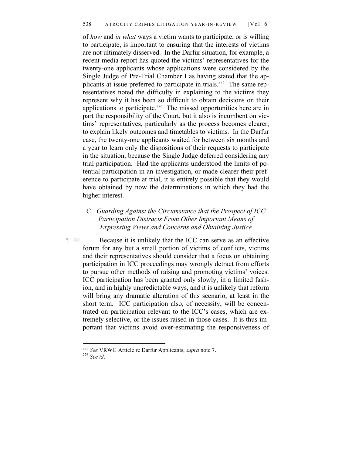of *how* and *in what* ways a victim wants to participate, or is willing to participate, is important to ensuring that the interests of victims are not ultimately disserved. In the Darfur situation, for example, a recent media report has quoted the victims' representatives for the twenty-one applicants whose applications were considered by the Single Judge of Pre-Trial Chamber I as having stated that the applicants at issue preferred to participate in trials.<sup>275</sup> The same representatives noted the difficulty in explaining to the victims they represent why it has been so difficult to obtain decisions on their applications to participate.276 The missed opportunities here are in part the responsibility of the Court, but it also is incumbent on victims' representatives, particularly as the process becomes clearer, to explain likely outcomes and timetables to victims. In the Darfur case, the twenty-one applicants waited for between six months and a year to learn only the dispositions of their requests to participate in the situation, because the Single Judge deferred considering any trial participation. Had the applicants understood the limits of potential participation in an investigation, or made clearer their preference to participate at trial, it is entirely possible that they would have obtained by now the determinations in which they had the higher interest.

# *C. Guarding Against the Circumstance that the Prospect of ICC Participation Distracts From Other Important Means of Expressing Views and Concerns and Obtaining Justice*

¶140 Because it is unlikely that the ICC can serve as an effective forum for any but a small portion of victims of conflicts, victims and their representatives should consider that a focus on obtaining participation in ICC proceedings may wrongly detract from efforts to pursue other methods of raising and promoting victims' voices. ICC participation has been granted only slowly, in a limited fashion, and in highly unpredictable ways, and it is unlikely that reform will bring any dramatic alteration of this scenario, at least in the short term. ICC participation also, of necessity, will be concentrated on participation relevant to the ICC's cases, which are extremely selective, or the issues raised in those cases. It is thus important that victims avoid over-estimating the responsiveness of

<sup>275</sup> *See* VRWG Article re Darfur Applicants, *supra* note 7. 276 *See id*.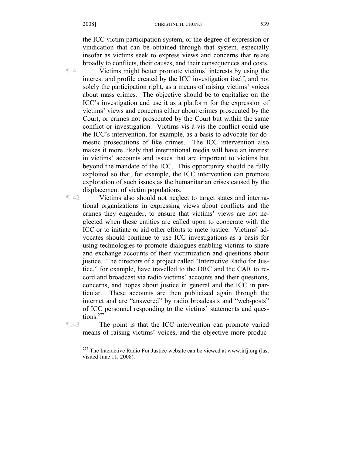the ICC victim participation system, or the degree of expression or vindication that can be obtained through that system, especially insofar as victims seek to express views and concerns that relate broadly to conflicts, their causes, and their consequences and costs.

¶141 Victims might better promote victims' interests by using the interest and profile created by the ICC investigation itself, and not solely the participation right, as a means of raising victims' voices about mass crimes. The objective should be to capitalize on the ICC's investigation and use it as a platform for the expression of victims' views and concerns either about crimes prosecuted by the Court, or crimes not prosecuted by the Court but within the same conflict or investigation. Victims vis-à-vis the conflict could use the ICC's intervention, for example, as a basis to advocate for domestic prosecutions of like crimes. The ICC intervention also makes it more likely that international media will have an interest in victims' accounts and issues that are important to victims but beyond the mandate of the ICC. This opportunity should be fully exploited so that, for example, the ICC intervention can promote exploration of such issues as the humanitarian crises caused by the displacement of victim populations.

¶142 Victims also should not neglect to target states and international organizations in expressing views about conflicts and the crimes they engender, to ensure that victims' views are not neglected when these entities are called upon to cooperate with the ICC or to initiate or aid other efforts to mete justice. Victims' advocates should continue to use ICC investigations as a basis for using technologies to promote dialogues enabling victims to share and exchange accounts of their victimization and questions about justice. The directors of a project called "Interactive Radio for Justice," for example, have travelled to the DRC and the CAR to record and broadcast via radio victims' accounts and their questions, concerns, and hopes about justice in general and the ICC in particular. These accounts are then publicized again through the internet and are "answered" by radio broadcasts and "web-posts" of ICC personnel responding to the victims' statements and questions.<sup>277</sup>

¶143 The point is that the ICC intervention can promote varied means of raising victims' voices, and the objective more produc-

 $277$  The Interactive Radio For Justice website can be viewed at www.irfj.org (last visited June 11, 2008).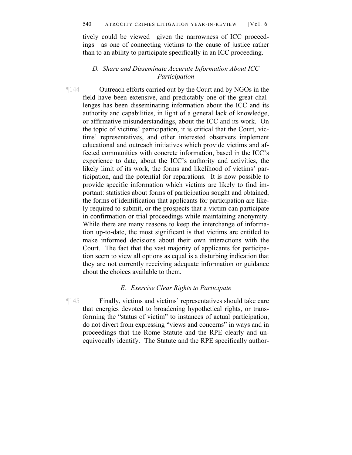tively could be viewed—given the narrowness of ICC proceedings—as one of connecting victims to the cause of justice rather than to an ability to participate specifically in an ICC proceeding.

### *D. Share and Disseminate Accurate Information About ICC Participation*

¶144 Outreach efforts carried out by the Court and by NGOs in the field have been extensive, and predictably one of the great challenges has been disseminating information about the ICC and its authority and capabilities, in light of a general lack of knowledge, or affirmative misunderstandings, about the ICC and its work. On the topic of victims' participation, it is critical that the Court, victims' representatives, and other interested observers implement educational and outreach initiatives which provide victims and affected communities with concrete information, based in the ICC's experience to date, about the ICC's authority and activities, the likely limit of its work, the forms and likelihood of victims' participation, and the potential for reparations. It is now possible to provide specific information which victims are likely to find important: statistics about forms of participation sought and obtained, the forms of identification that applicants for participation are likely required to submit, or the prospects that a victim can participate in confirmation or trial proceedings while maintaining anonymity. While there are many reasons to keep the interchange of information up-to-date, the most significant is that victims are entitled to make informed decisions about their own interactions with the Court. The fact that the vast majority of applicants for participation seem to view all options as equal is a disturbing indication that they are not currently receiving adequate information or guidance about the choices available to them.

#### *E. Exercise Clear Rights to Participate*

¶145 Finally, victims and victims' representatives should take care that energies devoted to broadening hypothetical rights, or transforming the "status of victim" to instances of actual participation, do not divert from expressing "views and concerns" in ways and in proceedings that the Rome Statute and the RPE clearly and unequivocally identify. The Statute and the RPE specifically author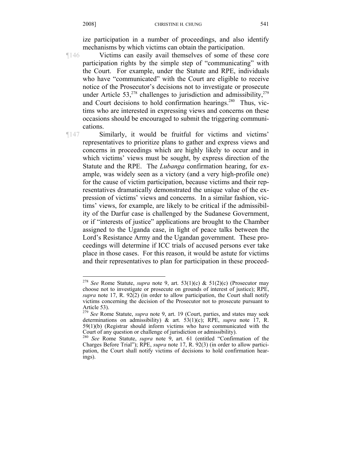ize participation in a number of proceedings, and also identify mechanisms by which victims can obtain the participation.

¶146 Victims can easily avail themselves of some of these core participation rights by the simple step of "communicating" with the Court. For example, under the Statute and RPE, individuals who have "communicated" with the Court are eligible to receive notice of the Prosecutor's decisions not to investigate or prosecute under Article 53,<sup>278</sup> challenges to jurisdiction and admissibility,<sup>279</sup> and Court decisions to hold confirmation hearings.<sup>280</sup> Thus, victims who are interested in expressing views and concerns on these occasions should be encouraged to submit the triggering communications.

 $\overline{a}$ 

¶147 Similarly, it would be fruitful for victims and victims' representatives to prioritize plans to gather and express views and concerns in proceedings which are highly likely to occur and in which victims' views must be sought, by express direction of the Statute and the RPE. The *Lubanga* confirmation hearing, for example, was widely seen as a victory (and a very high-profile one) for the cause of victim participation, because victims and their representatives dramatically demonstrated the unique value of the expression of victims' views and concerns. In a similar fashion, victims' views, for example, are likely to be critical if the admissibility of the Darfur case is challenged by the Sudanese Government, or if "interests of justice" applications are brought to the Chamber assigned to the Uganda case, in light of peace talks between the Lord's Resistance Army and the Ugandan government. These proceedings will determine if ICC trials of accused persons ever take place in those cases. For this reason, it would be astute for victims and their representatives to plan for participation in these proceed-

<sup>278</sup> *See* Rome Statute, *supra* note 9, art. 53(1)(c) & 51(2)(c) (Prosecutor may choose not to investigate or prosecute on grounds of interest of justice); RPE, *supra* note 17, R. 92(2) (in order to allow participation, the Court shall notify victims concerning the decision of the Prosecutor not to prosecute pursuant to Article 53).

<sup>279</sup> *See* Rome Statute, *supra* note 9, art. 19 (Court, parties, and states may seek determinations on admissibility) & art. 53(1)(c); RPE, *supra* note 17, R. 59(1)(b) (Registrar should inform victims who have communicated with the Court of any question or challenge of jurisdiction or admissibility).

<sup>280</sup> *See* Rome Statute, *supra* note 9, art. 61 (entitled "Confirmation of the Charges Before Trial"); RPE, *supra* note 17, R. 92(3) (in order to allow participation, the Court shall notify victims of decisions to hold confirmation hearings).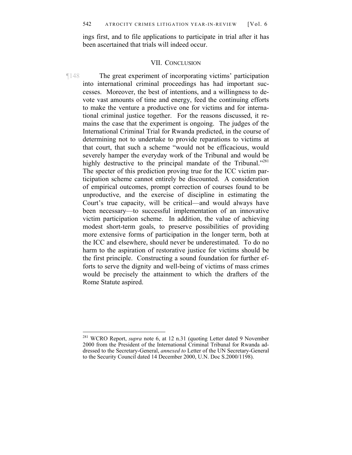ings first, and to file applications to participate in trial after it has been ascertained that trials will indeed occur.

#### VII. CONCLUSION

¶148 The great experiment of incorporating victims' participation into international criminal proceedings has had important successes. Moreover, the best of intentions, and a willingness to devote vast amounts of time and energy, feed the continuing efforts to make the venture a productive one for victims and for international criminal justice together. For the reasons discussed, it remains the case that the experiment is ongoing. The judges of the International Criminal Trial for Rwanda predicted, in the course of determining not to undertake to provide reparations to victims at that court, that such a scheme "would not be efficacious, would severely hamper the everyday work of the Tribunal and would be highly destructive to the principal mandate of the Tribunal."<sup>281</sup> The specter of this prediction proving true for the ICC victim participation scheme cannot entirely be discounted. A consideration of empirical outcomes, prompt correction of courses found to be unproductive, and the exercise of discipline in estimating the Court's true capacity, will be critical—and would always have been necessary—to successful implementation of an innovative victim participation scheme. In addition, the value of achieving modest short-term goals, to preserve possibilities of providing more extensive forms of participation in the longer term, both at the ICC and elsewhere, should never be underestimated. To do no harm to the aspiration of restorative justice for victims should be the first principle. Constructing a sound foundation for further efforts to serve the dignity and well-being of victims of mass crimes would be precisely the attainment to which the drafters of the Rome Statute aspired.

<sup>281</sup> WCRO Report, *supra* note 6, at 12 n.31 (quoting Letter dated 9 November 2000 from the President of the International Criminal Tribunal for Rwanda addressed to the Secretary-General, *annexed to* Letter of the UN Secretary-General to the Security Council dated 14 December 2000, U.N. Doc S.2000/1198).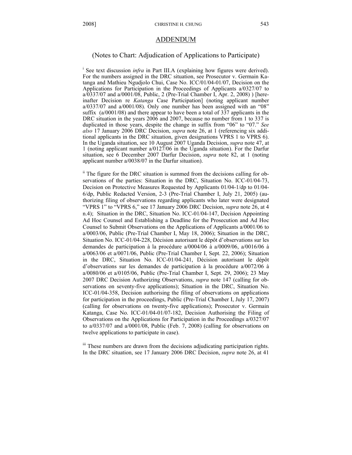#### ADDENDUM

#### (Notes to Chart: Adjudication of Applications to Participate)

<sup>i</sup> See text discussion *infra* in Part III.A (explaining how figures were derived). For the numbers assigned in the DRC situation, see Prosecutor v. Germain Katanga and Mathieu Ngudjolo Chui, Case No. ICC/01/04-01/07, Decision on the Applications for Participation in the Proceedings of Applicants a/0327/07 to a/0337/07 and a/0001/08, Public, 2 (Pre-Trial Chamber I, Apr. 2, 2008) ) [hereinafter Decision re *Katanga* Case Participation] (noting applicant number a/0337/07 and a/0001/08). Only one number has been assigned with an "08" suffix (a/0001/08) and there appear to have been a total of 337 applicants in the DRC situation in the years 2006 and 2007, because no number from 1 to 337 is duplicated in those years, despite the change in suffix from "06" to "07." *See also* 17 January 2006 DRC Decision, *supra* note 26, at 1 (referencing six additional applicants in the DRC situation, given designations VPRS 1 to VPRS 6). In the Uganda situation, see 10 August 2007 Uganda Decision, *supra* note 47, at 1 (noting applicant number a/0127/06 in the Uganda situation). For the Darfur situation, see 6 December 2007 Darfur Decision, *supra* note 82, at 1 (noting applicant number a/0038/07 in the Darfur situation).

<sup>ii</sup> The figure for the DRC situation is summed from the decisions calling for observations of the parties: Situation in the DRC, Situation No. ICC-01/04-73, Decision on Protective Measures Requested by Applicants 01/04-1/dp to 01/04- 6/dp, Public Redacted Version, 2-3 (Pre-Trial Chamber I, July 21, 2005) (authorizing filing of observations regarding applicants who later were designated "VPRS 1" to "VPRS 6," see 17 January 2006 DRC Decision, *supra* note 26, at 4 n.4); Situation in the DRC, Situation No. ICC-01/04-147, Decision Appointing Ad Hoc Counsel and Establishing a Deadline for the Prosecution and Ad Hoc Counsel to Submit Observations on the Applications of Applicants a/0001/06 to a/0003/06, Public (Pre-Trial Chamber I, May 18, 2006); Situation in the DRC, Situation No. ICC-01/04-228, Décision autorisant le dépôt d'observations sur les demandes de participation à la procédure a/0004/06 à a/0009/06, a/0016/06 à a/0063/06 et a/0071/06, Public (Pre-Trial Chamber I, Sept. 22, 2006); Situation in the DRC, Situation No. ICC-01/04-241, Décision autorisant le dépôt d'observations sur les demandes de participation à la procédure a/0072/06 à a/0080/06 et a/0105/06, Public (Pre-Trial Chamber I, Sept. 29, 2006); 23 May 2007 DRC Decision Authorizing Observations, *supra* note 147 (calling for observations on seventy-five applications); Situation in the DRC, Situation No. ICC-01/04-358, Decision authorising the filing of observations on applications for participation in the proceedings, Public (Pre-Trial Chamber I, July 17, 2007) (calling for observations on twenty-five applications); Prosecutor v. Germain Katanga, Case No. ICC-01/04-01/07-182, Decision Authorising the Filing of Observations on the Applications for Participation in the Proceedings a/0327/07 to a/0337/07 and a/0001/08, Public (Feb. 7, 2008) (calling for observations on twelve applications to participate in case).

iii These numbers are drawn from the decisions adjudicating participation rights. In the DRC situation, see 17 January 2006 DRC Decision, *supra* note 26, at 41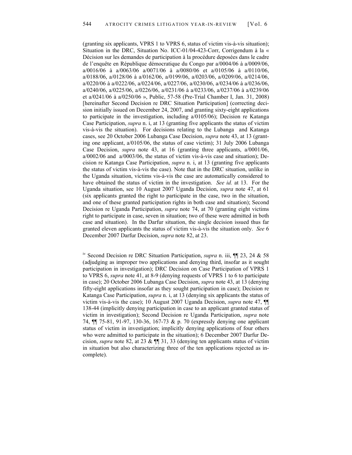(granting six applicants, VPRS 1 to VPRS 6, status of victim vis-à-vis situation); Situation in the DRC, Situation No. ICC-01/04-423-Corr, Corrigendum à la « Décision sur les demandes de participation à la procédure deposées dans le cadre de l'enquête en République démocratique du Congo par a/0004/06 à a/0009/06, a/0016/06 à a/0063/06 a/0071/06 à a/0080/06 et a/0105/06 à a/0110/06, a/0188/06, a/0128/06 à a/0162/06, a/0199/06, a/0203/06, a/0209/06, a/0214/06, a/0220/06 à a/0222/06, a/0224/06, a/0227/06, a/0230/06, a/0234/06 à a/0236/06, a/0240/06, a/0225/06, a/0226/06, a/0231/06 à a/0233/06, a/0237/06 à a/0239/06 et a/0241/06 à a/0250/06 », Public, 57-58 (Pre-Trial Chamber I, Jan. 31, 2008) [hereinafter Second Decision re DRC Situation Participation] (correcting decision initially issued on December 24, 2007, and granting sixty-eight applications to participate in the investigation, including a/0105/06); Decision re Katanga Case Participation, *supra* n. i, at 13 (granting five applicants the status of victim vis-à-vis the situation). For decisions relating to the Lubanga and Katanga cases, see 20 October 2006 Lubanga Case Decision, *supra* note 43, at 13 (granting one applicant, a/0105/06, the status of case victim); 31 July 2006 Lubanga Case Decision, *supra* note 43, at 16 (granting three applicants, a/0001/06, a/0002/06 and a/0003/06, the status of victim vis-à-vis case and situation); Decision re Katanga Case Participation, *supra* n. i, at 13 (granting five applicants the status of victim vis-à-vis the case). Note that in the DRC situation, unlike in the Uganda situation, victims vis-à-vis the case are automatically considered to have obtained the status of victim in the investigation. *See id.* at 13. For the Uganda situation, see 10 August 2007 Uganda Decision, *supra* note 47, at 61 (six applicants granted the right to participate in the case, two in the situation, and one of these granted participation rights in both case and situation); Second Decision re Uganda Participation, *supra* note 74, at 70 (granting eight victims right to participate in case, seven in situation; two of these were admitted in both case and situation). In the Darfur situation, the single decision issued thus far granted eleven applicants the status of victim vis-à-vis the situation only. *See* 6 December 2007 Darfur Decision, *supra* note 82, at 23.

iv Second Decision re DRC Situation Participation, *supra* n. iii, ¶¶ 23, 24 & 58 (adjudging as improper two applications and denying third, insofar as it sought participation in investigation); DRC Decision on Case Participation of VPRS 1 to VPRS 6, *supra* note 41, at 8-9 (denying requests of VPRS 1 to 6 to participate in case); 20 October 2006 Lubanga Case Decision, *supra* note 43, at 13 (denying fifty-eight applications insofar as they sought participation in case); Decision re Katanga Case Participation, *supra* n. i, at 13 (denying six applicants the status of victim vis-à-vis the case); 10 August 2007 Uganda Decision, *supra* note 47, ¶¶ 138-44 (implicitly denying participation in case to an applicant granted status of victim in investigation); Second Decision re Uganda Participation, *supra* note 74, ¶¶ 75-81, 91-97, 130-36, 167-73 & p. 70 (expressly denying one applicant status of victim in investigation; implicitly denying applications of four others who were admitted to participate in the situation); 6 December 2007 Darfur Decision, *supra* note 82, at 23 & ¶¶ 31, 33 (denying ten applicants status of victim in situation but also characterizing three of the ten applications rejected as incomplete).